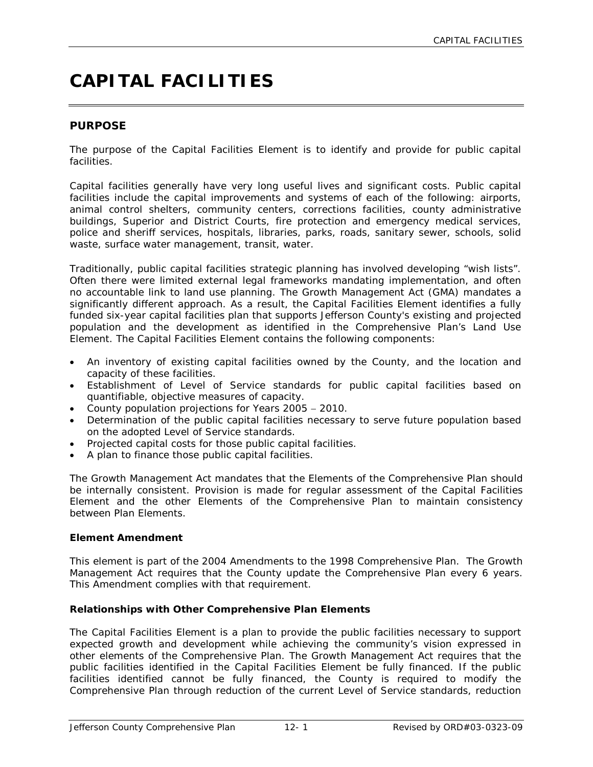# **CAPITAL FACILITIES**

# **PURPOSE**

The purpose of the Capital Facilities Element is to identify and provide for public capital facilities.

Capital facilities generally have very long useful lives and significant costs. Public capital facilities include the capital improvements and systems of each of the following: airports, animal control shelters, community centers, corrections facilities, county administrative buildings, Superior and District Courts, fire protection and emergency medical services, police and sheriff services, hospitals, libraries, parks, roads, sanitary sewer, schools, solid waste, surface water management, transit, water.

Traditionally, public capital facilities strategic planning has involved developing "wish lists". Often there were limited external legal frameworks mandating implementation, and often no accountable link to land use planning. The Growth Management Act (GMA) mandates a significantly different approach. As a result, the Capital Facilities Element identifies a fully funded six-year capital facilities plan that supports Jefferson County's existing and projected population and the development as identified in the Comprehensive Plan's Land Use Element. The Capital Facilities Element contains the following components:

- An inventory of existing capital facilities owned by the County, and the location and capacity of these facilities.
- Establishment of Level of Service standards for public capital facilities based on quantifiable, objective measures of capacity.
- County population projections for Years 2005 − 2010.
- Determination of the public capital facilities necessary to serve future population based on the adopted Level of Service standards.
- Projected capital costs for those public capital facilities.
- A plan to finance those public capital facilities.

The Growth Management Act mandates that the Elements of the Comprehensive Plan should be internally consistent. Provision is made for regular assessment of the Capital Facilities Element and the other Elements of the Comprehensive Plan to maintain consistency between Plan Elements.

#### **Element Amendment**

This element is part of the 2004 Amendments to the 1998 Comprehensive Plan. The Growth Management Act requires that the County update the Comprehensive Plan every 6 years. This Amendment complies with that requirement.

#### **Relationships with Other Comprehensive Plan Elements**

The Capital Facilities Element is a plan to provide the public facilities necessary to support expected growth and development while achieving the community's vision expressed in other elements of the Comprehensive Plan. The Growth Management Act requires that the public facilities identified in the Capital Facilities Element be fully financed. If the public facilities identified cannot be fully financed, the County is required to modify the Comprehensive Plan through reduction of the current Level of Service standards, reduction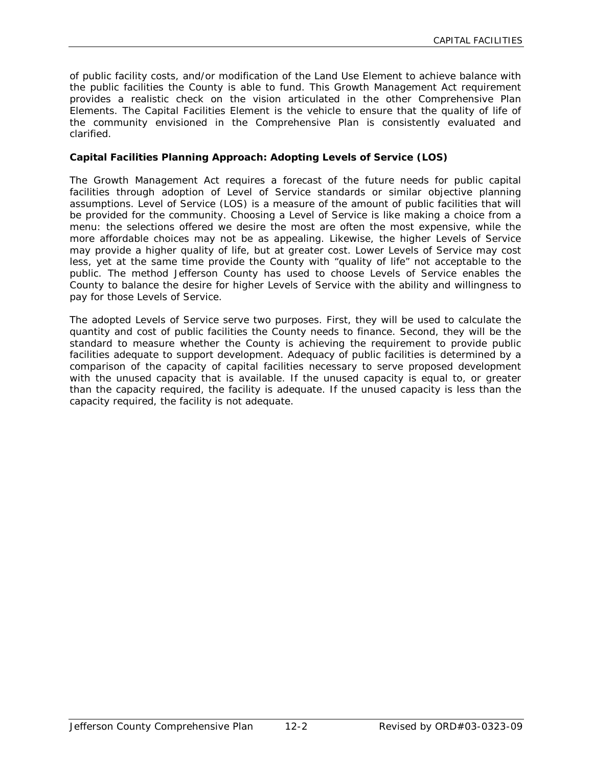of public facility costs, and/or modification of the Land Use Element to achieve balance with the public facilities the County is able to fund. This Growth Management Act requirement provides a realistic check on the vision articulated in the other Comprehensive Plan Elements. The Capital Facilities Element is the vehicle to ensure that the quality of life of the community envisioned in the Comprehensive Plan is consistently evaluated and clarified.

# **Capital Facilities Planning Approach: Adopting Levels of Service (LOS)**

The Growth Management Act requires a forecast of the future needs for public capital facilities through adoption of Level of Service standards or similar objective planning assumptions. Level of Service (LOS) is a measure of the amount of public facilities that will be provided for the community. Choosing a Level of Service is like making a choice from a menu: the selections offered we desire the most are often the most expensive, while the more affordable choices may not be as appealing. Likewise, the higher Levels of Service may provide a higher quality of life, but at greater cost. Lower Levels of Service may cost less, yet at the same time provide the County with "quality of life" not acceptable to the public. The method Jefferson County has used to choose Levels of Service enables the County to balance the desire for higher Levels of Service with the ability and willingness to pay for those Levels of Service.

The adopted Levels of Service serve two purposes. First, they will be used to calculate the quantity and cost of public facilities the County needs to finance. Second, they will be the standard to measure whether the County is achieving the requirement to provide public facilities adequate to support development. Adequacy of public facilities is determined by a comparison of the capacity of capital facilities necessary to serve proposed development with the unused capacity that is available. If the unused capacity is equal to, or greater than the capacity required, the facility is adequate. If the unused capacity is less than the capacity required, the facility is not adequate.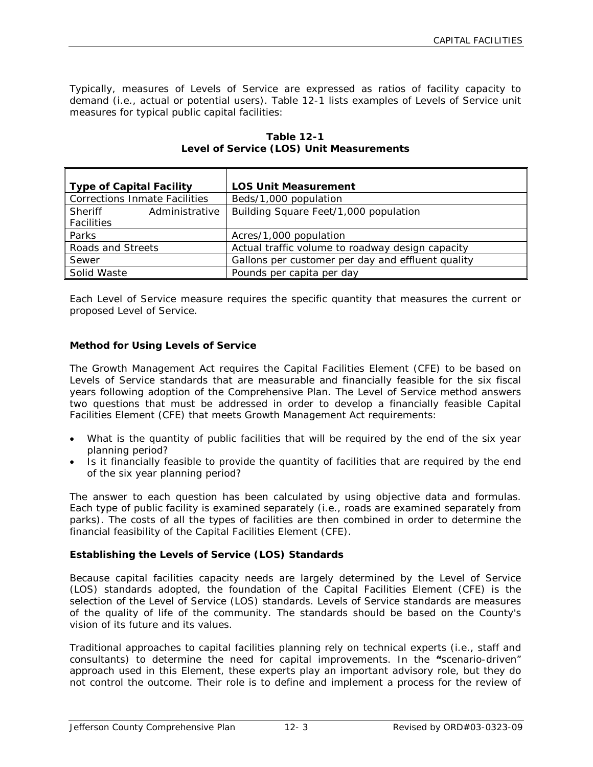Typically, measures of Levels of Service are expressed as ratios of facility capacity to demand (i.e., actual or potential users). Table 12-1 lists examples of Levels of Service unit measures for typical public capital facilities:

| <b>Type of Capital Facility</b>      | <b>LOS Unit Measurement</b>                       |
|--------------------------------------|---------------------------------------------------|
| <b>Corrections Inmate Facilities</b> | Beds/1,000 population                             |
| Administrative<br>Sheriff            | Building Square Feet/1,000 population             |
| Facilities                           |                                                   |
| Parks                                | Acres/1,000 population                            |
| Roads and Streets                    | Actual traffic volume to roadway design capacity  |
| Sewer                                | Gallons per customer per day and effluent quality |
| Solid Waste                          | Pounds per capita per day                         |

**Table 12-1 Level of Service (LOS) Unit Measurements**

Each Level of Service measure requires the specific quantity that measures the current or proposed Level of Service.

#### **Method for Using Levels of Service**

The Growth Management Act requires the Capital Facilities Element (CFE) to be based on Levels of Service standards that are measurable and financially feasible for the six fiscal years following adoption of the Comprehensive Plan. The Level of Service method answers two questions that must be addressed in order to develop a financially feasible Capital Facilities Element (CFE) that meets Growth Management Act requirements:

- What is the quantity of public facilities that will be required by the end of the six year planning period?
- Is it financially feasible to provide the quantity of facilities that are required by the end of the six year planning period?

The answer to each question has been calculated by using objective data and formulas. Each type of public facility is examined separately (i.e., roads are examined separately from parks). The costs of all the types of facilities are then combined in order to determine the financial feasibility of the Capital Facilities Element (CFE).

#### **Establishing the Levels of Service (LOS) Standards**

Because capital facilities capacity needs are largely determined by the Level of Service (LOS) standards adopted, the foundation of the Capital Facilities Element (CFE) is the selection of the Level of Service (LOS) standards. Levels of Service standards are measures of the quality of life of the community. The standards should be based on the County's vision of its future and its values.

Traditional approaches to capital facilities planning rely on technical experts (i.e., staff and consultants) to determine the need for capital improvements. In the **"**scenario-driven" approach used in this Element, these experts play an important advisory role, but they do not control the outcome. Their role is to define and implement a process for the review of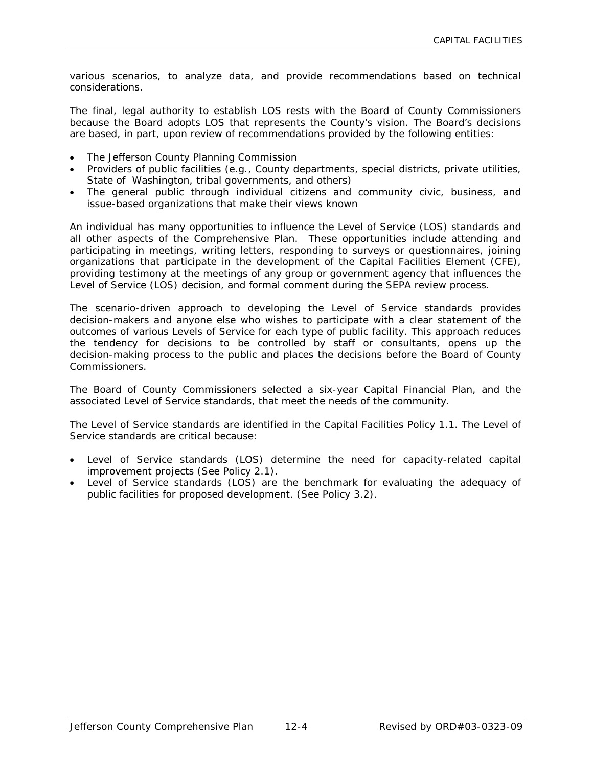various scenarios, to analyze data, and provide recommendations based on technical considerations.

The final, legal authority to establish LOS rests with the Board of County Commissioners because the Board adopts LOS that represents the County's vision. The Board's decisions are based, in part, upon review of recommendations provided by the following entities:

- The Jefferson County Planning Commission
- Providers of public facilities (e.g., County departments, special districts, private utilities, State of Washington, tribal governments, and others)
- The general public through individual citizens and community civic, business, and issue-based organizations that make their views known

An individual has many opportunities to influence the Level of Service (LOS) standards and all other aspects of the Comprehensive Plan. These opportunities include attending and participating in meetings, writing letters, responding to surveys or questionnaires, joining organizations that participate in the development of the Capital Facilities Element (CFE), providing testimony at the meetings of any group or government agency that influences the Level of Service (LOS) decision, and formal comment during the SEPA review process.

The scenario-driven approach to developing the Level of Service standards provides decision-makers and anyone else who wishes to participate with a clear statement of the outcomes of various Levels of Service for each type of public facility. This approach reduces the tendency for decisions to be controlled by staff or consultants, opens up the decision-making process to the public and places the decisions before the Board of County Commissioners.

The Board of County Commissioners selected a six-year Capital Financial Plan, and the associated Level of Service standards, that meet the needs of the community.

The Level of Service standards are identified in the Capital Facilities Policy 1.1. The Level of Service standards are critical because:

- Level of Service standards (LOS) determine the need for capacity-related capital improvement projects (See Policy 2.1).
- Level of Service standards (LOS) are the benchmark for evaluating the adequacy of public facilities for proposed development. (See Policy 3.2).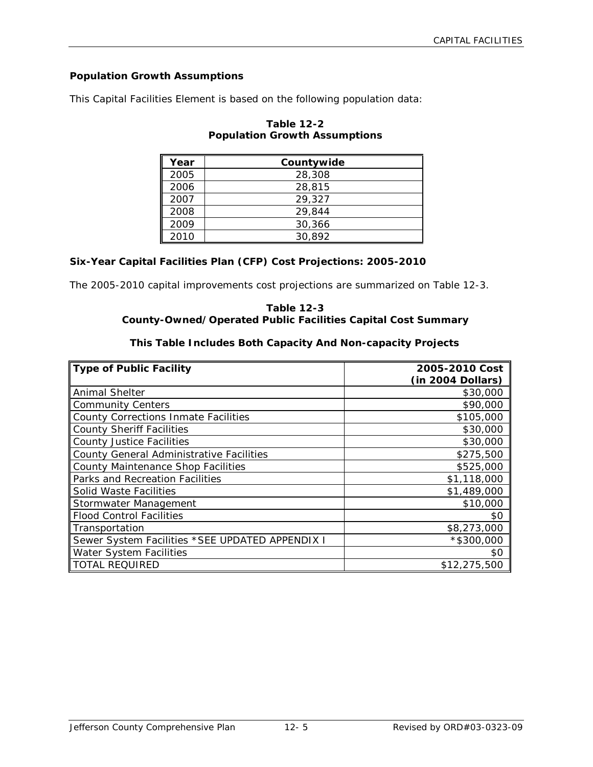# **Population Growth Assumptions**

This Capital Facilities Element is based on the following population data:

| Year | Countywide |
|------|------------|
| 2005 | 28,308     |
| 2006 | 28,815     |
| 2007 | 29,327     |
| 2008 | 29,844     |
| 2009 | 30,366     |
| 2010 | 30,892     |

# **Table 12-2 Population Growth Assumptions**

# **Six-Year Capital Facilities Plan (CFP) Cost Projections: 2005-2010**

The 2005-2010 capital improvements cost projections are summarized on Table 12-3.

#### **Table 12-3 County-Owned/Operated Public Facilities Capital Cost Summary**

# **This Table Includes Both Capacity And Non-capacity Projects**

| <b>Type of Public Facility</b>                  | 2005-2010 Cost    |
|-------------------------------------------------|-------------------|
|                                                 | (in 2004 Dollars) |
| Animal Shelter                                  | \$30,000          |
| <b>Community Centers</b>                        | \$90,000          |
| County Corrections Inmate Facilities            | \$105,000         |
| <b>County Sheriff Facilities</b>                | \$30,000          |
| <b>County Justice Facilities</b>                | \$30,000          |
| <b>County General Administrative Facilities</b> | \$275,500         |
| <b>County Maintenance Shop Facilities</b>       | \$525,000         |
| Parks and Recreation Facilities                 | \$1,118,000       |
| Solid Waste Facilities                          | \$1,489,000       |
| Stormwater Management                           | \$10,000          |
| <b>Flood Control Facilities</b>                 | \$0               |
| Transportation                                  | \$8,273,000       |
| Sewer System Facilities *SEE UPDATED APPENDIX I | $*$ \$300,000     |
| <b>Water System Facilities</b>                  | \$0               |
| <b>TOTAL REQUIRED</b>                           | \$12,275,500      |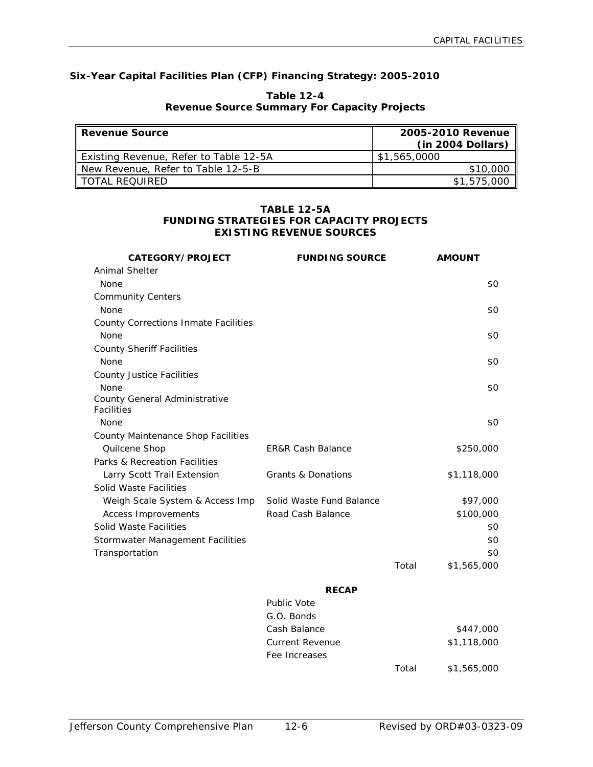# **Six-Year Capital Facilities Plan (CFP) Financing Strategy: 2005-2010**

| <b>ll Revenue Source</b>               | 2005-2010 Revenue<br>(in 2004 Dollars) |  |
|----------------------------------------|----------------------------------------|--|
| Existing Revenue, Refer to Table 12-5A | \$1,565,0000                           |  |
| New Revenue, Refer to Table 12-5-B     | \$10,000                               |  |
| II TOTAL REQUIRED                      | \$1,575,000                            |  |

#### **Table 12-4 Revenue Source Summary For Capacity Projects**

#### **TABLE 12-5A FUNDING STRATEGIES FOR CAPACITY PROJECTS EXISTING REVENUE SOURCES**

| CATEGORY/PROJECT                                   | <b>FUNDING SOURCE</b>         |       | <b>AMOUNT</b> |
|----------------------------------------------------|-------------------------------|-------|---------------|
| Animal Shelter                                     |                               |       |               |
| None                                               |                               |       | \$0           |
| <b>Community Centers</b>                           |                               |       |               |
| None                                               |                               |       | \$0           |
| <b>County Corrections Inmate Facilities</b>        |                               |       |               |
| None                                               |                               |       | \$0           |
| <b>County Sheriff Facilities</b>                   |                               |       |               |
| <b>None</b>                                        |                               |       | \$0           |
| <b>County Justice Facilities</b>                   |                               |       |               |
| None                                               |                               |       | \$0           |
| County General Administrative<br><b>Facilities</b> |                               |       |               |
| None                                               |                               |       | \$0           |
| County Maintenance Shop Facilities                 |                               |       |               |
| Quilcene Shop                                      | <b>ER&amp;R Cash Balance</b>  |       | \$250,000     |
| Parks & Recreation Facilities                      |                               |       |               |
| Larry Scott Trail Extension                        | <b>Grants &amp; Donations</b> |       | \$1,118,000   |
| Solid Waste Facilities                             |                               |       |               |
| Weigh Scale System & Access Imp                    | Solid Waste Fund Balance      |       | \$97,000      |
| <b>Access Improvements</b>                         | Road Cash Balance             |       | \$100,000     |
| Solid Waste Facilities                             |                               |       | \$0           |
| Stormwater Management Facilities                   |                               |       | \$0           |
| Transportation                                     |                               |       | \$0           |
|                                                    |                               | Total | \$1,565,000   |
|                                                    | <b>RECAP</b>                  |       |               |
|                                                    | <b>Public Vote</b>            |       |               |
|                                                    | G.O. Bonds                    |       |               |
|                                                    | Cash Balance                  |       | \$447,000     |
|                                                    | <b>Current Revenue</b>        |       | \$1,118,000   |
|                                                    | Fee Increases                 |       |               |
|                                                    |                               | Total | \$1,565,000   |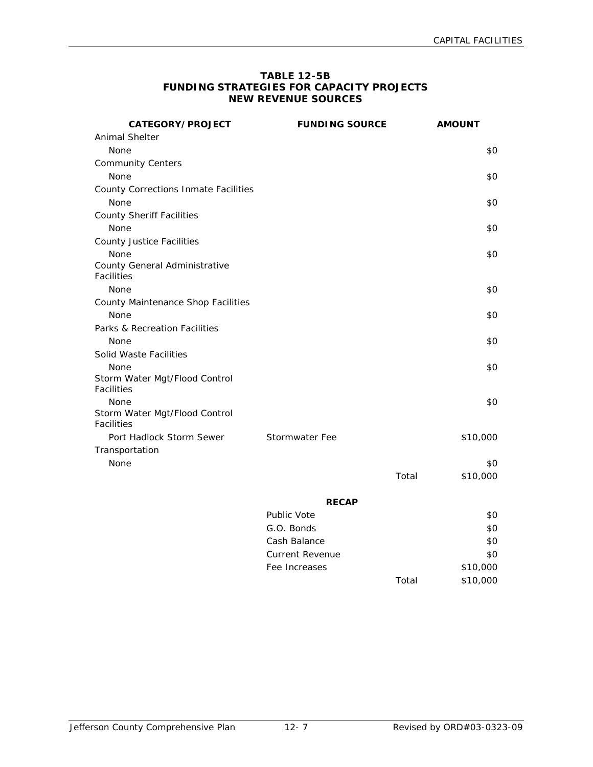#### **TABLE 12-5B FUNDING STRATEGIES FOR CAPACITY PROJECTS NEW REVENUE SOURCES**

| CATEGORY/PROJECT                                   | <b>FUNDING SOURCE</b> | <b>AMOUNT</b>     |
|----------------------------------------------------|-----------------------|-------------------|
| Animal Shelter                                     |                       |                   |
| None                                               |                       | \$0               |
| <b>Community Centers</b>                           |                       |                   |
| None                                               |                       | \$0               |
| <b>County Corrections Inmate Facilities</b>        |                       |                   |
| None                                               |                       | \$0               |
| <b>County Sheriff Facilities</b>                   |                       |                   |
| None                                               |                       | \$0               |
| County Justice Facilities                          |                       |                   |
| None                                               |                       | \$0               |
| County General Administrative                      |                       |                   |
| Facilities                                         |                       |                   |
| None                                               |                       | \$0               |
| County Maintenance Shop Facilities                 |                       |                   |
| None                                               |                       | \$0               |
| Parks & Recreation Facilities                      |                       |                   |
| None                                               |                       | \$0               |
| Solid Waste Facilities                             |                       |                   |
| None                                               |                       | \$0               |
| Storm Water Mgt/Flood Control<br><b>Facilities</b> |                       |                   |
| None                                               |                       | \$0               |
| Storm Water Mgt/Flood Control<br><b>Facilities</b> |                       |                   |
| Port Hadlock Storm Sewer                           | <b>Stormwater Fee</b> | \$10,000          |
| Transportation                                     |                       |                   |
| None                                               |                       | \$0               |
|                                                    |                       | Total<br>\$10,000 |
|                                                    |                       |                   |
|                                                    | <b>RECAP</b>          |                   |
|                                                    | Public Vote           | \$0               |

| Public Vote     |       | \$0      |
|-----------------|-------|----------|
| G.O. Bonds      |       | \$0      |
| Cash Balance    |       | \$0      |
| Current Revenue |       | \$0      |
| Fee Increases   |       | \$10,000 |
|                 | Total | \$10,000 |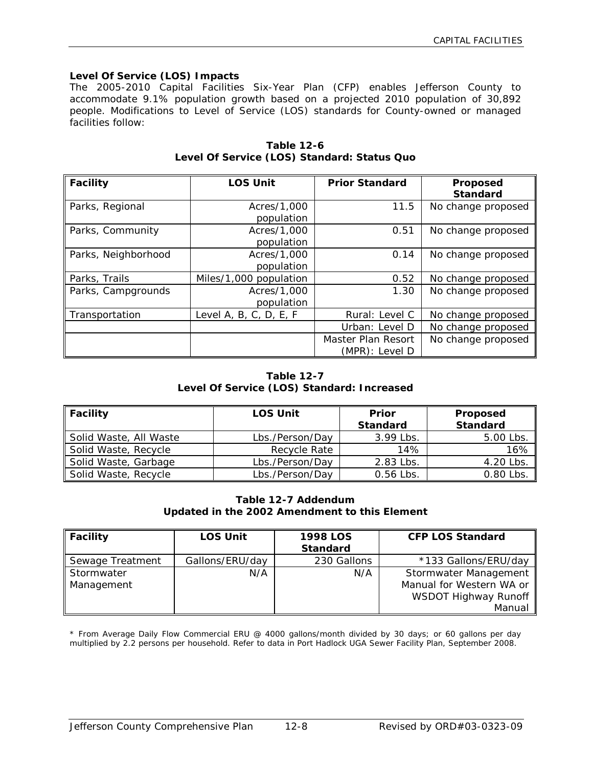#### **Level Of Service (LOS) Impacts**

The 2005-2010 Capital Facilities Six-Year Plan (CFP) enables Jefferson County to accommodate 9.1% population growth based on a projected 2010 population of 30,892 people. Modifications to Level of Service (LOS) standards for County-owned or managed facilities follow:

| <b>Facility</b>     | <b>LOS Unit</b>        | <b>Prior Standard</b> | Proposed<br><b>Standard</b> |
|---------------------|------------------------|-----------------------|-----------------------------|
| Parks, Regional     | Acres/1,000            | 11.5                  | No change proposed          |
|                     | population             |                       |                             |
| Parks, Community    | Acres/1,000            | 0.51                  | No change proposed          |
|                     | population             |                       |                             |
| Parks, Neighborhood | Acres/1,000            | 0.14                  | No change proposed          |
|                     | population             |                       |                             |
| Parks, Trails       | Miles/1,000 population | 0.52                  | No change proposed          |
| Parks, Campgrounds  | Acres/1,000            | 1.30                  | No change proposed          |
|                     | population             |                       |                             |
| Transportation      | Level A, B, C, D, E, F | Rural: Level C        | No change proposed          |
|                     |                        | Urban: Level D        | No change proposed          |
|                     |                        | Master Plan Resort    | No change proposed          |
|                     |                        | (MPR): Level D        |                             |

**Table 12-6 Level Of Service (LOS) Standard: Status Quo**

# **Table 12-7 Level Of Service (LOS) Standard: Increased**

| Facility               | <b>LOS Unit</b> | <b>Prior</b><br><b>Standard</b> | Proposed<br><b>Standard</b> |
|------------------------|-----------------|---------------------------------|-----------------------------|
| Solid Waste, All Waste | Lbs./Person/Day | 3.99 Lbs.                       | 5.00 Lbs.                   |
| Solid Waste, Recycle   | Recycle Rate    | 14%                             | 16%                         |
| Solid Waste, Garbage   | Lbs./Person/Day | 2.83 Lbs.                       | 4.20 Lbs.                   |
| Solid Waste, Recycle   | Lbs./Person/Day | $0.56$ Lbs.                     | 0.80 Lbs.                   |

#### **Table 12-7 Addendum Updated in the 2002 Amendment to this Element**

| <b>Facility</b>          | <b>LOS Unit</b> | <b>1998 LOS</b><br><b>Standard</b> | <b>CFP LOS Standard</b>                                                   |
|--------------------------|-----------------|------------------------------------|---------------------------------------------------------------------------|
| Sewage Treatment         | Gallons/ERU/day | 230 Gallons                        | *133 Gallons/ERU/day                                                      |
| Stormwater<br>Management | N/A             | N/A                                | Stormwater Management<br>Manual for Western WA or<br>WSDOT Highway Runoff |
|                          |                 |                                    | Manual                                                                    |

\* From Average Daily Flow Commercial ERU @ 4000 gallons/month divided by 30 days; or 60 gallons per day multiplied by 2.2 persons per household. Refer to data in Port Hadlock UGA Sewer Facility Plan, September 2008.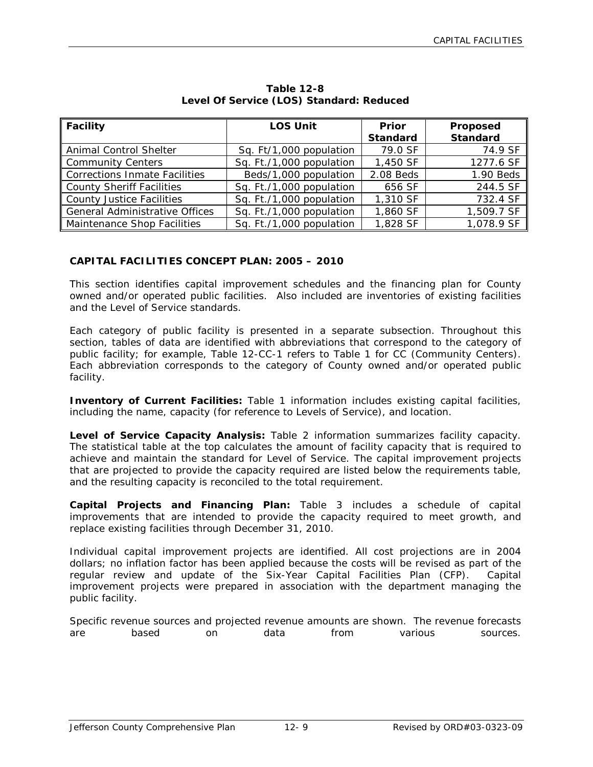| Facility                       | <b>LOS Unit</b>          | <b>Prior</b><br><b>Standard</b> | Proposed<br><b>Standard</b> |
|--------------------------------|--------------------------|---------------------------------|-----------------------------|
| Animal Control Shelter         | Sq. Ft/1,000 population  | 79.0 SF                         | 74.9 SF                     |
| Community Centers              | Sq. Ft./1,000 population | 1,450 SF                        | 1277.6 SF                   |
| Corrections Inmate Facilities  | Beds/1,000 population    | 2.08 Beds                       | 1.90 Beds                   |
| County Sheriff Facilities      | Sq. Ft./1,000 population | 656 SF                          | 244.5 SF                    |
| County Justice Facilities      | Sq. Ft./1,000 population | 1,310 SF                        | 732.4 SF                    |
| General Administrative Offices | Sq. Ft./1,000 population | 1,860 SF                        | 1,509.7 SF                  |
| Maintenance Shop Facilities    | Sq. Ft./1,000 population | 1,828 SF                        | 1,078.9 SF                  |

**Table 12-8 Level Of Service (LOS) Standard: Reduced**

# **CAPITAL FACILITIES CONCEPT PLAN: 2005 – 2010**

This section identifies capital improvement schedules and the financing plan for County owned and/or operated public facilities. Also included are inventories of existing facilities and the Level of Service standards.

Each category of public facility is presented in a separate subsection. Throughout this section, tables of data are identified with abbreviations that correspond to the category of public facility; for example, Table 12-CC-1 refers to Table 1 for CC (Community Centers). Each abbreviation corresponds to the category of County owned and/or operated public facility.

**Inventory of Current Facilities:** Table 1 information includes existing capital facilities, including the name, capacity (for reference to Levels of Service), and location.

**Level of Service Capacity Analysis:** Table 2 information summarizes facility capacity. The statistical table at the top calculates the amount of facility capacity that is required to achieve and maintain the standard for Level of Service. The capital improvement projects that are projected to provide the capacity required are listed below the requirements table, and the resulting capacity is reconciled to the total requirement.

**Capital Projects and Financing Plan:** Table 3 includes a schedule of capital improvements that are intended to provide the capacity required to meet growth, and replace existing facilities through December 31, 2010.

Individual capital improvement projects are identified. All cost projections are in 2004 dollars; no inflation factor has been applied because the costs will be revised as part of the regular review and update of the Six-Year Capital Facilities Plan (CFP). Capital improvement projects were prepared in association with the department managing the public facility.

Specific revenue sources and projected revenue amounts are shown. The revenue forecasts are based on data from various sources.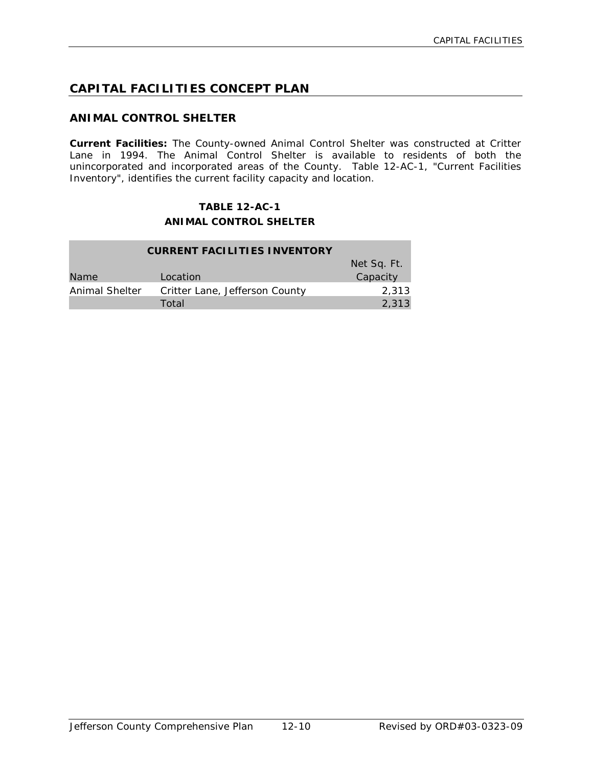# **CAPITAL FACILITIES CONCEPT PLAN**

# **ANIMAL CONTROL SHELTER**

**Current Facilities:** The County-owned Animal Control Shelter was constructed at Critter Lane in 1994. The Animal Control Shelter is available to residents of both the unincorporated and incorporated areas of the County. Table 12-AC-1, "Current Facilities Inventory", identifies the current facility capacity and location.

# **TABLE 12-AC-1 ANIMAL CONTROL SHELTER**

| <b>CURRENT FACILITIES INVENTORY</b> |                                |             |
|-------------------------------------|--------------------------------|-------------|
|                                     |                                | Net Sq. Ft. |
| <b>Name</b>                         | Location                       | Capacity    |
| Animal Shelter                      | Critter Lane, Jefferson County | 2.313       |
|                                     | Total                          | 2,313       |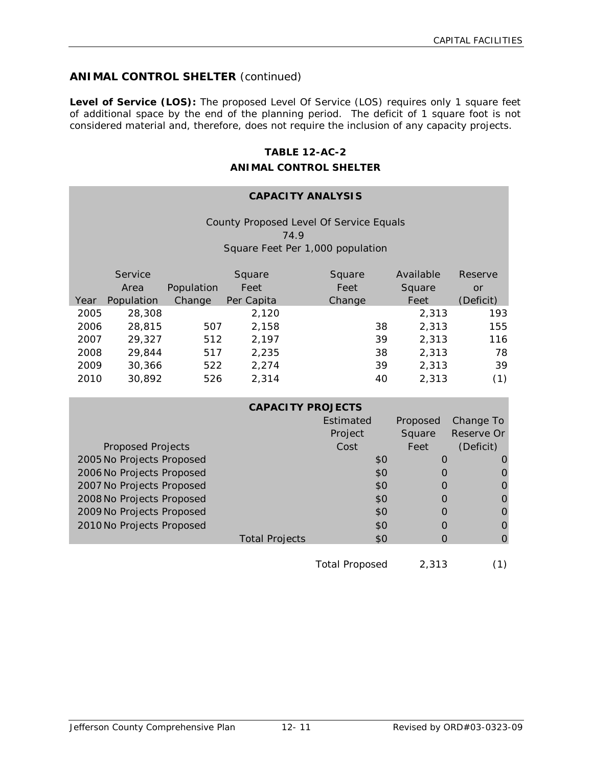# **ANIMAL CONTROL SHELTER** (continued)

Level of Service (LOS): The proposed Level Of Service (LOS) requires only 1 square feet of additional space by the end of the planning period. The deficit of 1 square foot is not considered material and, therefore, does not require the inclusion of any capacity projects.

### **TABLE 12-AC-2**

#### **ANIMAL CONTROL SHELTER**

# **CAPACITY ANALYSIS**

County Proposed Level Of Service Equals 74.9 Square Feet Per 1,000 population

|      | Service<br>Area | Population | Square<br>Feet | Square<br>Feet | Available<br>Square | Reserve<br>or |
|------|-----------------|------------|----------------|----------------|---------------------|---------------|
|      |                 |            |                |                |                     |               |
| Year | Population      | Change     | Per Capita     | Change         | Feet                | (Deficit)     |
| 2005 | 28,308          |            | 2,120          |                | 2,313               | 193           |
| 2006 | 28,815          | 507        | 2,158          | 38             | 2,313               | 155           |
| 2007 | 29,327          | 512        | 2,197          | 39             | 2,313               | 116           |
| 2008 | 29,844          | 517        | 2,235          | 38             | 2,313               | 78            |
| 2009 | 30,366          | 522        | 2,274          | 39             | 2,313               | 39            |
| 2010 | 30,892          | 526        | 2,314          | 40             | 2,313               | (1)           |

|                           | <b>CAPACITY PROJECTS</b> |                  |          |            |
|---------------------------|--------------------------|------------------|----------|------------|
|                           |                          | <b>Fstimated</b> | Proposed | Change To  |
|                           |                          | Project          | Square   | Reserve Or |
| <b>Proposed Projects</b>  |                          | Cost             | Feet     | (Deficit)  |
| 2005 No Projects Proposed |                          | \$0              | O        |            |
| 2006 No Projects Proposed |                          | \$0              |          |            |
| 2007 No Projects Proposed |                          | \$0              |          |            |
| 2008 No Projects Proposed |                          | \$0              |          |            |
| 2009 No Projects Proposed |                          | \$0              |          |            |
| 2010 No Projects Proposed |                          | \$0              | O        |            |
|                           | <b>Total Projects</b>    | \$0              |          |            |
|                           |                          |                  |          |            |

Total Proposed 2,313 (1)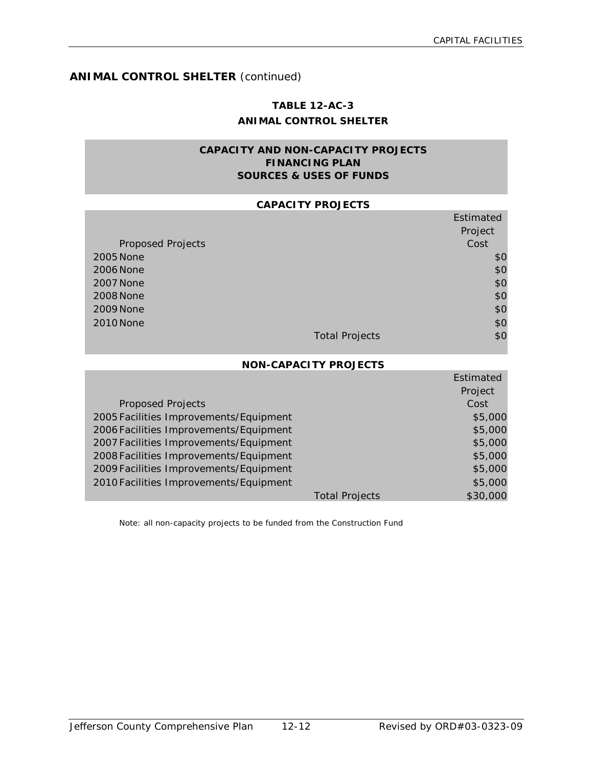# **ANIMAL CONTROL SHELTER** (continued)

# **TABLE 12-AC-3 ANIMAL CONTROL SHELTER**

# **CAPACITY AND NON-CAPACITY PROJECTS FINANCING PLAN SOURCES & USES OF FUNDS**

#### **CAPACITY PROJECTS**

|                          |                       | Estimated |
|--------------------------|-----------------------|-----------|
|                          |                       | Project   |
| <b>Proposed Projects</b> |                       | Cost      |
| 2005 None                |                       | \$0       |
| 2006 None                |                       | \$0       |
| <b>2007 None</b>         |                       | \$0       |
| <b>2008 None</b>         |                       | \$0       |
| 2009 None                |                       | \$0       |
| 2010 None                |                       | \$0       |
|                          | <b>Total Projects</b> | \$0       |

#### **NON-CAPACITY PROJECTS**

|                                        |                       | Estimated |
|----------------------------------------|-----------------------|-----------|
|                                        |                       | Project   |
| <b>Proposed Projects</b>               |                       | Cost      |
| 2005 Facilities Improvements/Equipment |                       | \$5,000   |
| 2006 Facilities Improvements/Equipment |                       | \$5,000   |
| 2007 Facilities Improvements/Equipment |                       | \$5,000   |
| 2008 Facilities Improvements/Equipment |                       | \$5,000   |
| 2009 Facilities Improvements/Equipment |                       | \$5,000   |
| 2010 Facilities Improvements/Equipment |                       | \$5,000   |
|                                        | <b>Total Projects</b> | \$30,000  |

Note: all non-capacity projects to be funded from the Construction Fund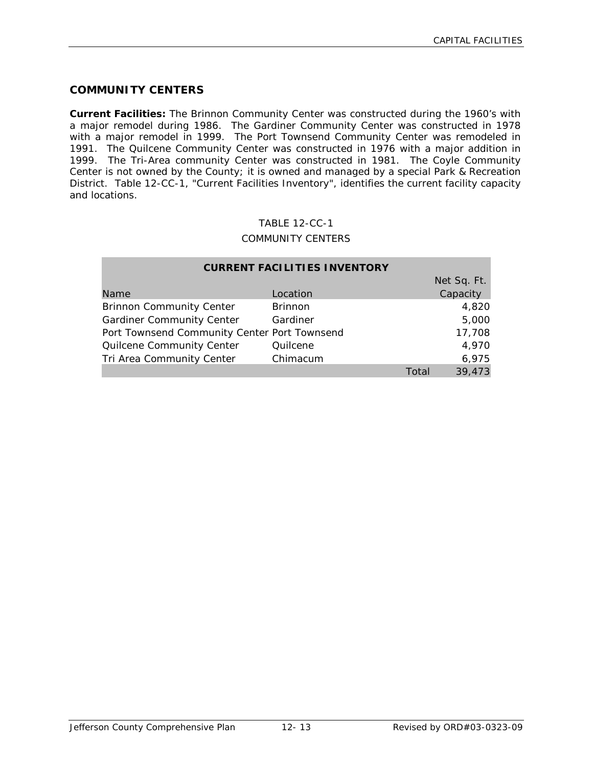# **COMMUNITY CENTERS**

**Current Facilities:** The Brinnon Community Center was constructed during the 1960's with a major remodel during 1986. The Gardiner Community Center was constructed in 1978 with a major remodel in 1999. The Port Townsend Community Center was remodeled in 1991. The Quilcene Community Center was constructed in 1976 with a major addition in 1999. The Tri-Area community Center was constructed in 1981. The Coyle Community Center is not owned by the County; it is owned and managed by a special Park & Recreation District. Table 12-CC-1, "Current Facilities Inventory", identifies the current facility capacity and locations.

#### TABLE 12-CC-1

#### COMMUNITY CENTERS

| <b>CURRENT FACILITIES INVENTORY</b>          |                |       |             |  |  |
|----------------------------------------------|----------------|-------|-------------|--|--|
|                                              |                |       | Net Sq. Ft. |  |  |
| Name                                         | Location       |       | Capacity    |  |  |
| <b>Brinnon Community Center</b>              | <b>Brinnon</b> |       | 4,820       |  |  |
| <b>Gardiner Community Center</b>             | Gardiner       |       | 5,000       |  |  |
| Port Townsend Community Center Port Townsend |                |       | 17,708      |  |  |
| Quilcene Community Center                    | Quilcene       |       | 4,970       |  |  |
| Tri Area Community Center                    | Chimacum       |       | 6,975       |  |  |
|                                              |                | Total | 39,473      |  |  |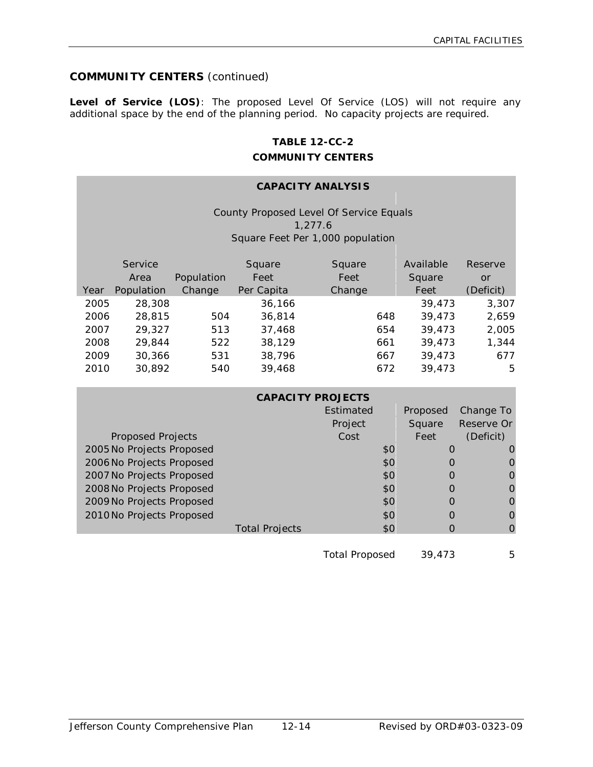# **COMMUNITY CENTERS** (continued)

**Level of Service (LOS)**: The proposed Level Of Service (LOS) will not require any additional space by the end of the planning period. No capacity projects are required.

# **TABLE 12-CC-2 COMMUNITY CENTERS**

# **CAPACITY ANALYSIS**

County Proposed Level Of Service Equals 1,277.6 Square Feet Per 1,000 population

|      | Service    |            | Square     | Square | Available | Reserve   |
|------|------------|------------|------------|--------|-----------|-----------|
|      | Area       | Population | Feet       | Feet   | Square    | or        |
| Year | Population | Change     | Per Capita | Change | Feet      | (Deficit) |
| 2005 | 28,308     |            | 36,166     |        | 39,473    | 3,307     |
| 2006 | 28,815     | 504        | 36,814     | 648    | 39,473    | 2,659     |
| 2007 | 29,327     | 513        | 37,468     | 654    | 39,473    | 2,005     |
| 2008 | 29,844     | 522        | 38,129     | 661    | 39,473    | 1,344     |
| 2009 | 30,366     | 531        | 38,796     | 667    | 39,473    | 677       |
| 2010 | 30,892     | 540        | 39,468     | 672    | 39,473    | 5         |

|                           |                       | <b>CAPACITY PROJECTS</b> |          |            |
|---------------------------|-----------------------|--------------------------|----------|------------|
|                           |                       | Estimated                | Proposed | Change To  |
|                           |                       | Project                  | Square   | Reserve Or |
| <b>Proposed Projects</b>  |                       | Cost                     | Feet     | (Deficit)  |
| 2005 No Projects Proposed |                       | \$0                      | O        |            |
| 2006 No Projects Proposed |                       | \$0                      |          |            |
| 2007 No Projects Proposed |                       | \$0                      |          |            |
| 2008 No Projects Proposed |                       | \$0                      |          | O          |
| 2009 No Projects Proposed |                       | \$0                      |          | O          |
| 2010 No Projects Proposed |                       | \$0                      |          | O          |
|                           | <b>Total Projects</b> | \$0                      |          | $\Omega$   |
|                           |                       |                          |          |            |

Total Proposed 39,473 5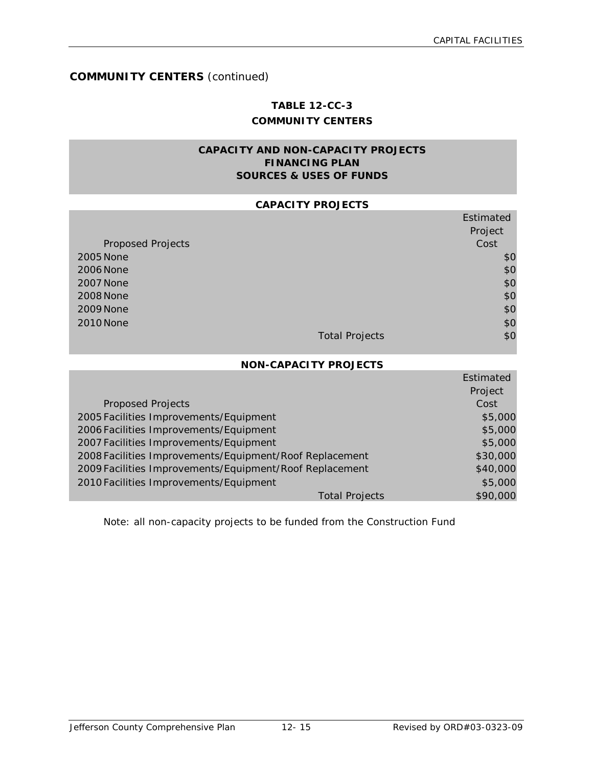# **COMMUNITY CENTERS** (continued)

# **TABLE 12-CC-3 COMMUNITY CENTERS**

# **CAPACITY AND NON-CAPACITY PROJECTS FINANCING PLAN SOURCES & USES OF FUNDS**

#### **CAPACITY PROJECTS**

|                          |                       | Estimated |
|--------------------------|-----------------------|-----------|
|                          |                       | Project   |
| <b>Proposed Projects</b> |                       | Cost      |
| 2005 None                |                       | \$0       |
| 2006 None                |                       | \$0       |
| 2007 None                |                       | \$0       |
| <b>2008 None</b>         |                       | \$0       |
| 2009 None                |                       | \$0       |
| 2010 None                |                       | \$0       |
|                          | <b>Total Projects</b> | \$0       |

#### **NON-CAPACITY PROJECTS**

|                                                         | Estimated |
|---------------------------------------------------------|-----------|
|                                                         | Project   |
| <b>Proposed Projects</b>                                | Cost      |
| 2005 Facilities Improvements/Equipment                  | \$5,000   |
| 2006 Facilities Improvements/Equipment                  | \$5,000   |
| 2007 Facilities Improvements/Equipment                  | \$5,000   |
| 2008 Facilities Improvements/Equipment/Roof Replacement | \$30,000  |
| 2009 Facilities Improvements/Equipment/Roof Replacement | \$40,000  |
| 2010 Facilities Improvements/Equipment                  | \$5,000   |
| <b>Total Projects</b>                                   | \$90,000  |

Note: all non-capacity projects to be funded from the Construction Fund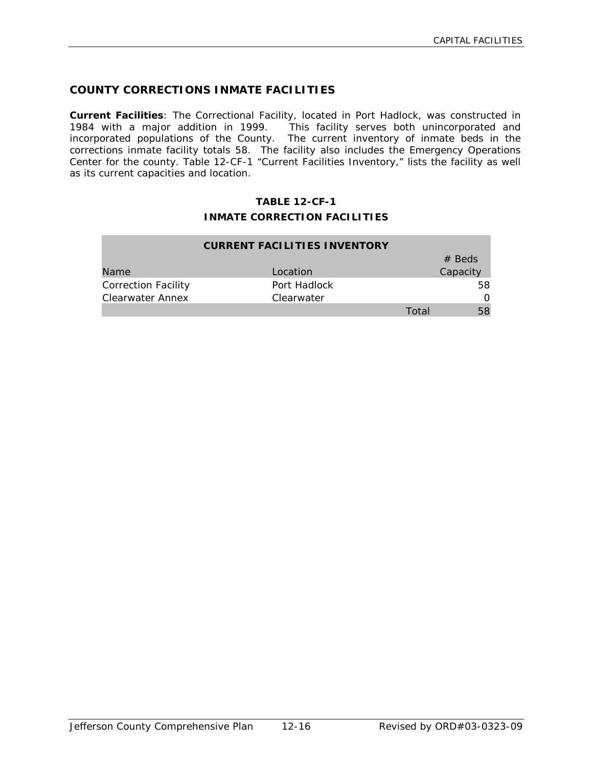# **COUNTY CORRECTIONS INMATE FACILITIES**

**Current Facilities**: The Correctional Facility, located in Port Hadlock, was constructed in 1984 with a major addition in 1999. This facility serves both unincorporated and incorporated populations of the County. The current inventory of inmate beds in the corrections inmate facility totals 58. The facility also includes the Emergency Operations Center for the county. Table 12-CF-1 "Current Facilities Inventory," lists the facility as well as its current capacities and location.

# **TABLE 12-CF-1 INMATE CORRECTION FACILITIES**

| <b>CURRENT FACILITIES INVENTORY</b> |              |       |          |  |  |
|-------------------------------------|--------------|-------|----------|--|--|
|                                     |              |       | $#$ Beds |  |  |
| Name                                | Location     |       | Capacity |  |  |
| <b>Correction Facility</b>          | Port Hadlock |       | 58       |  |  |
| Clearwater Annex                    | Clearwater   |       | 0        |  |  |
|                                     |              | Total | 58       |  |  |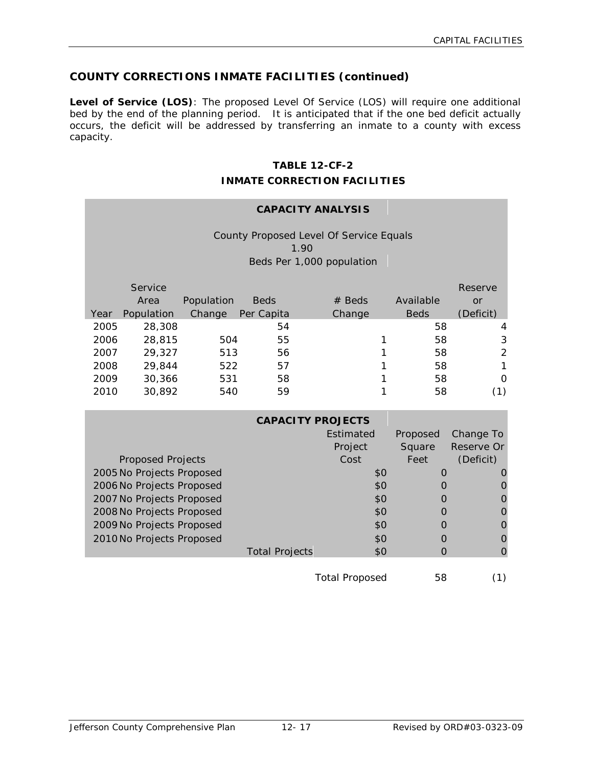# **COUNTY CORRECTIONS INMATE FACILITIES (continued)**

**Level of Service (LOS)**: The proposed Level Of Service (LOS) will require one additional bed by the end of the planning period. It is anticipated that if the one bed deficit actually occurs, the deficit will be addressed by transferring an inmate to a county with excess capacity.

# **TABLE 12-CF-2**

#### **INMATE CORRECTION FACILITIES**

# **CAPACITY ANALYSIS**

County Proposed Level Of Service Equals 1.90 Beds Per 1,000 population

| Year | Service<br>Area<br>Population | Population<br>Change | <b>Beds</b><br>Per Capita | $#$ Beds<br>Change | Available<br><b>Beds</b> | <b>Reserve</b><br>or<br>(Deficit) |
|------|-------------------------------|----------------------|---------------------------|--------------------|--------------------------|-----------------------------------|
| 2005 | 28,308                        |                      | 54                        |                    | 58                       | 4                                 |
| 2006 | 28,815                        | 504                  | 55                        |                    | 58                       | 3                                 |
| 2007 | 29,327                        | 513                  | 56                        |                    | 58                       | 2                                 |
| 2008 | 29,844                        | 522                  | 57                        |                    | 58                       | 1                                 |
| 2009 | 30,366                        | 531                  | 58                        |                    | 58                       | 0                                 |
| 2010 | 30,892                        | 540                  | 59                        |                    | 58                       | (1)                               |

|                           | <b>CAPACITY PROJECTS</b> |                       |          |            |
|---------------------------|--------------------------|-----------------------|----------|------------|
|                           |                          | Estimated             | Proposed | Change To  |
|                           |                          | Project               | Square   | Reserve Or |
| <b>Proposed Projects</b>  |                          | Cost                  | Feet     | (Deficit)  |
| 2005 No Projects Proposed |                          | \$0                   | 0        |            |
| 2006 No Projects Proposed |                          | \$0                   |          |            |
| 2007 No Projects Proposed |                          | \$0                   |          |            |
| 2008 No Projects Proposed |                          | \$0                   |          |            |
| 2009 No Projects Proposed |                          | \$0                   |          |            |
| 2010 No Projects Proposed |                          | \$0                   |          |            |
|                           | <b>Total Projects</b>    | \$0                   |          |            |
|                           |                          |                       |          |            |
|                           |                          | <b>Total Proposed</b> | 58       |            |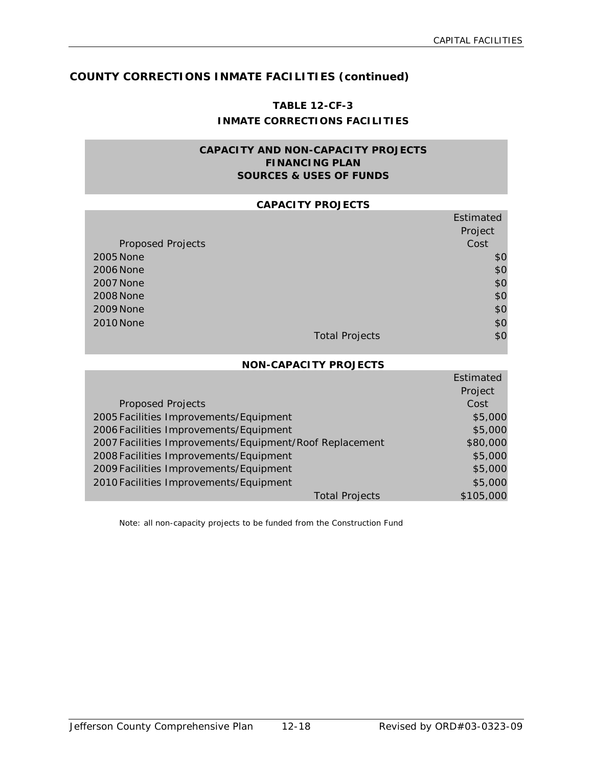Estimated

Estimated

# **COUNTY CORRECTIONS INMATE FACILITIES (continued)**

# **TABLE 12-CF-3 INMATE CORRECTIONS FACILITIES**

### **CAPACITY AND NON-CAPACITY PROJECTS FINANCING PLAN SOURCES & USES OF FUNDS**

#### **CAPACITY PROJECTS**

|                          |                       | Estimated |
|--------------------------|-----------------------|-----------|
|                          |                       | Project   |
| <b>Proposed Projects</b> |                       | Cost      |
| 2005 None                |                       | \$0       |
| 2006 None                |                       | \$0       |
| <b>2007 None</b>         |                       | \$0       |
| 2008 None                |                       | \$0       |
| 2009 None                |                       | \$0       |
| 2010 None                |                       | \$0       |
|                          | <b>Total Projects</b> | \$0       |

#### **NON-CAPACITY PROJECTS**

|                                                         | Estimated |
|---------------------------------------------------------|-----------|
|                                                         | Project   |
| <b>Proposed Projects</b>                                | Cost      |
| 2005 Facilities Improvements/Equipment                  | \$5,000   |
| 2006 Facilities Improvements/Equipment                  | \$5,000   |
| 2007 Facilities Improvements/Equipment/Roof Replacement | \$80,000  |
| 2008 Facilities Improvements/Equipment                  | \$5,000   |
| 2009 Facilities Improvements/Equipment                  | \$5,000   |
| 2010 Facilities Improvements/Equipment                  | \$5,000   |
| Total Projects                                          | \$105,000 |

Note: all non-capacity projects to be funded from the Construction Fund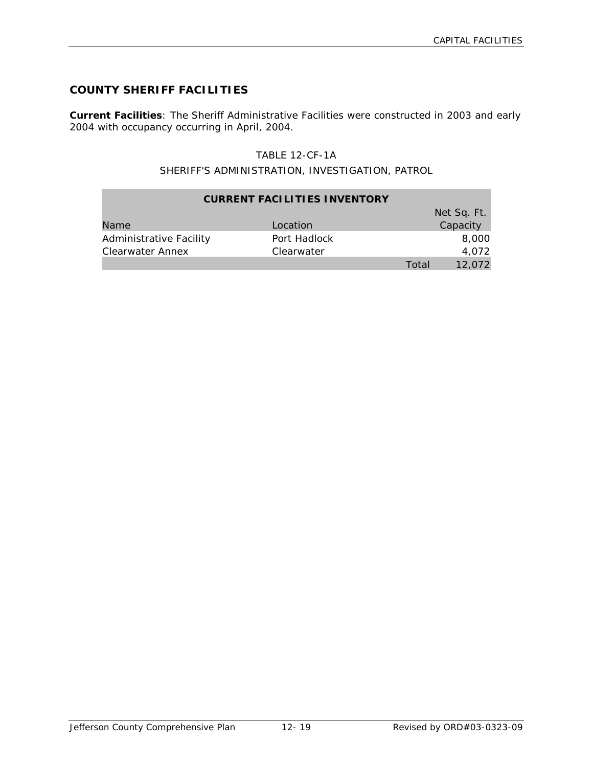# **COUNTY SHERIFF FACILITIES**

**Current Facilities**: The Sheriff Administrative Facilities were constructed in 2003 and early 2004 with occupancy occurring in April, 2004.

# TABLE 12-CF-1A

# SHERIFF'S ADMINISTRATION, INVESTIGATION, PATROL

| <b>CURRENT FACILITIES INVENTORY</b> |              |       |             |  |
|-------------------------------------|--------------|-------|-------------|--|
|                                     |              |       | Net Sq. Ft. |  |
| Name                                | Location     |       | Capacity    |  |
| Administrative Facility             | Port Hadlock |       | 8,000       |  |
| Clearwater Annex                    | Clearwater   |       | 4.072       |  |
|                                     |              | Total | 12,072      |  |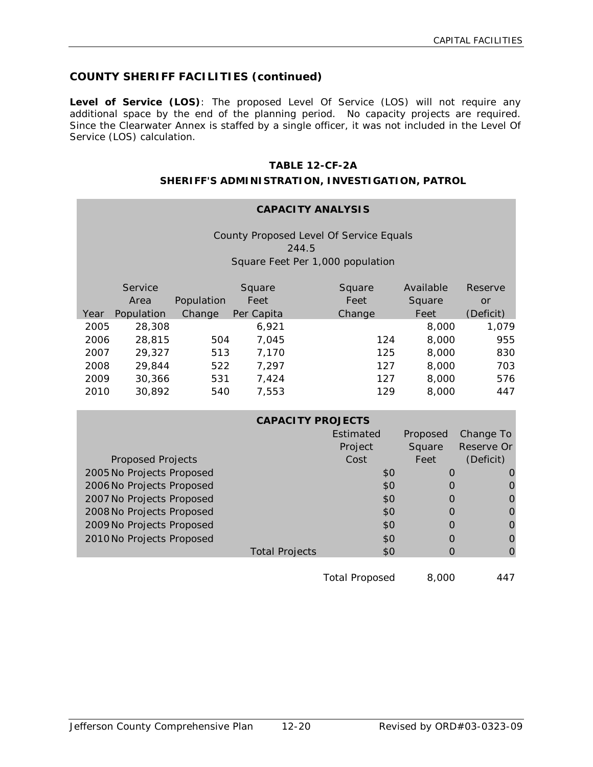# **COUNTY SHERIFF FACILITIES (continued)**

**Level of Service (LOS)**: The proposed Level Of Service (LOS) will not require any additional space by the end of the planning period. No capacity projects are required. Since the Clearwater Annex is staffed by a single officer, it was not included in the Level Of Service (LOS) calculation.

# **TABLE 12-CF-2A**

#### **SHERIFF'S ADMINISTRATION, INVESTIGATION, PATROL**

| <b>CAPACITY ANALYSIS</b> |                           |            |                                                  |           |             |                |
|--------------------------|---------------------------|------------|--------------------------------------------------|-----------|-------------|----------------|
|                          |                           |            | County Proposed Level Of Service Equals<br>244.5 |           |             |                |
|                          |                           |            |                                                  |           |             |                |
|                          |                           |            | Square Feet Per 1,000 population                 |           |             |                |
|                          | Service                   |            | Square                                           | Square    | Available   | Reserve        |
|                          | Area                      | Population | Feet                                             | Feet      | Square      | <b>or</b>      |
| Year                     | Population                | Change     | Per Capita                                       | Change    | Feet        | (Deficit)      |
| 2005                     | 28,308                    |            | 6,921                                            |           | 8,000       | 1,079          |
| 2006                     | 28,815                    | 504        | 7,045                                            | 124       | 8,000       | 955            |
| 2007                     | 29,327                    | 513        | 7,170                                            | 125       | 8,000       | 830            |
| 2008                     | 29,844                    | 522        | 7,297                                            | 127       | 8,000       | 703            |
| 2009                     | 30,366                    | 531        | 7,424                                            | 127       | 8,000       | 576            |
| 2010                     | 30,892                    | 540        | 7,553                                            | 129       | 8,000       | 447            |
|                          |                           |            | <b>CAPACITY PROJECTS</b>                         |           |             |                |
|                          |                           |            |                                                  | Estimated | Proposed    | Change To      |
|                          |                           |            |                                                  | Project   | Square      | Reserve Or     |
|                          | <b>Proposed Projects</b>  |            |                                                  | Cost      | Feet        | (Deficit)      |
|                          | 2005 No Projects Proposed |            |                                                  | \$0       | $\Omega$    | O              |
|                          | 2006 No Projects Proposed |            |                                                  | \$0       | $\Omega$    | $\mathbf 0$    |
|                          | 2007 No Projects Proposed |            |                                                  | \$0       | $\Omega$    | $\mathbf 0$    |
|                          | 2008 No Projects Proposed |            |                                                  | \$0       | $\mathbf 0$ | $\overline{O}$ |
|                          | 2009 No Projects Proposed |            |                                                  | \$0       | $\Omega$    | $\mathbf 0$    |
|                          | 2010 No Projects Proposed |            |                                                  | \$0       | $\Omega$    | $\Omega$       |
|                          |                           |            | <b>Total Projects</b>                            | \$0       | $\Omega$    | $\overline{0}$ |
|                          |                           |            |                                                  |           |             |                |

Total Proposed 8,000 447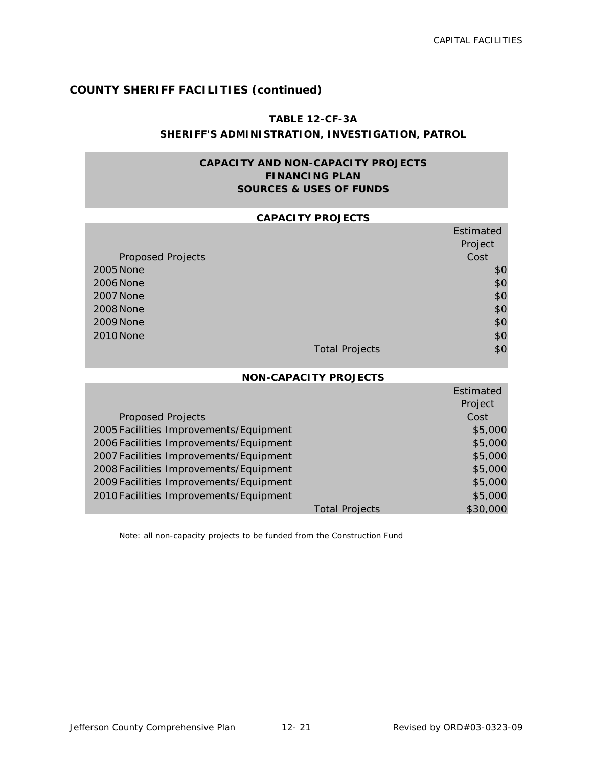Estimated

# **COUNTY SHERIFF FACILITIES (continued)**

#### **TABLE 12-CF-3A**

# **SHERIFF'S ADMINISTRATION, INVESTIGATION, PATROL**

# **CAPACITY AND NON-CAPACITY PROJECTS FINANCING PLAN SOURCES & USES OF FUNDS**

#### **CAPACITY PROJECTS**

|                          |                       | Estimated |
|--------------------------|-----------------------|-----------|
|                          |                       | Project   |
| <b>Proposed Projects</b> |                       | Cost      |
| 2005 None                |                       | \$0       |
| 2006 None                |                       | \$0       |
| 2007 None                |                       | \$0       |
| 2008 None                |                       | \$0       |
| 2009 None                |                       | \$0       |
| 2010 None                |                       | \$0       |
|                          | <b>Total Projects</b> | \$0       |

#### **NON-CAPACITY PROJECTS**

|                                        |                       | Estimated |
|----------------------------------------|-----------------------|-----------|
|                                        |                       | Project   |
| <b>Proposed Projects</b>               |                       | Cost      |
| 2005 Facilities Improvements/Equipment |                       | \$5,000   |
| 2006 Facilities Improvements/Equipment |                       | \$5,000   |
| 2007 Facilities Improvements/Equipment |                       | \$5,000   |
| 2008 Facilities Improvements/Equipment |                       | \$5,000   |
| 2009 Facilities Improvements/Equipment |                       | \$5,000   |
| 2010 Facilities Improvements/Equipment |                       | \$5,000   |
|                                        | <b>Total Projects</b> | \$30,000  |

Note: all non-capacity projects to be funded from the Construction Fund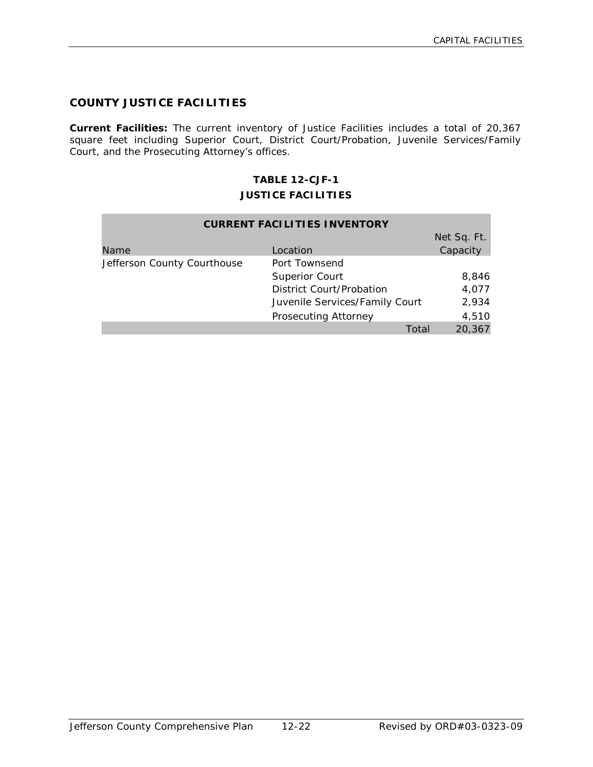# **COUNTY JUSTICE FACILITIES**

**Current Facilities:** The current inventory of Justice Facilities includes a total of 20,367 square feet including Superior Court, District Court/Probation, Juvenile Services/Family Court, and the Prosecuting Attorney's offices.

# **TABLE 12-CJF-1 JUSTICE FACILITIES**

| <b>CURRENT FACILITIES INVENTORY</b> |                                |                 |  |
|-------------------------------------|--------------------------------|-----------------|--|
|                                     |                                | Net Sq. Ft.     |  |
| Name                                | Location                       | Capacity        |  |
| Jefferson County Courthouse         | Port Townsend                  |                 |  |
|                                     | <b>Superior Court</b>          | 8,846           |  |
|                                     | District Court/Probation       | 4,077           |  |
|                                     | Juvenile Services/Family Court | 2,934           |  |
|                                     | Prosecuting Attorney           | 4,510           |  |
|                                     |                                | 20,367<br>Total |  |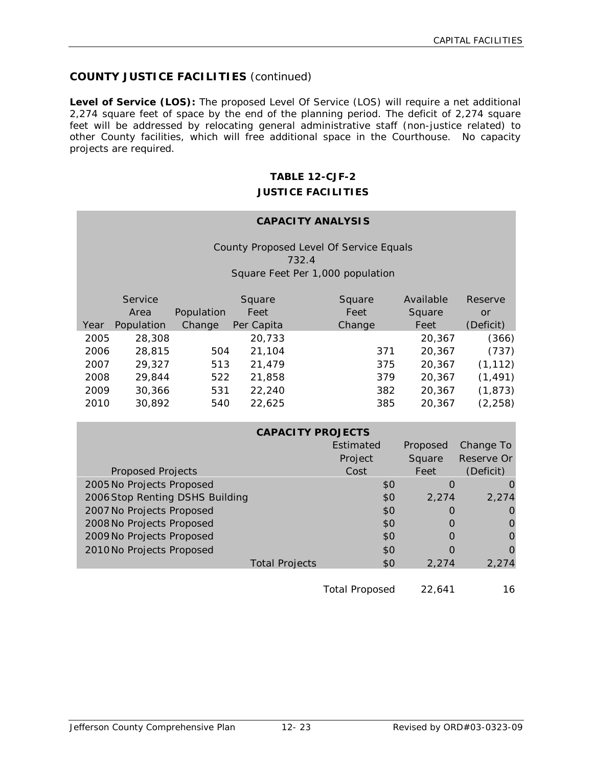# **COUNTY JUSTICE FACILITIES** (continued)

**Level of Service (LOS):** The proposed Level Of Service (LOS) will require a net additional 2,274 square feet of space by the end of the planning period. The deficit of 2,274 square feet will be addressed by relocating general administrative staff (non-justice related) to other County facilities, which will free additional space in the Courthouse. No capacity projects are required.

# **TABLE 12-CJF-2 JUSTICE FACILITIES**

#### **CAPACITY ANALYSIS**

County Proposed Level Of Service Equals 732.4 Square Feet Per 1,000 population

|      | Service<br>Area | Population | Square<br>Feet | Square<br>Feet | Available<br>Square | Reserve<br>or |
|------|-----------------|------------|----------------|----------------|---------------------|---------------|
| Year | Population      | Change     | Per Capita     | Change         | Feet                | (Deficit)     |
| 2005 | 28,308          |            | 20,733         |                | 20,367              | (366)         |
| 2006 | 28,815          | 504        | 21,104         | 371            | 20,367              | (737)         |
| 2007 | 29,327          | 513        | 21,479         | 375            | 20,367              | (1, 112)      |
| 2008 | 29,844          | 522        | 21,858         | 379            | 20,367              | (1, 491)      |
| 2009 | 30,366          | 531        | 22,240         | 382            | 20,367              | (1, 873)      |
| 2010 | 30,892          | 540        | 22,625         | 385            | 20,367              | (2, 258)      |

| <b>CAPACITY PROJECTS</b>        |                       |           |           |            |
|---------------------------------|-----------------------|-----------|-----------|------------|
|                                 |                       | Estimated | Proposed  | Change To  |
|                                 |                       | Project   | Square    | Reserve Or |
| <b>Proposed Projects</b>        |                       | Cost      | Feet      | (Deficit)  |
| 2005 No Projects Proposed       |                       | \$0       | $\Omega$  |            |
| 2006 Stop Renting DSHS Building |                       | \$0       | 2.274     | 2.274      |
| 2007 No Projects Proposed       |                       | \$0       | $\bigcap$ |            |
| 2008 No Projects Proposed       |                       | \$0       | $\bigcap$ |            |
| 2009 No Projects Proposed       |                       | \$0       | O         |            |
| 2010 No Projects Proposed       |                       | \$0       |           |            |
|                                 | <b>Total Projects</b> | \$0       | 2.274     | 2.274      |
|                                 |                       |           |           |            |

Total Proposed 22,641 16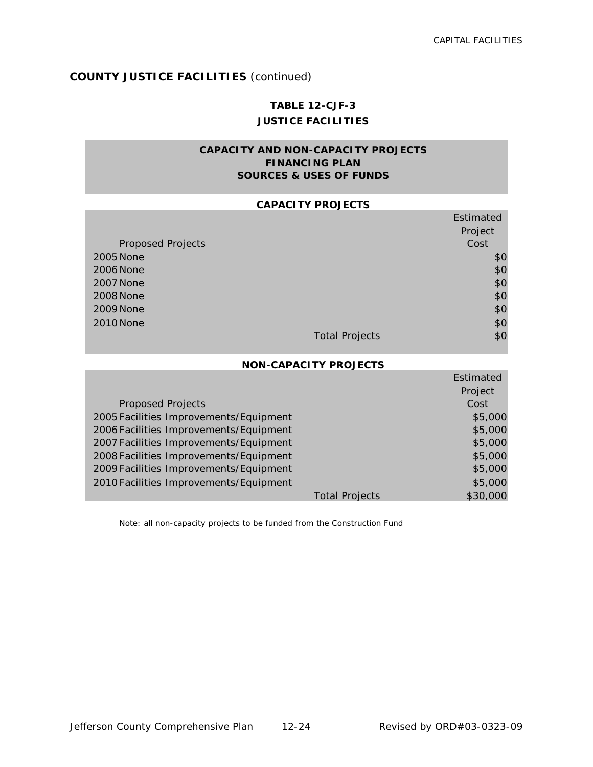Estimated

# **COUNTY JUSTICE FACILITIES** (continued)

# **TABLE 12-CJF-3 JUSTICE FACILITIES**

# **CAPACITY AND NON-CAPACITY PROJECTS FINANCING PLAN SOURCES & USES OF FUNDS**

#### **CAPACITY PROJECTS**

|                          |                       | Estimated |
|--------------------------|-----------------------|-----------|
|                          |                       | Project   |
| <b>Proposed Projects</b> |                       | Cost      |
| 2005 None                |                       | \$0       |
| 2006 None                |                       | \$0       |
| 2007 None                |                       | \$0       |
| 2008 None                |                       | \$0       |
| 2009 None                |                       | \$0       |
| 2010 None                |                       | \$0       |
|                          | <b>Total Projects</b> | \$0       |

#### **NON-CAPACITY PROJECTS**

|                                        |                       | Estimated |
|----------------------------------------|-----------------------|-----------|
|                                        |                       | Project   |
| <b>Proposed Projects</b>               |                       | Cost      |
| 2005 Facilities Improvements/Equipment |                       | \$5,000   |
| 2006 Facilities Improvements/Equipment |                       | \$5,000   |
| 2007 Facilities Improvements/Equipment |                       | \$5,000   |
| 2008 Facilities Improvements/Equipment |                       | \$5,000   |
| 2009 Facilities Improvements/Equipment |                       | \$5,000   |
| 2010 Facilities Improvements/Equipment |                       | \$5,000   |
|                                        | <b>Total Projects</b> | \$30,000  |

Note: all non-capacity projects to be funded from the Construction Fund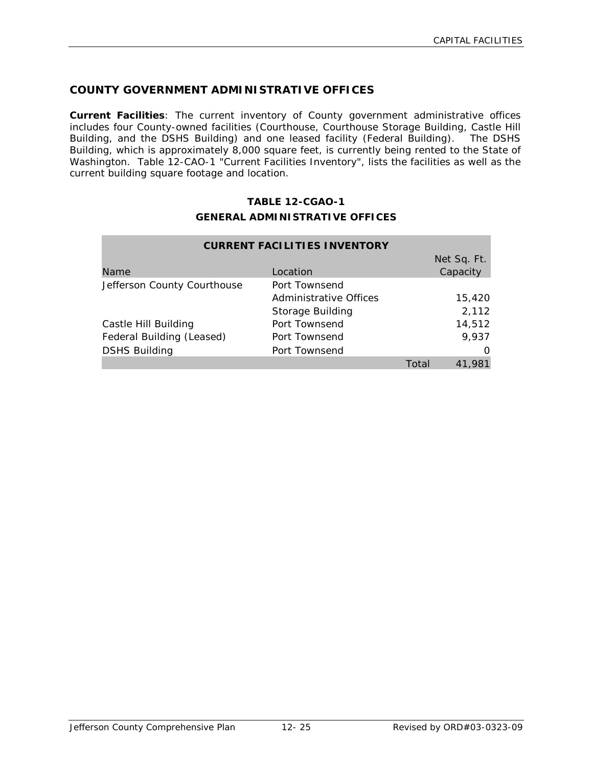# **COUNTY GOVERNMENT ADMINISTRATIVE OFFICES**

**Current Facilities**: The current inventory of County government administrative offices includes four County-owned facilities (Courthouse, Courthouse Storage Building, Castle Hill Building, and the DSHS Building) and one leased facility (Federal Building). The DSHS Building, which is approximately 8,000 square feet, is currently being rented to the State of Washington. Table 12-CAO-1 "Current Facilities Inventory", lists the facilities as well as the current building square footage and location.

# **TABLE 12-CGAO-1 GENERAL ADMINISTRATIVE OFFICES**

| <b>CURRENT FACILITIES INVENTORY</b> |                         |       |                         |
|-------------------------------------|-------------------------|-------|-------------------------|
| Name                                | Location                |       | Net Sq. Ft.<br>Capacity |
| Jefferson County Courthouse         | Port Townsend           |       |                         |
|                                     | Administrative Offices  |       | 15,420                  |
|                                     | <b>Storage Building</b> |       | 2,112                   |
| Castle Hill Building                | Port Townsend           |       | 14,512                  |
| Federal Building (Leased)           | Port Townsend           |       | 9,937                   |
| <b>DSHS Building</b>                | Port Townsend           |       | O                       |
|                                     |                         | Total | 41.981                  |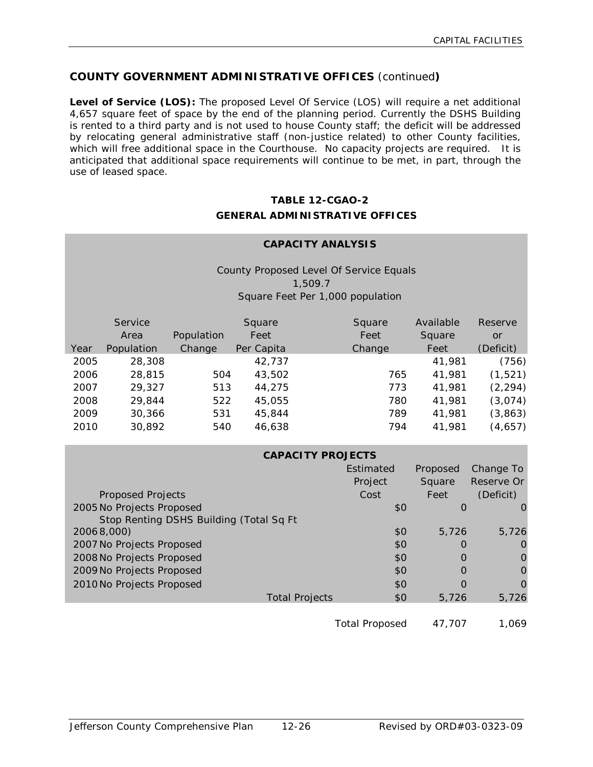# **COUNTY GOVERNMENT ADMINISTRATIVE OFFICES** (continued**)**

**Level of Service (LOS):** The proposed Level Of Service (LOS) will require a net additional 4,657 square feet of space by the end of the planning period. Currently the DSHS Building is rented to a third party and is not used to house County staff; the deficit will be addressed by relocating general administrative staff (non-justice related) to other County facilities, which will free additional space in the Courthouse. No capacity projects are required. It is anticipated that additional space requirements will continue to be met, in part, through the use of leased space.

# **TABLE 12-CGAO-2 GENERAL ADMINISTRATIVE OFFICES**

#### **CAPACITY ANALYSIS**

County Proposed Level Of Service Equals 1,509.7 Square Feet Per 1,000 population

|      | Service<br>Area | Population | Square<br>Feet | Square<br>Feet | Available<br>Square | <b>Reserve</b><br><b>or</b> |
|------|-----------------|------------|----------------|----------------|---------------------|-----------------------------|
| Year | Population      | Change     | Per Capita     | Change         | Feet                | (Deficit)                   |
| 2005 | 28,308          |            | 42,737         |                | 41,981              | (756)                       |
| 2006 | 28,815          | 504        | 43,502         | 765            | 41,981              | (1, 521)                    |
| 2007 | 29,327          | 513        | 44,275         | 773            | 41,981              | (2, 294)                    |
| 2008 | 29,844          | 522        | 45,055         | 780            | 41,981              | (3,074)                     |
| 2009 | 30,366          | 531        | 45,844         | 789            | 41,981              | (3,863)                     |
| 2010 | 30,892          | 540        | 46,638         | 794            | 41,981              | (4,657)                     |

| <b>CAPACITY PROJECTS</b>                |                       |          |            |  |
|-----------------------------------------|-----------------------|----------|------------|--|
|                                         | Estimated             | Proposed | Change To  |  |
|                                         | Project               | Square   | Reserve Or |  |
| <b>Proposed Projects</b>                | Cost                  | Feet     | (Deficit)  |  |
| 2005 No Projects Proposed               | \$0                   | O        |            |  |
| Stop Renting DSHS Building (Total Sq Ft |                       |          |            |  |
| 20068,000)                              | \$0                   | 5.726    | 5,726      |  |
| 2007 No Projects Proposed               | \$0                   | O        | $\Omega$   |  |
| 2008 No Projects Proposed               | \$0                   | O        | O          |  |
| 2009 No Projects Proposed               | \$0                   | Ω        | O          |  |
| 2010 No Projects Proposed               | \$0                   | 0        | $\Omega$   |  |
| <b>Total Projects</b>                   | \$0                   | 5.726    | 5,726      |  |
|                                         |                       |          |            |  |
|                                         | <b>Total Proposed</b> | 47.707   | 1.069      |  |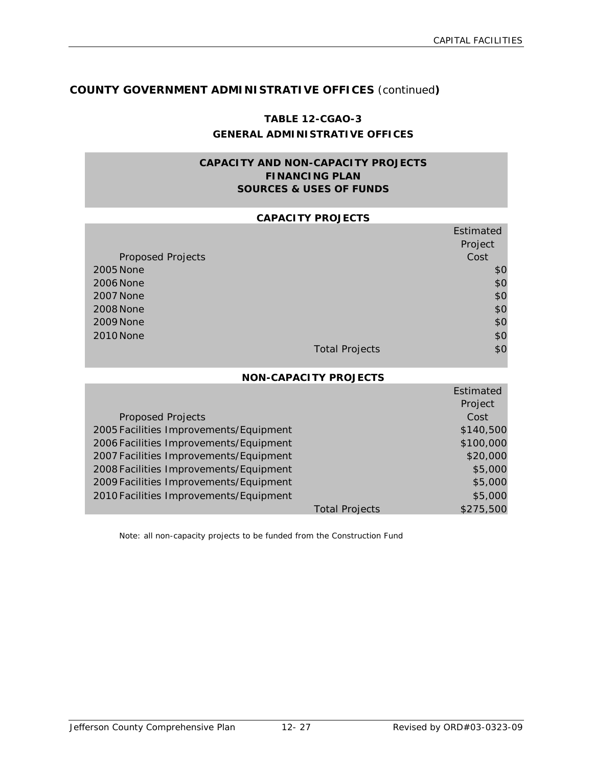Estimated

# **COUNTY GOVERNMENT ADMINISTRATIVE OFFICES** (continued**)**

# **TABLE 12-CGAO-3 GENERAL ADMINISTRATIVE OFFICES**

# **CAPACITY AND NON-CAPACITY PROJECTS FINANCING PLAN SOURCES & USES OF FUNDS**

#### **CAPACITY PROJECTS**

|                          |                       | Estimated |
|--------------------------|-----------------------|-----------|
|                          |                       | Project   |
| <b>Proposed Projects</b> |                       | Cost      |
| 2005 None                |                       | \$0       |
| 2006 None                |                       | \$0       |
| <b>2007 None</b>         |                       | \$0       |
| <b>2008 None</b>         |                       | \$0       |
| 2009 None                |                       | \$0       |
| 2010 None                |                       | \$0       |
|                          | <b>Total Projects</b> | \$0       |

#### **NON-CAPACITY PROJECTS**

|                                        |                       | Estimated |
|----------------------------------------|-----------------------|-----------|
|                                        |                       | Project   |
| <b>Proposed Projects</b>               |                       | Cost      |
| 2005 Facilities Improvements/Equipment |                       | \$140,500 |
| 2006 Facilities Improvements/Equipment |                       | \$100,000 |
| 2007 Facilities Improvements/Equipment |                       | \$20,000  |
| 2008 Facilities Improvements/Equipment |                       | \$5,000   |
| 2009 Facilities Improvements/Equipment |                       | \$5,000   |
| 2010 Facilities Improvements/Equipment |                       | \$5,000   |
|                                        | <b>Total Projects</b> | \$275,500 |

Note: all non-capacity projects to be funded from the Construction Fund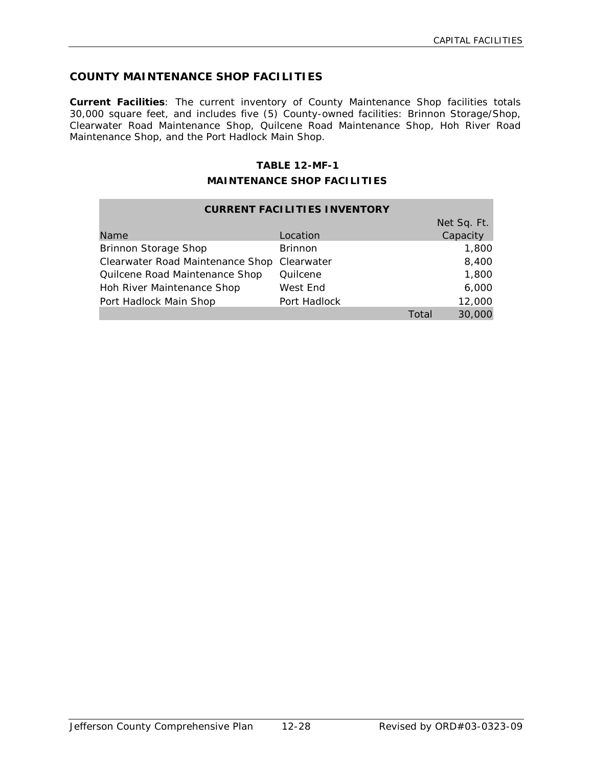# **COUNTY MAINTENANCE SHOP FACILITIES**

**Current Facilities**: The current inventory of County Maintenance Shop facilities totals 30,000 square feet, and includes five (5) County-owned facilities: Brinnon Storage/Shop, Clearwater Road Maintenance Shop, Quilcene Road Maintenance Shop, Hoh River Road Maintenance Shop, and the Port Hadlock Main Shop.

### **TABLE 12-MF-1**

#### **MAINTENANCE SHOP FACILITIES**

| <b>CURRENT FACILITIES INVENTORY</b> |                |       |             |  |  |
|-------------------------------------|----------------|-------|-------------|--|--|
|                                     |                |       | Net Sq. Ft. |  |  |
| Name                                | Location       |       | Capacity    |  |  |
| <b>Brinnon Storage Shop</b>         | <b>Brinnon</b> |       | 1,800       |  |  |
| Clearwater Road Maintenance Shop    | Clearwater     |       | 8,400       |  |  |
| Quilcene Road Maintenance Shop      | Quilcene       |       | 1,800       |  |  |
| Hoh River Maintenance Shop          | West End       |       | 6,000       |  |  |
| Port Hadlock Main Shop              | Port Hadlock   |       | 12,000      |  |  |
|                                     |                | Total | 30,000      |  |  |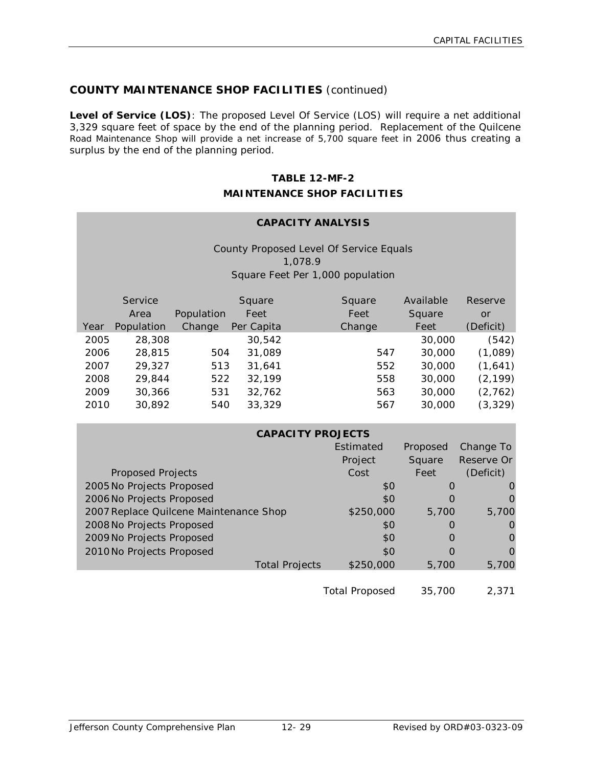# **COUNTY MAINTENANCE SHOP FACILITIES** (continued)

**Level of Service (LOS)**: The proposed Level Of Service (LOS) will require a net additional 3,329 square feet of space by the end of the planning period. Replacement of the Quilcene Road Maintenance Shop will provide a net increase of 5,700 square feet in 2006 thus creating a surplus by the end of the planning period.

# **TABLE 12-MF-2 MAINTENANCE SHOP FACILITIES**

# **CAPACITY ANALYSIS**

County Proposed Level Of Service Equals 1,078.9 Square Feet Per 1,000 population

|      | Service    |            | Square     | Square | Available | Reserve   |
|------|------------|------------|------------|--------|-----------|-----------|
|      | Area       | Population | Feet       | Feet   | Square    | or        |
| Year | Population | Change     | Per Capita | Change | Feet      | (Deficit) |
| 2005 | 28,308     |            | 30,542     |        | 30,000    | (542)     |
| 2006 | 28,815     | 504        | 31,089     | 547    | 30,000    | (1,089)   |
| 2007 | 29,327     | 513        | 31,641     | 552    | 30,000    | (1,641)   |
| 2008 | 29,844     | 522        | 32,199     | 558    | 30,000    | (2, 199)  |
| 2009 | 30,366     | 531        | 32,762     | 563    | 30,000    | (2, 762)  |
| 2010 | 30,892     | 540        | 33,329     | 567    | 30,000    | (3, 329)  |

| <b>CAPACITY PROJECTS</b>               |           |           |            |  |  |
|----------------------------------------|-----------|-----------|------------|--|--|
| Estimated<br>Change To<br>Proposed     |           |           |            |  |  |
|                                        | Project   | Square    | Reserve Or |  |  |
| <b>Proposed Projects</b>               | Cost      | Feet      | (Deficit)  |  |  |
| 2005 No Projects Proposed              | \$0       | $\Omega$  |            |  |  |
| 2006 No Projects Proposed              | \$0       |           |            |  |  |
| 2007 Replace Quilcene Maintenance Shop | \$250,000 | 5,700     | 5,700      |  |  |
| 2008 No Projects Proposed              | \$0       | $\bigcap$ |            |  |  |
| 2009 No Projects Proposed              | \$0       | $\bigcap$ |            |  |  |
| 2010 No Projects Proposed              | \$0       | $\bigcap$ |            |  |  |
| <b>Total Projects</b>                  | \$250,000 | 5.700     | 5,700      |  |  |
|                                        |           |           |            |  |  |

Total Proposed 35,700 2,371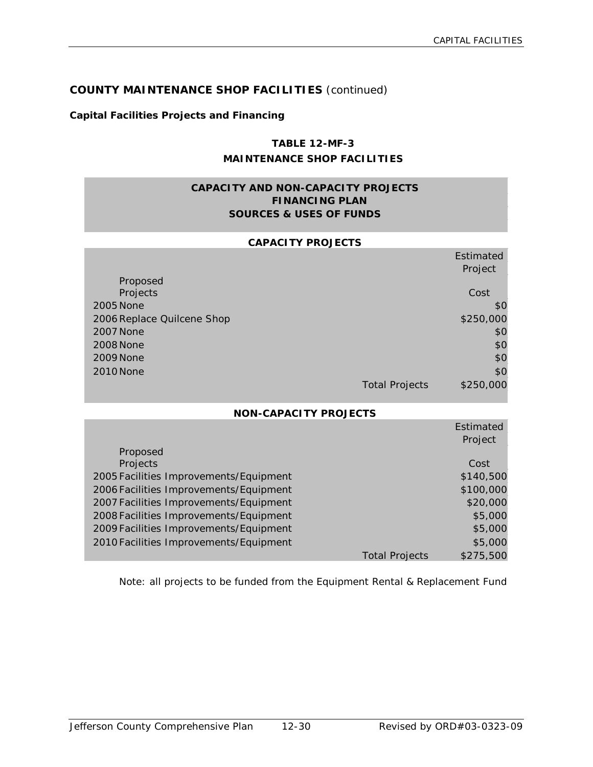# **COUNTY MAINTENANCE SHOP FACILITIES** (continued)

#### **Capital Facilities Projects and Financing**

# **TABLE 12-MF-3 MAINTENANCE SHOP FACILITIES**

# **CAPACITY AND NON-CAPACITY PROJECTS FINANCING PLAN SOURCES & USES OF FUNDS**

#### **CAPACITY PROJECTS**

|                            |                       | Estimated |
|----------------------------|-----------------------|-----------|
|                            |                       | Project   |
| Proposed                   |                       |           |
| Projects                   |                       | Cost      |
| 2005 None                  |                       | \$0       |
| 2006 Replace Quilcene Shop |                       | \$250,000 |
| <b>2007 None</b>           |                       | \$0       |
| <b>2008 None</b>           |                       | \$0       |
| <b>2009 None</b>           |                       | \$0       |
| 2010 None                  |                       | \$0       |
|                            | <b>Total Projects</b> | \$250,000 |

#### **NON-CAPACITY PROJECTS**

|                                        |                       | Estimated |
|----------------------------------------|-----------------------|-----------|
|                                        |                       | Project   |
| Proposed                               |                       |           |
| Projects                               |                       | Cost      |
| 2005 Facilities Improvements/Equipment |                       | \$140,500 |
| 2006 Facilities Improvements/Equipment |                       | \$100,000 |
| 2007 Facilities Improvements/Equipment |                       | \$20,000  |
| 2008 Facilities Improvements/Equipment |                       | \$5,000   |
| 2009 Facilities Improvements/Equipment |                       | \$5,000   |
| 2010 Facilities Improvements/Equipment |                       | \$5,000   |
|                                        | <b>Total Projects</b> | \$275,500 |

Note: all projects to be funded from the Equipment Rental & Replacement Fund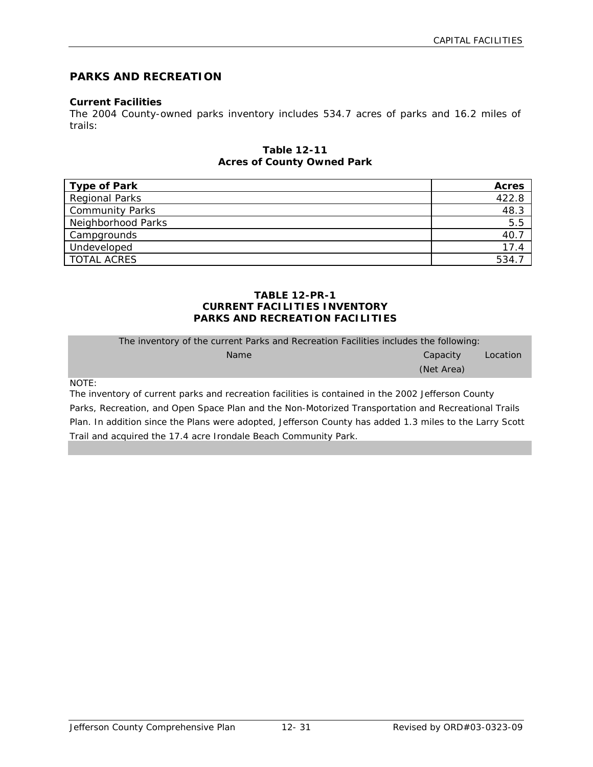# **PARKS AND RECREATION**

#### **Current Facilities**

The 2004 County-owned parks inventory includes 534.7 acres of parks and 16.2 miles of trails:

#### **Table 12-11 Acres of County Owned Park**

| <b>Type of Park</b>    | <b>Acres</b> |
|------------------------|--------------|
| <b>Regional Parks</b>  | 422.8        |
| <b>Community Parks</b> | 48.3         |
| Neighborhood Parks     | 5.5          |
| Campgrounds            | 40.          |
| Undeveloped            | 17.4         |
| <b>TOTAL ACRES</b>     | 534.         |

#### **TABLE 12-PR-1 CURRENT FACILITIES INVENTORY PARKS AND RECREATION FACILITIES**

| The inventory of the current Parks and Recreation Facilities includes the following: |            |          |  |  |
|--------------------------------------------------------------------------------------|------------|----------|--|--|
| <b>Name</b>                                                                          | Capacity   | Location |  |  |
|                                                                                      | (Net Area) |          |  |  |
|                                                                                      |            |          |  |  |

NOTE:

The inventory of current parks and recreation facilities is contained in the 2002 Jefferson County Parks, Recreation, and Open Space Plan and the Non-Motorized Transportation and Recreational Trails Plan. In addition since the Plans were adopted, Jefferson County has added 1.3 miles to the Larry Scott Trail and acquired the 17.4 acre Irondale Beach Community Park.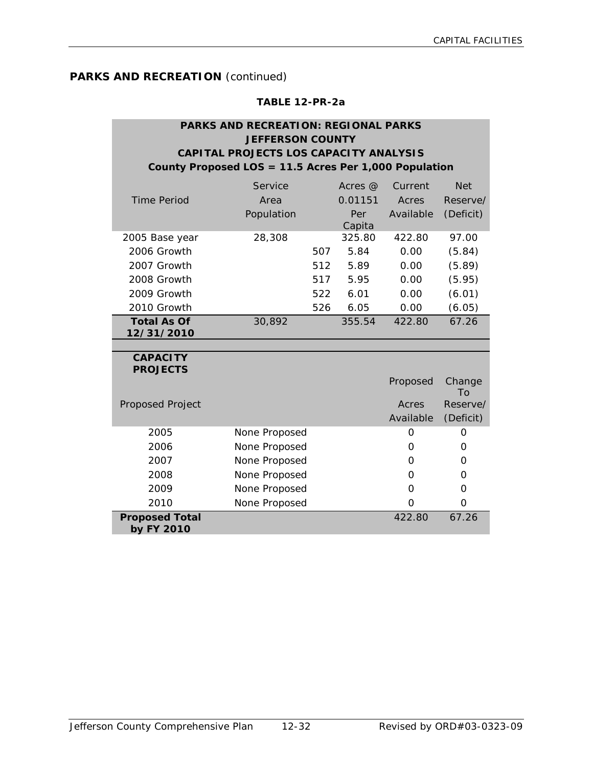# **TABLE 12-PR-2a**

# **PARKS AND RECREATION: REGIONAL PARKS JEFFERSON COUNTY CAPITAL PROJECTS LOS CAPACITY ANALYSIS County Proposed LOS = 11.5 Acres Per 1,000 Population**

|                    | Service    |     | Acres $\omega$ | Current   | <b>Net</b> |
|--------------------|------------|-----|----------------|-----------|------------|
| Time Period        | Area       |     | 0.01151        | Acres     | Reserve/   |
|                    | Population |     | Per<br>Capita  | Available | (Deficit)  |
| 2005 Base year     | 28,308     |     | 325.80         | 422.80    | 97.00      |
| 2006 Growth        |            | 507 | 5.84           | 0.00      | (5.84)     |
| 2007 Growth        |            | 512 | 5.89           | 0.00      | (5.89)     |
| 2008 Growth        |            | 517 | 5.95           | 0.00      | (5.95)     |
| 2009 Growth        |            | 522 | 6.01           | 0.00      | (6.01)     |
| 2010 Growth        |            | 526 | 6.05           | 0.00      | (6.05)     |
| <b>Total As Of</b> | 30.892     |     | 355.54         | 422.80    | 67.26      |
| 12/31/2010         |            |     |                |           |            |
|                    |            |     |                |           |            |

#### **CAPACITY PROJECTS**

|                                     |               | Proposed  | Change<br>To |
|-------------------------------------|---------------|-----------|--------------|
| Proposed Project                    |               | Acres     | Reserve/     |
|                                     |               | Available | (Deficit)    |
| 2005                                | None Proposed | Ω         |              |
| 2006                                | None Proposed | O         | O            |
| 2007                                | None Proposed | Ω         | Ω            |
| 2008                                | None Proposed | 0         | Ω            |
| 2009                                | None Proposed | O         | O            |
| 2010                                | None Proposed | O         | ი            |
| <b>Proposed Total</b><br>by FY 2010 |               | 422.80    | 67.26        |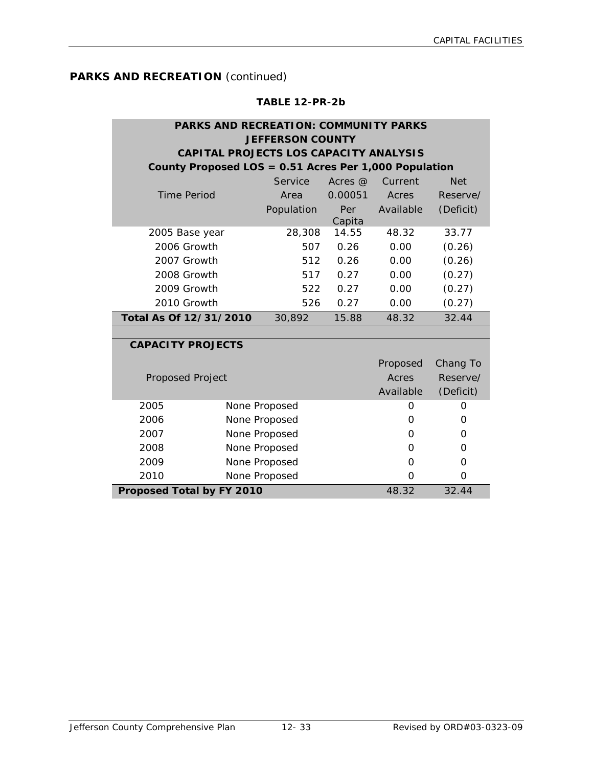#### **TABLE 12-PR-2b**

# **PARKS AND RECREATION: COMMUNITY PARKS JEFFERSON COUNTY CAPITAL PROJECTS LOS CAPACITY ANALYSIS County Proposed LOS = 0.51 Acres Per 1,000 Population**

|                        | Service    | Acres @ | Current   | <b>Net</b> |
|------------------------|------------|---------|-----------|------------|
| Time Period            | Area       | 0.00051 | Acres     | Reserve/   |
|                        | Population | Per     | Available | (Deficit)  |
|                        |            | Capita  |           |            |
| 2005 Base year         | 28,308     | 14.55   | 48.32     | 33.77      |
| 2006 Growth            | 507        | 0.26    | 0.00      | (0.26)     |
| 2007 Growth            | 512        | 0.26    | 0.00      | (0.26)     |
| 2008 Growth            | 517        | 0.27    | 0.00      | (0.27)     |
| 2009 Growth            | 522        | 0.27    | 0.00      | (0.27)     |
| 2010 Growth            | 526        | 0.27    | 0.00      | (0.27)     |
| Total As Of 12/31/2010 | 30.892     | 15.88   | 48.32     | 32.44      |

#### **CAPACITY PROJECTS**

| Proposed Project                 |               | Proposed<br>Acres<br>Available | Chang To<br>Reserve/<br>(Deficit) |
|----------------------------------|---------------|--------------------------------|-----------------------------------|
| 2005                             | None Proposed | O                              | Ο                                 |
| 2006                             | None Proposed |                                | Ω                                 |
| 2007                             | None Proposed |                                | O                                 |
| 2008                             | None Proposed | O                              | 0                                 |
| 2009                             | None Proposed |                                | Ω                                 |
| 2010                             | None Proposed |                                | O                                 |
| <b>Proposed Total by FY 2010</b> |               | 48.32                          | 32.44                             |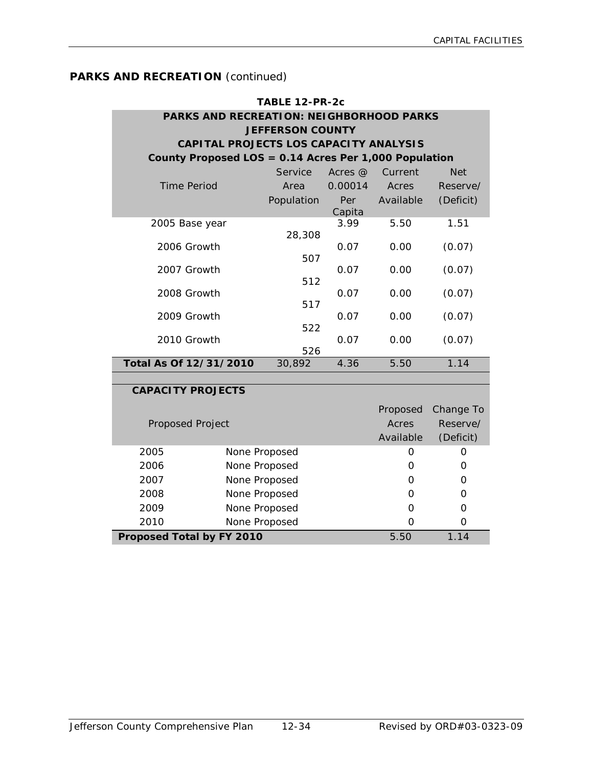| TABLE 12-PR-2c                            |                                                       |                         |               |           |            |  |  |
|-------------------------------------------|-------------------------------------------------------|-------------------------|---------------|-----------|------------|--|--|
|                                           | PARKS AND RECREATION: NEIGHBORHOOD PARKS              |                         |               |           |            |  |  |
|                                           |                                                       | <b>JEFFERSON COUNTY</b> |               |           |            |  |  |
|                                           | CAPITAL PROJECTS LOS CAPACITY ANALYSIS                |                         |               |           |            |  |  |
|                                           | County Proposed LOS = 0.14 Acres Per 1,000 Population |                         |               |           |            |  |  |
|                                           |                                                       | Service                 | Acres @       | Current   | <b>Net</b> |  |  |
| <b>Time Period</b>                        |                                                       | Area                    | 0.00014       | Acres     | Reserve/   |  |  |
|                                           |                                                       | Population              | Per<br>Capita | Available | (Deficit)  |  |  |
| 2005 Base year                            |                                                       |                         | 3.99          | 5.50      | 1.51       |  |  |
|                                           |                                                       | 28,308                  |               |           |            |  |  |
| 2006 Growth                               |                                                       |                         | 0.07          | 0.00      | (0.07)     |  |  |
| 2007 Growth                               |                                                       | 507                     | 0.07          | 0.00      | (0.07)     |  |  |
|                                           |                                                       | 512                     |               |           |            |  |  |
| 2008 Growth                               |                                                       |                         | 0.07          | 0.00      | (0.07)     |  |  |
|                                           | 517                                                   |                         |               |           |            |  |  |
| 2009 Growth                               |                                                       | 522                     | 0.07          | 0.00      | (0.07)     |  |  |
| 2010 Growth                               |                                                       |                         | 0.07          | 0.00      | (0.07)     |  |  |
|                                           |                                                       | 526                     |               |           |            |  |  |
| Total As Of 12/31/2010                    |                                                       | 30,892                  | 4.36          | 5.50      | 1.14       |  |  |
|                                           |                                                       |                         |               |           |            |  |  |
| <b>CAPACITY PROJECTS</b>                  |                                                       |                         |               |           |            |  |  |
|                                           |                                                       |                         |               | Proposed  | Change To  |  |  |
| Proposed Project                          |                                                       |                         |               | Acres     | Reserve/   |  |  |
|                                           |                                                       |                         |               | Available | (Deficit)  |  |  |
| 2005                                      |                                                       | None Proposed           |               | 0         | 0          |  |  |
| 2006                                      |                                                       | None Proposed           |               | 0         | 0          |  |  |
| 2007                                      |                                                       | None Proposed           |               | O         | 0          |  |  |
| 2008                                      |                                                       | None Proposed           |               | 0         | 0          |  |  |
| 2009                                      |                                                       | None Proposed           |               | O         | 0          |  |  |
| 2010                                      |                                                       | None Proposed           |               | O         | 0          |  |  |
| 1.14<br>5.50<br>Proposed Total by FY 2010 |                                                       |                         |               |           |            |  |  |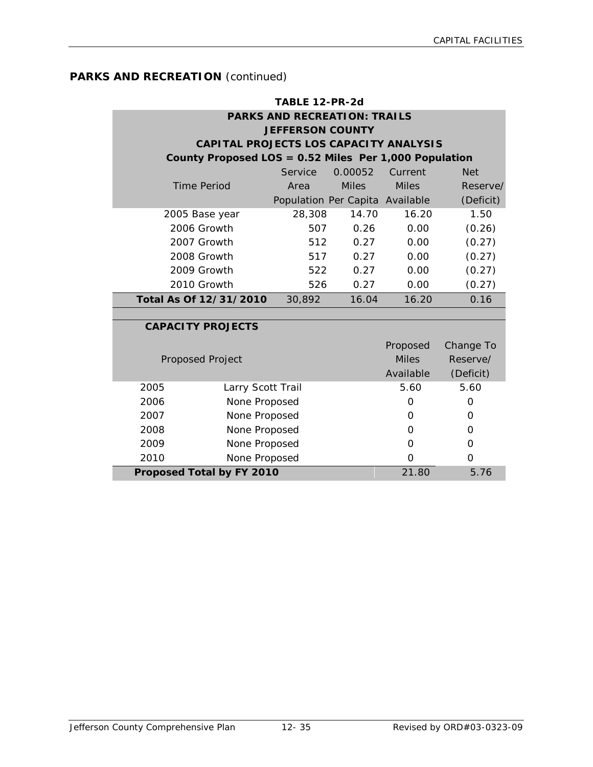| TABLE 12-PR-2d                      |                                                       |                                 |              |              |            |  |  |  |
|-------------------------------------|-------------------------------------------------------|---------------------------------|--------------|--------------|------------|--|--|--|
| <b>PARKS AND RECREATION: TRAILS</b> |                                                       |                                 |              |              |            |  |  |  |
|                                     | <b>JEFFERSON COUNTY</b>                               |                                 |              |              |            |  |  |  |
|                                     | CAPITAL PROJECTS LOS CAPACITY ANALYSIS                |                                 |              |              |            |  |  |  |
|                                     | County Proposed LOS = 0.52 Miles Per 1,000 Population |                                 |              |              |            |  |  |  |
|                                     |                                                       | Service                         | 0.00052      | Current      | <b>Net</b> |  |  |  |
|                                     | <b>Time Period</b>                                    | Area                            | <b>Miles</b> | <b>Miles</b> | Reserve/   |  |  |  |
|                                     |                                                       | Population Per Capita Available |              |              | (Deficit)  |  |  |  |
|                                     | 2005 Base year                                        | 28,308                          | 14.70        | 16.20        | 1.50       |  |  |  |
|                                     | 2006 Growth                                           | 507                             | 0.26         | 0.00         | (0.26)     |  |  |  |
|                                     | 2007 Growth                                           | 512                             | 0.27         | 0.00         | (0.27)     |  |  |  |
|                                     | 2008 Growth                                           | 517                             | 0.27         | 0.00         | (0.27)     |  |  |  |
|                                     | 2009 Growth                                           | 522                             | 0.27         | 0.00         | (0.27)     |  |  |  |
|                                     | 2010 Growth                                           | 526                             | 0.27         | 0.00         | (0.27)     |  |  |  |
|                                     | Total As Of 12/31/2010                                | 30,892                          | 16.04        | 16.20        | 0.16       |  |  |  |
|                                     |                                                       |                                 |              |              |            |  |  |  |
|                                     | <b>CAPACITY PROJECTS</b>                              |                                 |              |              |            |  |  |  |
|                                     |                                                       |                                 |              | Proposed     | Change To  |  |  |  |
|                                     | <b>Proposed Project</b>                               |                                 |              | <b>Miles</b> | Reserve/   |  |  |  |
|                                     |                                                       |                                 |              | Available    | (Deficit)  |  |  |  |
| 2005                                | Larry Scott Trail                                     |                                 |              | 5.60         | 5.60       |  |  |  |
| 2006                                | None Proposed                                         |                                 |              | $\Omega$     | 0          |  |  |  |
| 2007                                | None Proposed                                         |                                 |              | 0            | 0          |  |  |  |
| 2008                                | None Proposed                                         |                                 |              | 0            | 0          |  |  |  |
| 2009                                | None Proposed                                         |                                 |              | $\Omega$     | O          |  |  |  |
| 2010                                | None Proposed                                         |                                 |              | $\mathbf 0$  | $\Omega$   |  |  |  |
|                                     | Proposed Total by FY 2010                             |                                 |              | 21.80        | 5.76       |  |  |  |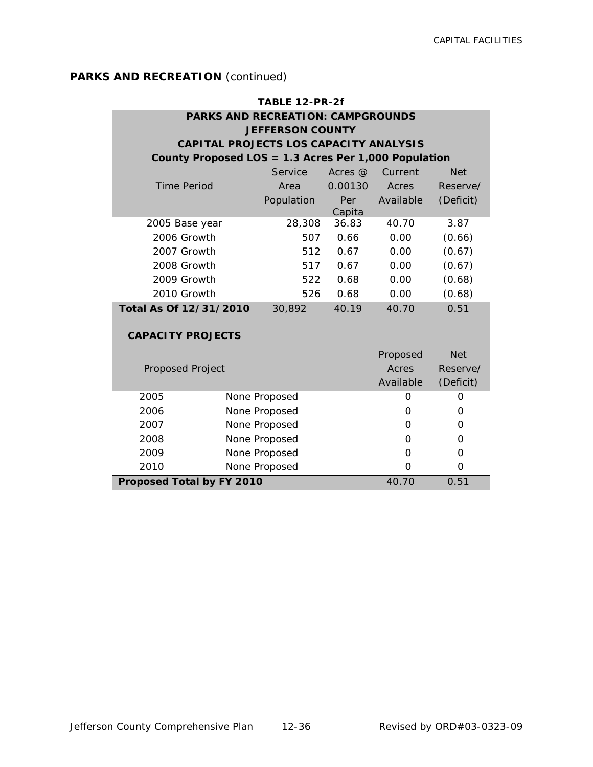| TABLE 12-PR-2f           |                                                   |                                                      |               |           |            |  |  |  |
|--------------------------|---------------------------------------------------|------------------------------------------------------|---------------|-----------|------------|--|--|--|
|                          |                                                   | <b>PARKS AND RECREATION: CAMPGROUNDS</b>             |               |           |            |  |  |  |
|                          |                                                   | <b>JEFFERSON COUNTY</b>                              |               |           |            |  |  |  |
|                          |                                                   | CAPITAL PROJECTS LOS CAPACITY ANALYSIS               |               |           |            |  |  |  |
|                          |                                                   | County Proposed LOS = 1.3 Acres Per 1,000 Population |               |           |            |  |  |  |
|                          |                                                   | Service                                              | Acres $@$     | Current   | <b>Net</b> |  |  |  |
| <b>Time Period</b>       |                                                   | Area                                                 | 0.00130       | Acres     | Reserve/   |  |  |  |
|                          |                                                   | Population                                           | Per<br>Capita | Available | (Deficit)  |  |  |  |
| 2005 Base year           |                                                   | 28,308                                               | 36.83         | 40.70     | 3.87       |  |  |  |
| 2006 Growth              |                                                   | 507                                                  | 0.66          | 0.00      | (0.66)     |  |  |  |
| 2007 Growth              |                                                   | 512                                                  | 0.67          | 0.00      | (0.67)     |  |  |  |
| 2008 Growth              |                                                   | 517                                                  | 0.67          | 0.00      | (0.67)     |  |  |  |
| 2009 Growth              |                                                   | 522                                                  | 0.68          | 0.00      | (0.68)     |  |  |  |
| 2010 Growth              |                                                   | 526                                                  | 0.68          | 0.00      | (0.68)     |  |  |  |
| Total As Of 12/31/2010   |                                                   | 30,892                                               | 40.19         | 40.70     | 0.51       |  |  |  |
|                          |                                                   |                                                      |               |           |            |  |  |  |
| <b>CAPACITY PROJECTS</b> |                                                   |                                                      |               |           |            |  |  |  |
|                          |                                                   |                                                      |               | Proposed  | <b>Net</b> |  |  |  |
| <b>Proposed Project</b>  |                                                   |                                                      |               | Acres     | Reserve/   |  |  |  |
|                          |                                                   |                                                      |               | Available | (Deficit)  |  |  |  |
| 2005                     |                                                   | None Proposed                                        |               | O         | O          |  |  |  |
| 2006                     |                                                   | None Proposed                                        |               | O         | O          |  |  |  |
| 2007                     |                                                   | None Proposed                                        |               | $\Omega$  | O          |  |  |  |
| 2008                     |                                                   | None Proposed                                        |               | O         | O          |  |  |  |
| 2009                     |                                                   | None Proposed                                        |               | O         | O          |  |  |  |
| 2010                     |                                                   | None Proposed                                        |               | O         | $\Omega$   |  |  |  |
|                          | 40.70<br><b>Proposed Total by FY 2010</b><br>0.51 |                                                      |               |           |            |  |  |  |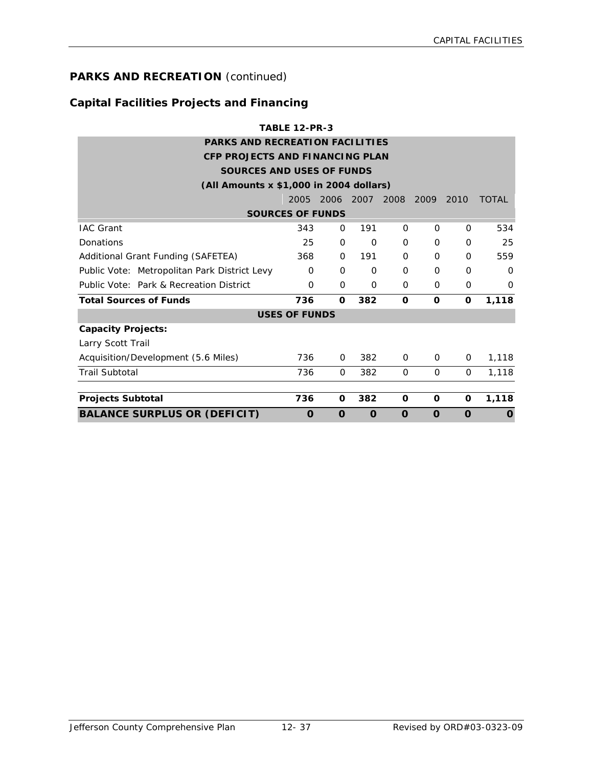# **Capital Facilities Projects and Financing**

|                                              | <b>TABLE 12-PR-3</b>                                                            |          |             |          |             |          |              |  |
|----------------------------------------------|---------------------------------------------------------------------------------|----------|-------------|----------|-------------|----------|--------------|--|
| <b>PARKS AND RECREATION FACILITIES</b>       |                                                                                 |          |             |          |             |          |              |  |
| <b>CFP PROJECTS AND FINANCING PLAN</b>       |                                                                                 |          |             |          |             |          |              |  |
|                                              | <b>SOURCES AND USES OF FUNDS</b>                                                |          |             |          |             |          |              |  |
| (All Amounts x \$1,000 in 2004 dollars)      |                                                                                 |          |             |          |             |          |              |  |
|                                              | 2005                                                                            | 2006     | 2007 2008   |          | 2009        | 2010     | <b>TOTAL</b> |  |
| <b>SOURCES OF FUNDS</b>                      |                                                                                 |          |             |          |             |          |              |  |
| <b>IAC Grant</b>                             | 343                                                                             | 0        | 191         | 0        | $\Omega$    | 0        | 534          |  |
| Donations                                    | 25                                                                              | 0        | $\mathbf 0$ | $\Omega$ | $\Omega$    | $\Omega$ | 25           |  |
| Additional Grant Funding (SAFETEA)           | 368                                                                             | 0        | 191         | $\Omega$ | $\mathbf 0$ | 0        | 559          |  |
| Public Vote: Metropolitan Park District Levy | 0                                                                               | 0        | $\Omega$    | $\Omega$ | $\Omega$    | 0        | $\Omega$     |  |
| Public Vote: Park & Recreation District      | $\Omega$                                                                        | 0        | $\mathbf 0$ | 0        | $\Omega$    | 0        | $\Omega$     |  |
| <b>Total Sources of Funds</b>                | 736                                                                             | 0        | 382         | O        | O           | $\Omega$ | 1,118        |  |
|                                              | <b>USES OF FUNDS</b>                                                            |          |             |          |             |          |              |  |
| <b>Capacity Projects:</b>                    |                                                                                 |          |             |          |             |          |              |  |
| Larry Scott Trail                            |                                                                                 |          |             |          |             |          |              |  |
| Acquisition/Development (5.6 Miles)          | 736                                                                             | 0        | 382         | $\Omega$ | $\Omega$    | 0        | 1,118        |  |
| <b>Trail Subtotal</b>                        | 736                                                                             | $\Omega$ | 382         | $\Omega$ | $\Omega$    | $\Omega$ | 1,118        |  |
| <b>Projects Subtotal</b>                     | 736                                                                             | 0        | 382         | O        | 0           | O        | 1,118        |  |
| <b>BALANCE SURPLUS OR (DEFICIT)</b>          | $\Omega$<br>$\Omega$<br>$\Omega$<br>$\mathbf 0$<br>O<br>$\Omega$<br>$\mathbf 0$ |          |             |          |             |          |              |  |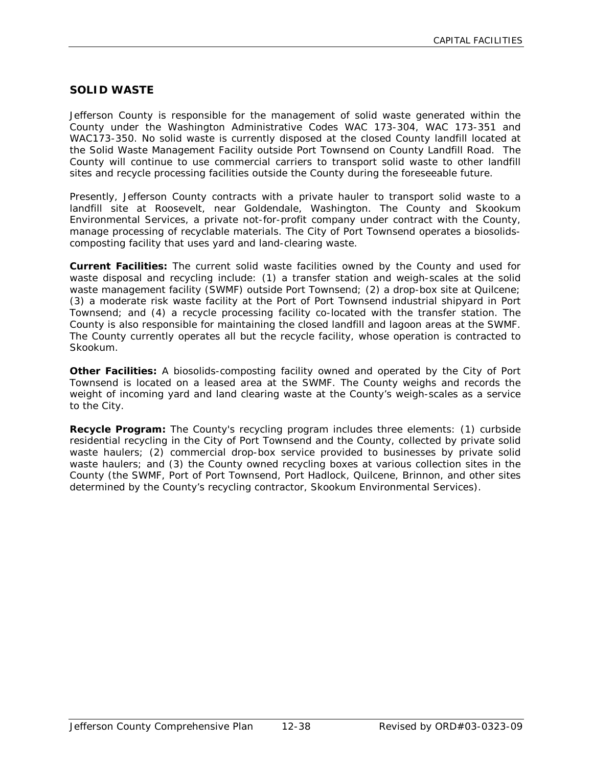# **SOLID WASTE**

Jefferson County is responsible for the management of solid waste generated within the County under the Washington Administrative Codes WAC 173-304, WAC 173-351 and WAC173-350. No solid waste is currently disposed at the closed County landfill located at the Solid Waste Management Facility outside Port Townsend on County Landfill Road. The County will continue to use commercial carriers to transport solid waste to other landfill sites and recycle processing facilities outside the County during the foreseeable future.

Presently, Jefferson County contracts with a private hauler to transport solid waste to a landfill site at Roosevelt, near Goldendale, Washington. The County and Skookum Environmental Services, a private not-for-profit company under contract with the County, manage processing of recyclable materials. The City of Port Townsend operates a biosolidscomposting facility that uses yard and land-clearing waste.

**Current Facilities:** The current solid waste facilities owned by the County and used for waste disposal and recycling include: (1) a transfer station and weigh-scales at the solid waste management facility (SWMF) outside Port Townsend; (2) a drop-box site at Quilcene; (3) a moderate risk waste facility at the Port of Port Townsend industrial shipyard in Port Townsend; and (4) a recycle processing facility co-located with the transfer station. The County is also responsible for maintaining the closed landfill and lagoon areas at the SWMF. The County currently operates all but the recycle facility, whose operation is contracted to Skookum.

**Other Facilities:** A biosolids-composting facility owned and operated by the City of Port Townsend is located on a leased area at the SWMF. The County weighs and records the weight of incoming yard and land clearing waste at the County's weigh-scales as a service to the City.

**Recycle Program:** The County's recycling program includes three elements: (1) curbside residential recycling in the City of Port Townsend and the County, collected by private solid waste haulers; (2) commercial drop-box service provided to businesses by private solid waste haulers; and (3) the County owned recycling boxes at various collection sites in the County (the SWMF, Port of Port Townsend, Port Hadlock, Quilcene, Brinnon, and other sites determined by the County's recycling contractor, Skookum Environmental Services).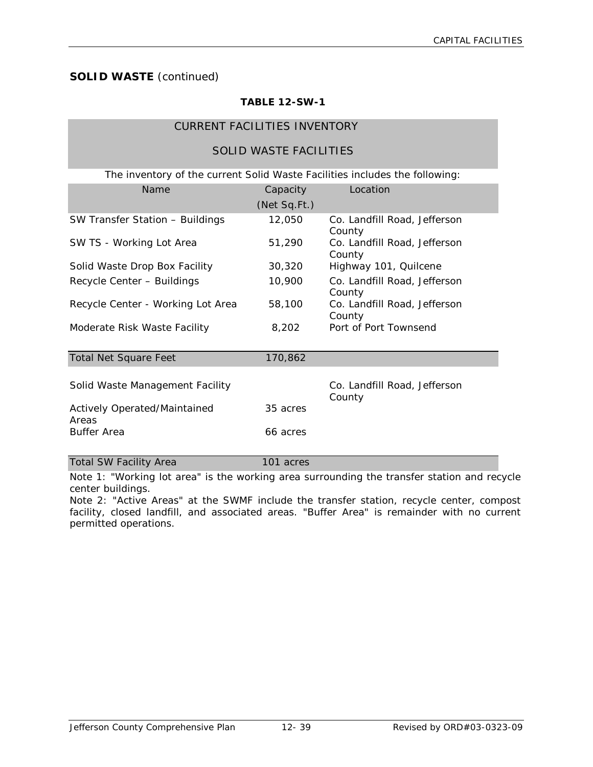# **TABLE 12-SW-1**

# CURRENT FACILITIES INVENTORY

# SOLID WASTE FACILITIES

| The inventory of the current Solid Waste Facilities includes the following: |              |                                        |
|-----------------------------------------------------------------------------|--------------|----------------------------------------|
| Name                                                                        | Capacity     | Location                               |
|                                                                             | (Net Sq.Ft.) |                                        |
| SW Transfer Station - Buildings                                             | 12,050       | Co. Landfill Road, Jefferson<br>County |
| SW TS - Working Lot Area                                                    | 51,290       | Co. Landfill Road, Jefferson<br>County |
| Solid Waste Drop Box Facility                                               | 30,320       | Highway 101, Quilcene                  |
| Recycle Center - Buildings                                                  | 10,900       | Co. Landfill Road, Jefferson<br>County |
| Recycle Center - Working Lot Area                                           | 58,100       | Co. Landfill Road, Jefferson<br>County |
| Moderate Risk Waste Facility                                                | 8,202        | Port of Port Townsend                  |
| <b>Total Net Square Feet</b>                                                | 170,862      |                                        |
| Solid Waste Management Facility                                             |              | Co. Landfill Road, Jefferson<br>County |
| Actively Operated/Maintained<br>Areas                                       | 35 acres     |                                        |
| <b>Buffer Area</b>                                                          | 66 acres     |                                        |
| <b>Total SW Facility Area</b>                                               | 101 acres    |                                        |

Note 1: "Working lot area" is the working area surrounding the transfer station and recycle center buildings.

Note 2: "Active Areas" at the SWMF include the transfer station, recycle center, compost facility, closed landfill, and associated areas. "Buffer Area" is remainder with no current permitted operations.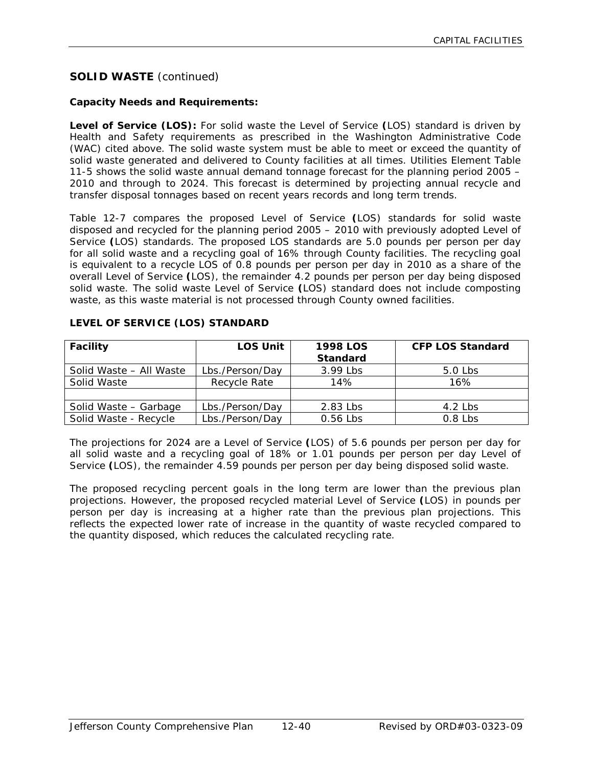### **Capacity Needs and Requirements:**

**Level of Service (LOS):** For solid waste the Level of Service **(**LOS) standard is driven by Health and Safety requirements as prescribed in the Washington Administrative Code (WAC) cited above. The solid waste system must be able to meet or exceed the quantity of solid waste generated and delivered to County facilities at all times. Utilities Element Table 11-5 shows the solid waste annual demand tonnage forecast for the planning period 2005 – 2010 and through to 2024. This forecast is determined by projecting annual recycle and transfer disposal tonnages based on recent years records and long term trends.

Table 12-7 compares the proposed Level of Service **(**LOS) standards for solid waste disposed and recycled for the planning period 2005 – 2010 with previously adopted Level of Service **(**LOS) standards. The proposed LOS standards are 5.0 pounds per person per day for all solid waste and a recycling goal of 16% through County facilities. The recycling goal is equivalent to a recycle LOS of 0.8 pounds per person per day in 2010 as a share of the overall Level of Service **(**LOS), the remainder 4.2 pounds per person per day being disposed solid waste. The solid waste Level of Service **(**LOS) standard does not include composting waste, as this waste material is not processed through County owned facilities.

| <b>Facility</b>         | <b>LOS Unit</b> | <b>1998 LOS</b><br><b>Standard</b> | <b>CFP LOS Standard</b> |
|-------------------------|-----------------|------------------------------------|-------------------------|
| Solid Waste - All Waste | Lbs./Person/Day | 3.99 Lbs                           | $5.0$ Lbs               |
| Solid Waste             | Recycle Rate    | 14%                                | 16%                     |
|                         |                 |                                    |                         |
| Solid Waste - Garbage   | Lbs./Person/Day | 2.83 Lbs                           | 4.2 $Lbs$               |
| Solid Waste - Recycle   | Lbs./Person/Day | 0.56 Lbs                           | $0.8$ Lbs               |

#### **LEVEL OF SERVICE (LOS) STANDARD**

The projections for 2024 are a Level of Service **(**LOS) of 5.6 pounds per person per day for all solid waste and a recycling goal of 18% or 1.01 pounds per person per day Level of Service **(**LOS), the remainder 4.59 pounds per person per day being disposed solid waste.

The proposed recycling percent goals in the long term are lower than the previous plan projections. However, the proposed recycled material Level of Service **(**LOS) in pounds per person per day is increasing at a higher rate than the previous plan projections. This reflects the expected lower rate of increase in the quantity of waste recycled compared to the quantity disposed, which reduces the calculated recycling rate.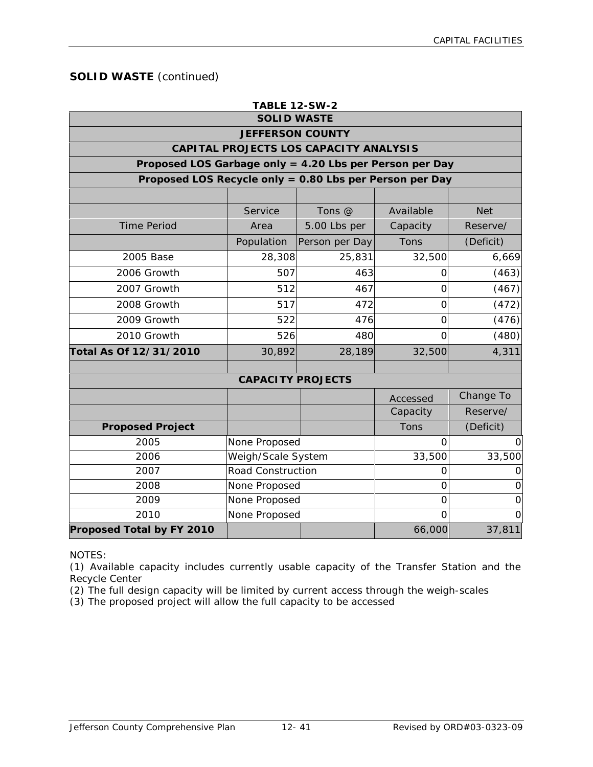| <b>TABLE 12-SW-2</b>                                    |                          |                                        |                |             |  |  |  |
|---------------------------------------------------------|--------------------------|----------------------------------------|----------------|-------------|--|--|--|
| <b>SOLID WASTE</b>                                      |                          |                                        |                |             |  |  |  |
|                                                         | <b>JEFFERSON COUNTY</b>  |                                        |                |             |  |  |  |
|                                                         |                          | CAPITAL PROJECTS LOS CAPACITY ANALYSIS |                |             |  |  |  |
| Proposed LOS Garbage only = 4.20 Lbs per Person per Day |                          |                                        |                |             |  |  |  |
| Proposed LOS Recycle only = 0.80 Lbs per Person per Day |                          |                                        |                |             |  |  |  |
|                                                         |                          |                                        |                |             |  |  |  |
|                                                         | Service                  | Tons @                                 | Available      | <b>Net</b>  |  |  |  |
| <b>Time Period</b>                                      | Area                     | 5.00 Lbs per                           | Capacity       | Reserve/    |  |  |  |
|                                                         | Population               | Person per Day                         | Tons           | (Deficit)   |  |  |  |
| 2005 Base                                               | 28,308                   | 25,831                                 | 32,500         | 6,669       |  |  |  |
| 2006 Growth                                             | 507                      | 463                                    | 0              | (463)       |  |  |  |
| 2007 Growth                                             | 512                      | 467                                    | 0              | (467)       |  |  |  |
| 2008 Growth                                             | 517                      | 472                                    | 0              | (472)       |  |  |  |
| 2009 Growth                                             | 522                      | 476                                    | 0              | (476)       |  |  |  |
| 2010 Growth                                             | 526                      | 480                                    | 0              | (480)       |  |  |  |
| Total As Of 12/31/2010                                  | 30,892                   | 28,189                                 | 32,500         | 4,311       |  |  |  |
|                                                         |                          |                                        |                |             |  |  |  |
|                                                         | <b>CAPACITY PROJECTS</b> |                                        |                |             |  |  |  |
|                                                         |                          |                                        | Accessed       | Change To   |  |  |  |
|                                                         |                          |                                        | Capacity       | Reserve/    |  |  |  |
| <b>Proposed Project</b>                                 |                          |                                        | Tons           | (Deficit)   |  |  |  |
| 2005                                                    | None Proposed            |                                        | $\overline{O}$ | 0           |  |  |  |
| 2006                                                    | Weigh/Scale System       |                                        | 33,500         | 33,500      |  |  |  |
| 2007                                                    | <b>Road Construction</b> |                                        | 0              | O           |  |  |  |
| 2008                                                    | None Proposed            |                                        | $\overline{O}$ | $\mathbf 0$ |  |  |  |
| 2009                                                    | None Proposed            |                                        | $\mathbf 0$    | $\mathbf 0$ |  |  |  |
| 2010                                                    | None Proposed            |                                        | $\Omega$       | $\Omega$    |  |  |  |
| <b>Proposed Total by FY 2010</b>                        |                          |                                        | 66,000         | 37,811      |  |  |  |

NOTES:

(1) Available capacity includes currently usable capacity of the Transfer Station and the Recycle Center

(2) The full design capacity will be limited by current access through the weigh-scales

(3) The proposed project will allow the full capacity to be accessed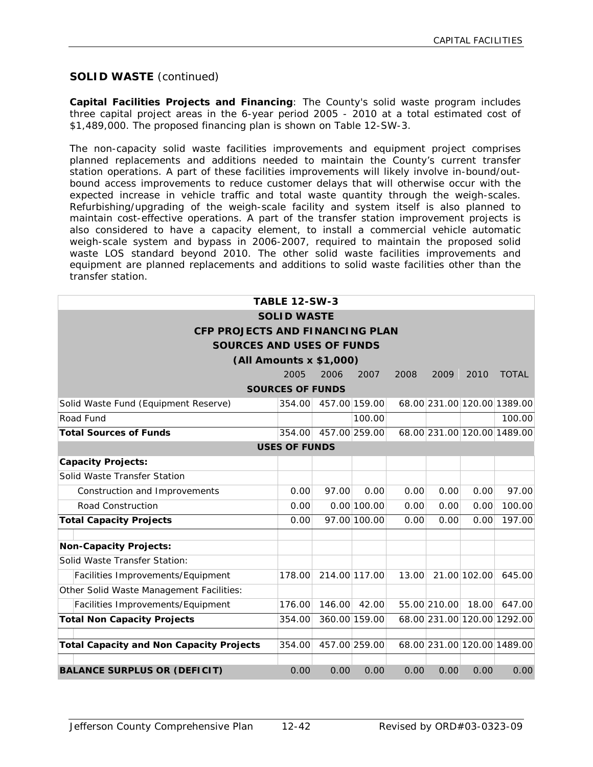**Capital Facilities Projects and Financing**: The County's solid waste program includes three capital project areas in the 6-year period 2005 - 2010 at a total estimated cost of \$1,489,000. The proposed financing plan is shown on Table 12-SW-3.

The non-capacity solid waste facilities improvements and equipment project comprises planned replacements and additions needed to maintain the County's current transfer station operations. A part of these facilities improvements will likely involve in-bound/outbound access improvements to reduce customer delays that will otherwise occur with the expected increase in vehicle traffic and total waste quantity through the weigh-scales. Refurbishing/upgrading of the weigh-scale facility and system itself is also planned to maintain cost-effective operations. A part of the transfer station improvement projects is also considered to have a capacity element, to install a commercial vehicle automatic weigh-scale system and bypass in 2006-2007, required to maintain the proposed solid waste LOS standard beyond 2010. The other solid waste facilities improvements and equipment are planned replacements and additions to solid waste facilities other than the transfer station.

|                                                                                             | <b>TABLE 12-SW-3</b>    |               |               |       |              |              |                             |  |  |
|---------------------------------------------------------------------------------------------|-------------------------|---------------|---------------|-------|--------------|--------------|-----------------------------|--|--|
|                                                                                             | <b>SOLID WASTE</b>      |               |               |       |              |              |                             |  |  |
| <b>CFP PROJECTS AND FINANCING PLAN</b>                                                      |                         |               |               |       |              |              |                             |  |  |
| <b>SOURCES AND USES OF FUNDS</b>                                                            |                         |               |               |       |              |              |                             |  |  |
| (All Amounts x \$1,000)                                                                     |                         |               |               |       |              |              |                             |  |  |
|                                                                                             | 2005                    | 2006          | 2007          | 2008  | 2009         | 2010         | <b>TOTAL</b>                |  |  |
|                                                                                             | <b>SOURCES OF FUNDS</b> |               |               |       |              |              |                             |  |  |
| Solid Waste Fund (Equipment Reserve)                                                        | 354.00                  |               | 457.00 159.00 |       |              |              | 68.00 231.00 120.00 1389.00 |  |  |
| Road Fund                                                                                   |                         |               | 100.00        |       |              |              | 100.00                      |  |  |
| <b>Total Sources of Funds</b>                                                               | 354.00                  |               | 457.00 259.00 |       |              |              | 68.00 231.00 120.00 1489.00 |  |  |
|                                                                                             | <b>USES OF FUNDS</b>    |               |               |       |              |              |                             |  |  |
| <b>Capacity Projects:</b>                                                                   |                         |               |               |       |              |              |                             |  |  |
| Solid Waste Transfer Station                                                                |                         |               |               |       |              |              |                             |  |  |
| Construction and Improvements                                                               |                         | 97.00         | 0.00          | 0.00  | 0.00         | 0.00         | 97.00                       |  |  |
| Road Construction                                                                           | 0.00                    |               | 0.00 100.00   | 0.00  | 0.00         | 0.00         | 100.00                      |  |  |
| <b>Total Capacity Projects</b>                                                              | 0.00                    |               | 97.00 100.00  | 0.00  | 0.00         | 0.00         | 197.00                      |  |  |
|                                                                                             |                         |               |               |       |              |              |                             |  |  |
| <b>Non-Capacity Projects:</b>                                                               |                         |               |               |       |              |              |                             |  |  |
| Solid Waste Transfer Station:                                                               |                         |               |               |       |              |              |                             |  |  |
| Facilities Improvements/Equipment                                                           | 178.00                  | 214.00 117.00 |               | 13.00 |              | 21.00 102.00 | 645.00                      |  |  |
| Other Solid Waste Management Facilities:                                                    |                         |               |               |       |              |              |                             |  |  |
| Facilities Improvements/Equipment                                                           | 176.00                  | 146.00        | 42.00         |       | 55.00 210.00 | 18.00        | 647.00                      |  |  |
| <b>Total Non Capacity Projects</b>                                                          | 354.00                  |               | 360.00 159.00 |       |              |              | 68.00 231.00 120.00 1292.00 |  |  |
| <b>Total Capacity and Non Capacity Projects</b>                                             | 354.00                  |               | 457.00 259.00 |       |              |              | 68.00 231.00 120.00 1489.00 |  |  |
|                                                                                             |                         |               |               |       |              |              |                             |  |  |
| <b>BALANCE SURPLUS OR (DEFICIT)</b><br>0.00<br>0.00<br>0.00<br>0.00<br>0.00<br>0.00<br>0.00 |                         |               |               |       |              |              |                             |  |  |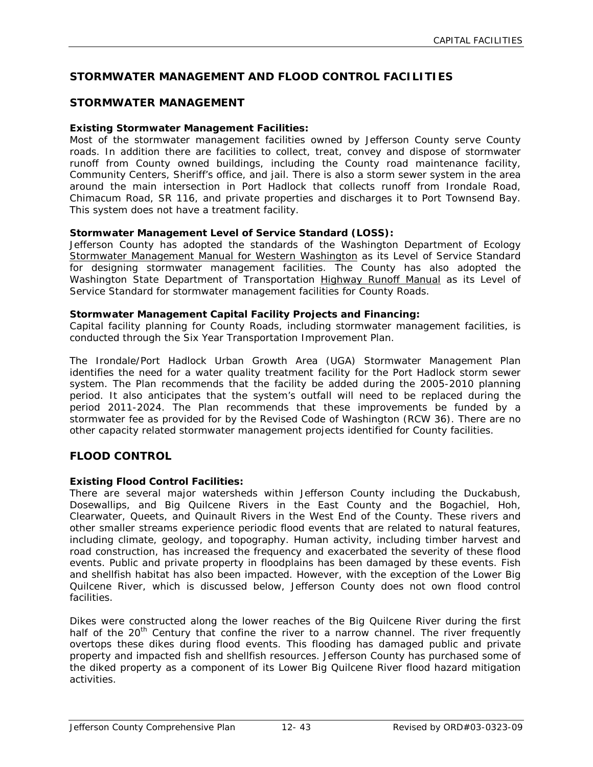# **STORMWATER MANAGEMENT AND FLOOD CONTROL FACILITIES**

# **STORMWATER MANAGEMENT**

#### **Existing Stormwater Management Facilities:**

Most of the stormwater management facilities owned by Jefferson County serve County roads. In addition there are facilities to collect, treat, convey and dispose of stormwater runoff from County owned buildings, including the County road maintenance facility, Community Centers, Sheriff's office, and jail. There is also a storm sewer system in the area around the main intersection in Port Hadlock that collects runoff from Irondale Road, Chimacum Road, SR 116, and private properties and discharges it to Port Townsend Bay. This system does not have a treatment facility.

#### **Stormwater Management Level of Service Standard (LOSS):**

Jefferson County has adopted the standards of the Washington Department of Ecology Stormwater Management Manual for Western Washington as its Level of Service Standard for designing stormwater management facilities. The County has also adopted the Washington State Department of Transportation Highway Runoff Manual as its Level of Service Standard for stormwater management facilities for County Roads.

#### **Stormwater Management Capital Facility Projects and Financing:**

Capital facility planning for County Roads, including stormwater management facilities, is conducted through the Six Year Transportation Improvement Plan.

The Irondale/Port Hadlock Urban Growth Area (UGA) Stormwater Management Plan identifies the need for a water quality treatment facility for the Port Hadlock storm sewer system. The Plan recommends that the facility be added during the 2005-2010 planning period. It also anticipates that the system's outfall will need to be replaced during the period 2011-2024. The Plan recommends that these improvements be funded by a stormwater fee as provided for by the Revised Code of Washington (RCW 36). There are no other capacity related stormwater management projects identified for County facilities.

# **FLOOD CONTROL**

#### **Existing Flood Control Facilities:**

There are several major watersheds within Jefferson County including the Duckabush, Dosewallips, and Big Quilcene Rivers in the East County and the Bogachiel, Hoh, Clearwater, Queets, and Quinault Rivers in the West End of the County. These rivers and other smaller streams experience periodic flood events that are related to natural features, including climate, geology, and topography. Human activity, including timber harvest and road construction, has increased the frequency and exacerbated the severity of these flood events. Public and private property in floodplains has been damaged by these events. Fish and shellfish habitat has also been impacted. However, with the exception of the Lower Big Quilcene River, which is discussed below, Jefferson County does not own flood control facilities.

Dikes were constructed along the lower reaches of the Big Quilcene River during the first half of the 20<sup>th</sup> Century that confine the river to a narrow channel. The river frequently overtops these dikes during flood events. This flooding has damaged public and private property and impacted fish and shellfish resources. Jefferson County has purchased some of the diked property as a component of its Lower Big Quilcene River flood hazard mitigation activities.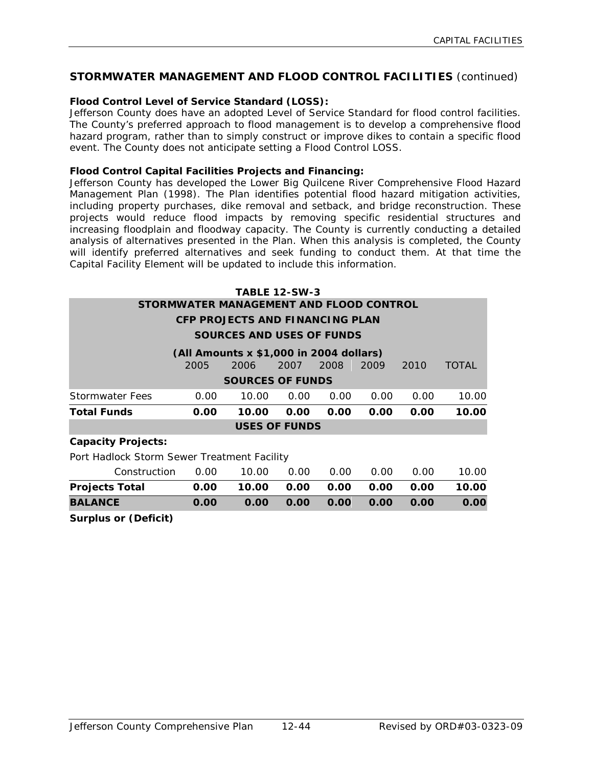# **STORMWATER MANAGEMENT AND FLOOD CONTROL FACILITIES** (continued)

### **Flood Control Level of Service Standard (LOSS):**

Jefferson County does have an adopted Level of Service Standard for flood control facilities. The County's preferred approach to flood management is to develop a comprehensive flood hazard program, rather than to simply construct or improve dikes to contain a specific flood event. The County does not anticipate setting a Flood Control LOSS.

#### **Flood Control Capital Facilities Projects and Financing:**

Jefferson County has developed the Lower Big Quilcene River Comprehensive Flood Hazard Management Plan (1998). The Plan identifies potential flood hazard mitigation activities, including property purchases, dike removal and setback, and bridge reconstruction. These projects would reduce flood impacts by removing specific residential structures and increasing floodplain and floodway capacity. The County is currently conducting a detailed analysis of alternatives presented in the Plan. When this analysis is completed, the County will identify preferred alternatives and seek funding to conduct them. At that time the Capital Facility Element will be updated to include this information.

| <b>TABLE 12-SW-3</b>                        |                                        |                                         |                      |      |      |      |              |  |  |  |
|---------------------------------------------|----------------------------------------|-----------------------------------------|----------------------|------|------|------|--------------|--|--|--|
| STORMWATER MANAGEMENT AND FLOOD CONTROL     |                                        |                                         |                      |      |      |      |              |  |  |  |
|                                             | <b>CFP PROJECTS AND FINANCING PLAN</b> |                                         |                      |      |      |      |              |  |  |  |
| SOURCES AND USES OF FUNDS                   |                                        |                                         |                      |      |      |      |              |  |  |  |
|                                             |                                        | (All Amounts x \$1,000 in 2004 dollars) |                      |      |      |      |              |  |  |  |
|                                             | 2005                                   | 2006                                    | 2007                 | 2008 | 2009 | 2010 | <b>TOTAL</b> |  |  |  |
|                                             |                                        | <b>SOURCES OF FUNDS</b>                 |                      |      |      |      |              |  |  |  |
| Stormwater Fees                             | 0.00                                   | 10.00                                   | 0.00                 | 0.00 | 0.00 | 0.00 | 10.00        |  |  |  |
| <b>Total Funds</b>                          | 0.00                                   | 10.00                                   | 0.00                 | 0.00 | 0.00 | 0.00 | 10.00        |  |  |  |
|                                             |                                        |                                         | <b>USES OF FUNDS</b> |      |      |      |              |  |  |  |
| <b>Capacity Projects:</b>                   |                                        |                                         |                      |      |      |      |              |  |  |  |
| Port Hadlock Storm Sewer Treatment Facility |                                        |                                         |                      |      |      |      |              |  |  |  |
| Construction                                | 0.00                                   | 10.00                                   | 0.00                 | 0.00 | 0.00 | 0.00 | 10.00        |  |  |  |
| <b>Projects Total</b>                       | 0.00                                   | 10.00                                   | 0.00                 | 0.00 | 0.00 | 0.00 | 10.00        |  |  |  |
| <b>BALANCE</b>                              | 0.00                                   | 0.00                                    | 0.00                 | 0.00 | 0.00 | 0.00 | 0.00         |  |  |  |
| <b>Surplus or (Deficit)</b>                 |                                        |                                         |                      |      |      |      |              |  |  |  |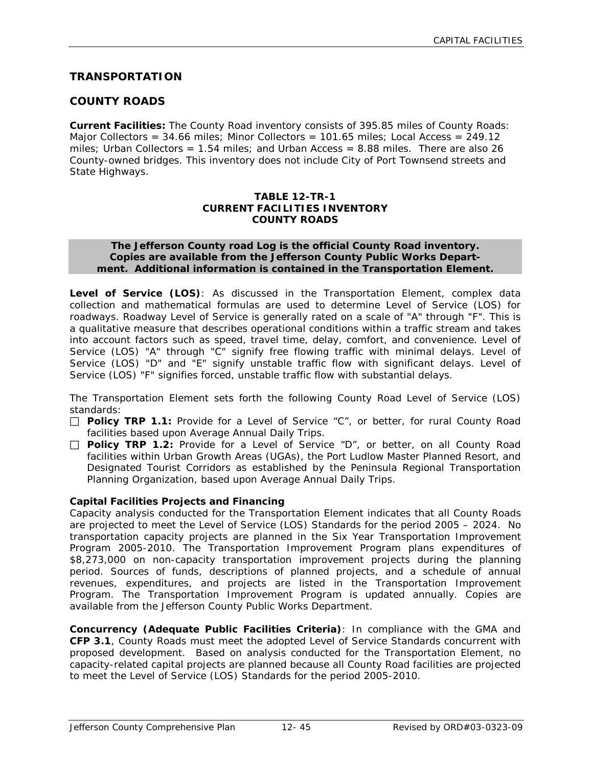# **TRANSPORTATION**

# **COUNTY ROADS**

**Current Facilities:** The County Road inventory consists of 395.85 miles of County Roads: Major Collectors =  $34.66$  miles; Minor Collectors =  $101.65$  miles; Local Access =  $249.12$ miles; Urban Collectors =  $1.54$  miles; and Urban Access =  $8.88$  miles. There are also  $26$ County-owned bridges. This inventory does not include City of Port Townsend streets and State Highways.

#### **TABLE 12-TR-1 CURRENT FACILITIES INVENTORY COUNTY ROADS**

#### **The Jefferson County road Log is the official County Road inventory. Copies are available from the Jefferson County Public Works Department. Additional information is contained in the Transportation Element.**

**Level of Service (LOS)**: As discussed in the Transportation Element, complex data collection and mathematical formulas are used to determine Level of Service (LOS) for roadways. Roadway Level of Service is generally rated on a scale of "A" through "F". This is a qualitative measure that describes operational conditions within a traffic stream and takes into account factors such as speed, travel time, delay, comfort, and convenience. Level of Service (LOS) "A" through "C" signify free flowing traffic with minimal delays. Level of Service (LOS) "D" and "E" signify unstable traffic flow with significant delays. Level of Service (LOS) "F" signifies forced, unstable traffic flow with substantial delays.

The Transportation Element sets forth the following County Road Level of Service (LOS) standards:

- □ **Policy TRP 1.1:** Provide for a Level of Service "C", or better, for rural County Road facilities based upon Average Annual Daily Trips.
- **Policy TRP 1.2:** Provide for a Level of Service "D", or better, on all County Road facilities within Urban Growth Areas (UGAs), the Port Ludlow Master Planned Resort, and Designated Tourist Corridors as established by the Peninsula Regional Transportation Planning Organization, based upon Average Annual Daily Trips.

#### **Capital Facilities Projects and Financing**

Capacity analysis conducted for the Transportation Element indicates that all County Roads are projected to meet the Level of Service (LOS) Standards for the period 2005 – 2024. No transportation capacity projects are planned in the Six Year Transportation Improvement Program 2005-2010. The Transportation Improvement Program plans expenditures of \$8,273,000 on non-capacity transportation improvement projects during the planning period. Sources of funds, descriptions of planned projects, and a schedule of annual revenues, expenditures, and projects are listed in the Transportation Improvement Program. The Transportation Improvement Program is updated annually. Copies are available from the Jefferson County Public Works Department.

**Concurrency (Adequate Public Facilities Criteria)**: In compliance with the GMA and **CFP 3.1**, County Roads must meet the adopted Level of Service Standards concurrent with proposed development. Based on analysis conducted for the Transportation Element, no capacity-related capital projects are planned because all County Road facilities are projected to meet the Level of Service (LOS) Standards for the period 2005-2010.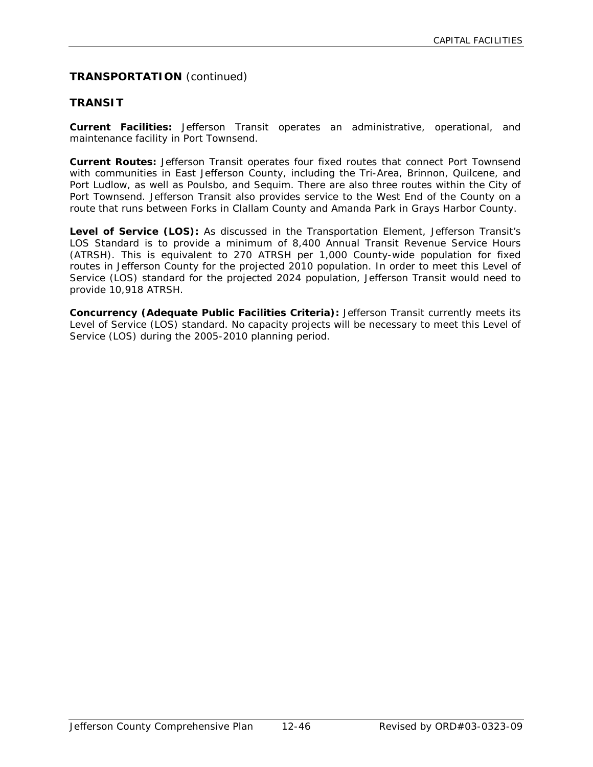# **TRANSPORTATION** (continued)

### **TRANSIT**

**Current Facilities:** Jefferson Transit operates an administrative, operational, and maintenance facility in Port Townsend.

**Current Routes:** Jefferson Transit operates four fixed routes that connect Port Townsend with communities in East Jefferson County, including the Tri-Area, Brinnon, Quilcene, and Port Ludlow, as well as Poulsbo, and Sequim. There are also three routes within the City of Port Townsend. Jefferson Transit also provides service to the West End of the County on a route that runs between Forks in Clallam County and Amanda Park in Grays Harbor County.

Level of Service (LOS): As discussed in the Transportation Element, Jefferson Transit's LOS Standard is to provide a minimum of 8,400 Annual Transit Revenue Service Hours (ATRSH). This is equivalent to 270 ATRSH per 1,000 County-wide population for fixed routes in Jefferson County for the projected 2010 population. In order to meet this Level of Service (LOS) standard for the projected 2024 population, Jefferson Transit would need to provide 10,918 ATRSH.

**Concurrency (Adequate Public Facilities Criteria):** Jefferson Transit currently meets its Level of Service (LOS) standard. No capacity projects will be necessary to meet this Level of Service (LOS) during the 2005-2010 planning period.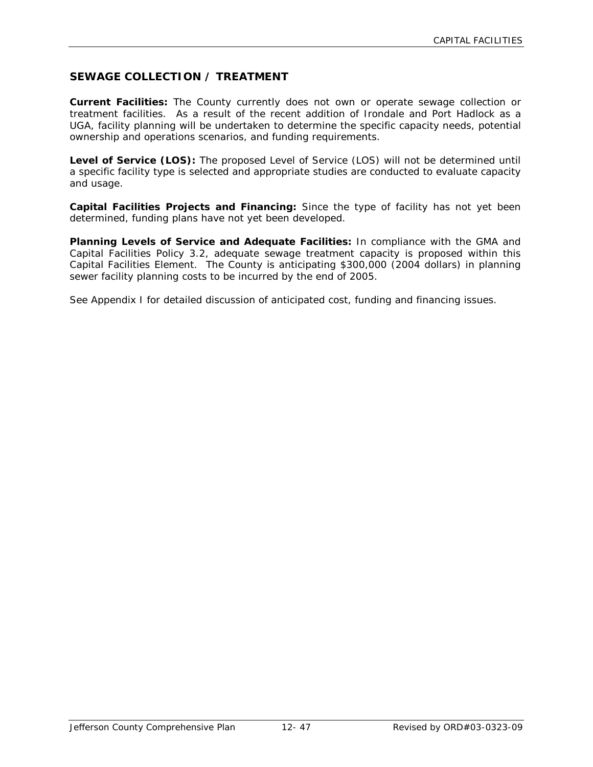# **SEWAGE COLLECTION / TREATMENT**

**Current Facilities:** The County currently does not own or operate sewage collection or treatment facilities. As a result of the recent addition of Irondale and Port Hadlock as a UGA, facility planning will be undertaken to determine the specific capacity needs, potential ownership and operations scenarios, and funding requirements.

**Level of Service (LOS):** The proposed Level of Service (LOS) will not be determined until a specific facility type is selected and appropriate studies are conducted to evaluate capacity and usage.

**Capital Facilities Projects and Financing:** Since the type of facility has not yet been determined, funding plans have not yet been developed.

**Planning Levels of Service and Adequate Facilities:** In compliance with the GMA and Capital Facilities Policy 3.2, adequate sewage treatment capacity is proposed within this Capital Facilities Element. The County is anticipating \$300,000 (2004 dollars) in planning sewer facility planning costs to be incurred by the end of 2005.

See Appendix I for detailed discussion of anticipated cost, funding and financing issues.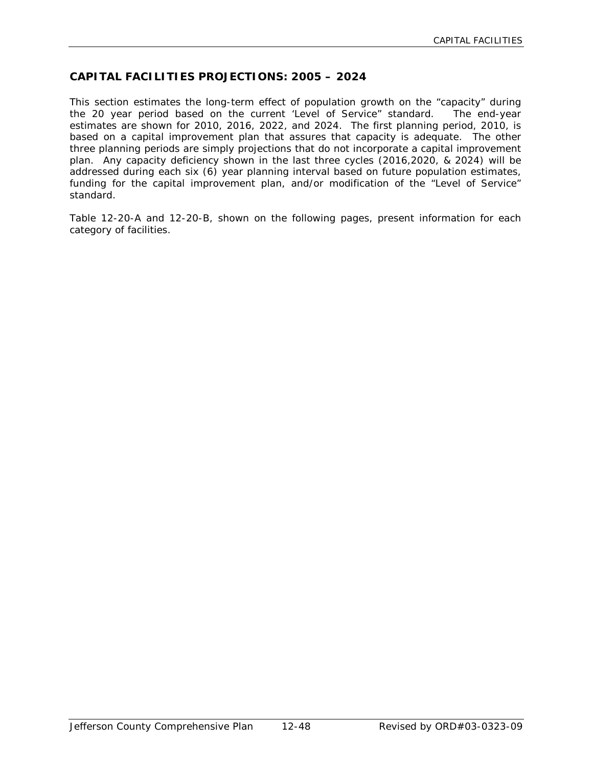# **CAPITAL FACILITIES PROJECTIONS: 2005 – 2024**

This section estimates the long-term effect of population growth on the "capacity" during the 20 year period based on the current 'Level of Service" standard. The end-year estimates are shown for 2010, 2016, 2022, and 2024. The first planning period, 2010, is based on a capital improvement plan that assures that capacity is adequate. The other three planning periods are simply projections that do not incorporate a capital improvement plan. Any capacity deficiency shown in the last three cycles (2016,2020, & 2024) will be addressed during each six (6) year planning interval based on future population estimates, funding for the capital improvement plan, and/or modification of the "Level of Service" standard.

Table 12-20-A and 12-20-B, shown on the following pages, present information for each category of facilities.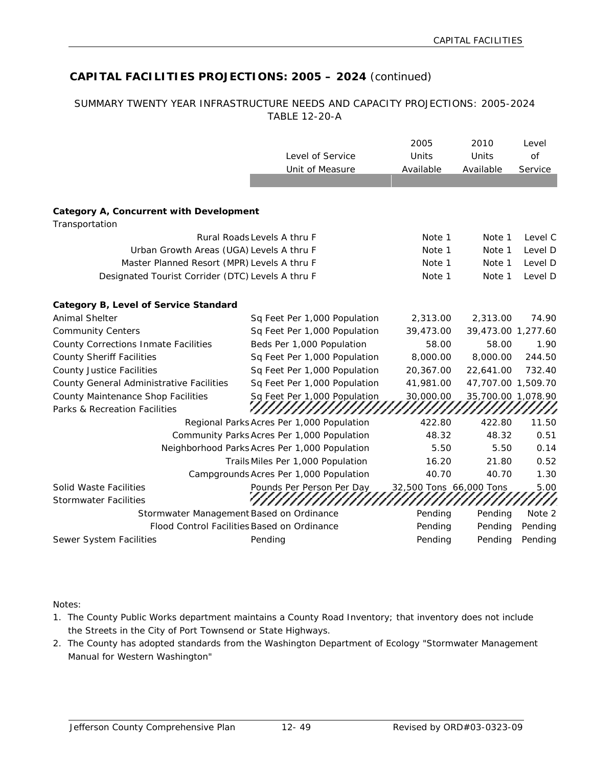# **CAPITAL FACILITIES PROJECTIONS: 2005 – 2024** (continued)

#### SUMMARY TWENTY YEAR INFRASTRUCTURE NEEDS AND CAPACITY PROJECTIONS: 2005-2024 TABLE 12-20-A

|                                                                  |                                               | 2005                    | 2010               | Level   |
|------------------------------------------------------------------|-----------------------------------------------|-------------------------|--------------------|---------|
|                                                                  | Level of Service                              | Units                   | Units              | of      |
|                                                                  | Unit of Measure                               | Available               | Available          | Service |
|                                                                  |                                               |                         |                    |         |
|                                                                  |                                               |                         |                    |         |
| <b>Category A, Concurrent with Development</b><br>Transportation |                                               |                         |                    |         |
|                                                                  | Rural Roads Levels A thru F                   | Note 1                  | Note 1             | Level C |
| Urban Growth Areas (UGA) Levels A thru F                         |                                               | Note 1                  | Note 1             | Level D |
| Master Planned Resort (MPR) Levels A thru F                      |                                               | Note 1                  | Note 1             | Level D |
| Designated Tourist Corrider (DTC) Levels A thru F                |                                               | Note 1                  | Note 1             | Level D |
|                                                                  |                                               |                         |                    |         |
| Category B, Level of Service Standard<br><b>Animal Shelter</b>   |                                               |                         |                    | 74.90   |
|                                                                  | Sq Feet Per 1,000 Population                  | 2,313.00                | 2,313.00           |         |
| <b>Community Centers</b>                                         | Sq Feet Per 1,000 Population                  | 39,473.00               | 39,473.00 1,277.60 |         |
| County Corrections Inmate Facilities                             | Beds Per 1,000 Population                     | 58.00                   | 58.00              | 1.90    |
| <b>County Sheriff Facilities</b>                                 | Sq Feet Per 1,000 Population                  | 8,000.00                | 8,000.00           | 244.50  |
| <b>County Justice Facilities</b>                                 | Sq Feet Per 1,000 Population                  | 20,367.00               | 22,641.00          | 732.40  |
| County General Administrative Facilities                         | Sq Feet Per 1,000 Population                  | 41,981.00               | 47,707.00 1,509.70 |         |
| County Maintenance Shop Facilities                               | Sq Feet Per 1,000 Population                  | 30,000.00               | 35,700.00 1,078.90 |         |
| Parks & Recreation Facilities                                    |                                               |                         |                    |         |
|                                                                  | Regional Parks Acres Per 1,000 Population     | 422.80                  | 422.80             | 11.50   |
|                                                                  | Community Parks Acres Per 1,000 Population    | 48.32                   | 48.32              | 0.51    |
|                                                                  | Neighborhood Parks Acres Per 1,000 Population | 5.50                    | 5.50               | 0.14    |
|                                                                  | Trails Miles Per 1,000 Population             | 16.20                   | 21.80              | 0.52    |
|                                                                  | Campgrounds Acres Per 1,000 Population        | 40.70                   | 40.70              | 1.30    |
| Solid Waste Facilities                                           | Pounds Per Person Per Day                     | 32,500 Tons 66,000 Tons |                    | 5.00    |
| <b>Stormwater Facilities</b>                                     |                                               |                         |                    |         |
| Stormwater Management Based on Ordinance                         |                                               | Pending                 | Pending            | Note 2  |
|                                                                  | Flood Control Facilities Based on Ordinance   | Pending                 | Pending            | Pending |
| Sewer System Facilities                                          | Pending                                       | Pending                 | Pending            | Pending |

Notes:

- 1. The County Public Works department maintains a County Road Inventory; that inventory does not include the Streets in the City of Port Townsend or State Highways.
- 2. The County has adopted standards from the Washington Department of Ecology "Stormwater Management Manual for Western Washington"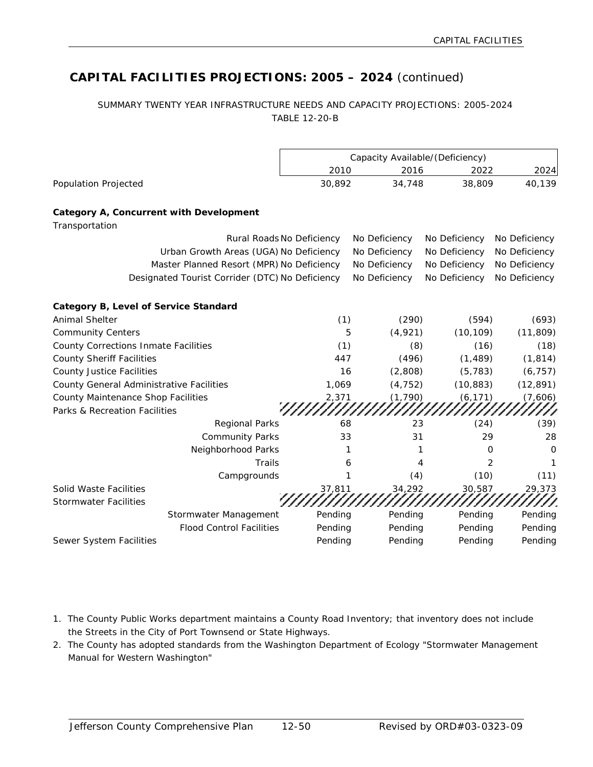# **CAPITAL FACILITIES PROJECTIONS: 2005 – 2024** (continued)

#### SUMMARY TWENTY YEAR INFRASTRUCTURE NEEDS AND CAPACITY PROJECTIONS: 2005-2024 TABLE 12-20-B

|                                                        |                                                 | Capacity Available/(Deficiency) |               |               |               |
|--------------------------------------------------------|-------------------------------------------------|---------------------------------|---------------|---------------|---------------|
|                                                        |                                                 | 2010                            | 2016          | 2022          | 2024          |
| <b>Population Projected</b>                            |                                                 | 30,892                          | 34,748        | 38,809        | 40,139        |
| Category A, Concurrent with Development                |                                                 |                                 |               |               |               |
| Transportation                                         |                                                 |                                 |               |               |               |
|                                                        |                                                 | Rural Roads No Deficiency       | No Deficiency | No Deficiency | No Deficiency |
|                                                        | Urban Growth Areas (UGA) No Deficiency          |                                 | No Deficiency | No Deficiency | No Deficiency |
|                                                        | Master Planned Resort (MPR) No Deficiency       |                                 | No Deficiency | No Deficiency | No Deficiency |
|                                                        | Designated Tourist Corrider (DTC) No Deficiency |                                 | No Deficiency | No Deficiency | No Deficiency |
| Category B, Level of Service Standard                  |                                                 |                                 |               |               |               |
| <b>Animal Shelter</b>                                  |                                                 | (1)                             | (290)         | (594)         | (693)         |
| <b>Community Centers</b>                               |                                                 | 5                               | (4,921)       | (10, 109)     | (11, 809)     |
| <b>County Corrections Inmate Facilities</b>            |                                                 | (1)                             | (8)           | (16)          | (18)          |
| <b>County Sheriff Facilities</b>                       |                                                 | 447                             | (496)         | (1, 489)      | (1, 814)      |
| <b>County Justice Facilities</b>                       |                                                 | 16                              | (2,808)       | (5, 783)      | (6, 757)      |
| County General Administrative Facilities               |                                                 | 1,069                           | (4, 752)      | (10, 883)     | (12, 891)     |
| County Maintenance Shop Facilities                     |                                                 | 2,371                           | (1, 790)      | (6, 171)      | (7,606)       |
| Parks & Recreation Facilities                          |                                                 |                                 |               |               |               |
|                                                        | <b>Regional Parks</b>                           | 68                              | 23            | (24)          | (39)          |
|                                                        | <b>Community Parks</b>                          | 33                              | 31            | 29            | 28            |
|                                                        | Neighborhood Parks                              | 1                               |               | 0             | $\mathbf 0$   |
|                                                        | <b>Trails</b>                                   | 6                               | 4             | 2             | 1             |
|                                                        | Campgrounds                                     |                                 | (4)           | (10)          | (11)          |
| Solid Waste Facilities<br><b>Stormwater Facilities</b> |                                                 | 37,811                          | 34,292        | 30,587        | 29,373        |
|                                                        | Stormwater Management                           | Pending                         | Pending       | Pending       | Pending       |
|                                                        | <b>Flood Control Facilities</b>                 | Pending                         | Pending       | Pending       | Pending       |
| Sewer System Facilities                                |                                                 | Pending                         | Pending       | Pending       | Pending       |

- 1. The County Public Works department maintains a County Road Inventory; that inventory does not include the Streets in the City of Port Townsend or State Highways.
- 2. The County has adopted standards from the Washington Department of Ecology "Stormwater Management Manual for Western Washington"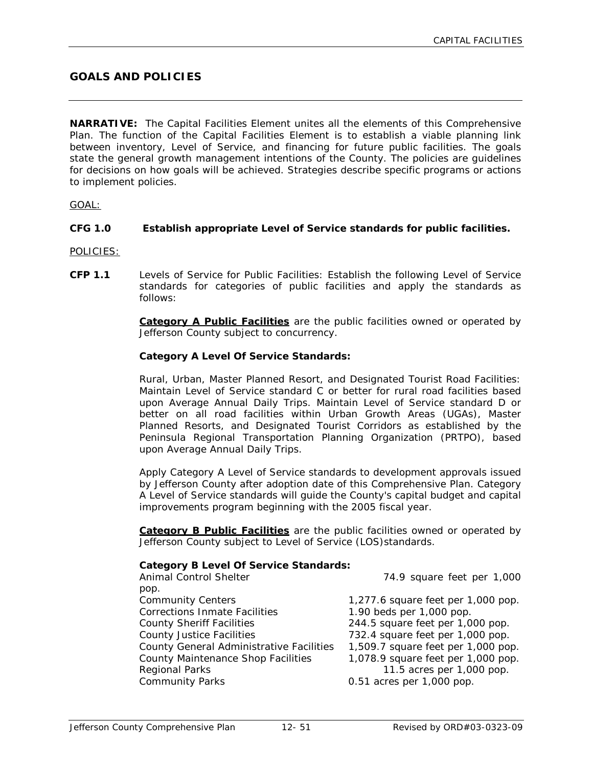# **GOALS AND POLICIES**

**NARRATIVE:** The Capital Facilities Element unites all the elements of this Comprehensive Plan. The function of the Capital Facilities Element is to establish a viable planning link between inventory, Level of Service, and financing for future public facilities. The goals state the general growth management intentions of the County. The policies are guidelines for decisions on how goals will be achieved. Strategies describe specific programs or actions to implement policies.

GOAL:

#### **CFG 1.0 Establish appropriate Level of Service standards for public facilities.**

POLICIES:

**CFP 1.1** Levels of Service for Public Facilities: Establish the following Level of Service standards for categories of public facilities and apply the standards as follows:

> **Category A Public Facilities** are the public facilities owned or operated by Jefferson County subject to concurrency.

#### **Category A Level Of Service Standards:**

Rural, Urban, Master Planned Resort, and Designated Tourist Road Facilities: Maintain Level of Service standard C or better for rural road facilities based upon Average Annual Daily Trips. Maintain Level of Service standard D or better on all road facilities within Urban Growth Areas (UGAs), Master Planned Resorts, and Designated Tourist Corridors as established by the Peninsula Regional Transportation Planning Organization (PRTPO), based upon Average Annual Daily Trips.

Apply Category A Level of Service standards to development approvals issued by Jefferson County after adoption date of this Comprehensive Plan. Category A Level of Service standards will guide the County's capital budget and capital improvements program beginning with the 2005 fiscal year.

**Category B Public Facilities** are the public facilities owned or operated by Jefferson County subject to Level of Service (LOS)standards.

#### **Category B Level Of Service Standards:**

| Animal Control Shelter                    | 74.9 square feet per 1,000         |
|-------------------------------------------|------------------------------------|
| pop.                                      |                                    |
| <b>Community Centers</b>                  | 1,277.6 square feet per 1,000 pop. |
| <b>Corrections Inmate Facilities</b>      | 1.90 beds per 1,000 pop.           |
| <b>County Sheriff Facilities</b>          | 244.5 square feet per 1,000 pop.   |
| <b>County Justice Facilities</b>          | 732.4 square feet per 1,000 pop.   |
| County General Administrative Facilities  | 1,509.7 square feet per 1,000 pop. |
| <b>County Maintenance Shop Facilities</b> | 1,078.9 square feet per 1,000 pop. |
| Regional Parks                            | 11.5 acres per 1,000 pop.          |
| <b>Community Parks</b>                    | 0.51 acres per 1,000 pop.          |
|                                           |                                    |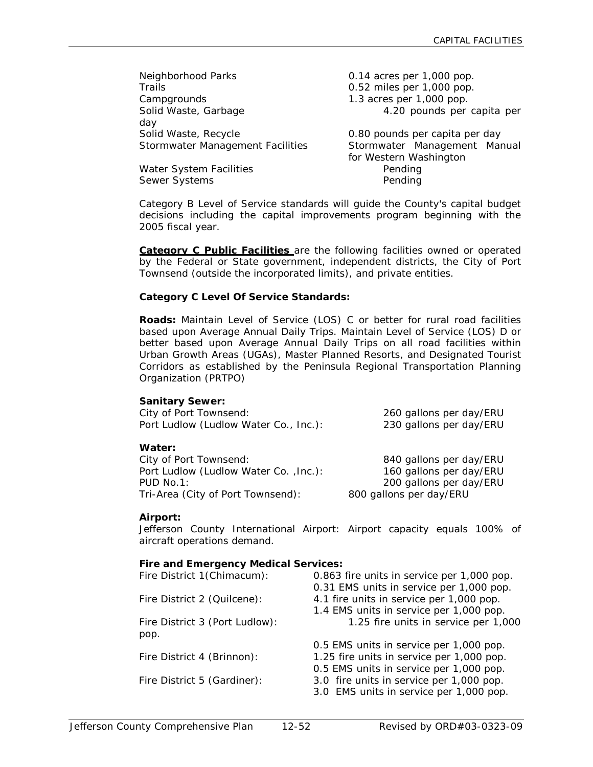| Neighborhood Parks               | 0.14 acres per 1,000 pop.      |  |  |
|----------------------------------|--------------------------------|--|--|
| Trails                           | 0.52 miles per 1,000 pop.      |  |  |
| Campgrounds                      | 1.3 acres per 1,000 pop.       |  |  |
| Solid Waste, Garbage             | 4.20 pounds per capita per     |  |  |
| day                              |                                |  |  |
| Solid Waste, Recycle             | 0.80 pounds per capita per day |  |  |
| Stormwater Management Facilities | Stormwater Management Manual   |  |  |
|                                  | for Western Washington         |  |  |
| Water System Facilities          | Pendina                        |  |  |

Sewer Systems **Pending** 

Category B Level of Service standards will guide the County's capital budget decisions including the capital improvements program beginning with the 2005 fiscal year.

**Category C Public Facilities** are the following facilities owned or operated by the Federal or State government, independent districts, the City of Port Townsend (outside the incorporated limits), and private entities.

#### **Category C Level Of Service Standards:**

**Roads:** Maintain Level of Service (LOS) C or better for rural road facilities based upon Average Annual Daily Trips. Maintain Level of Service (LOS) D or better based upon Average Annual Daily Trips on all road facilities within Urban Growth Areas (UGAs), Master Planned Resorts, and Designated Tourist Corridors as established by the Peninsula Regional Transportation Planning Organization (PRTPO)

#### **Sanitary Sewer:**

| City of Port Townsend:                | 260 gallons per day/ERU |
|---------------------------------------|-------------------------|
| Port Ludlow (Ludlow Water Co., Inc.): | 230 gallons per day/ERU |
|                                       |                         |
| Water:                                |                         |
| City of Port Townsend:                | 840 gallons per day/ERU |
| Port Ludlow (Ludlow Water Co., Inc.): | 160 gallons per day/ERU |
| PUD No.1:                             | 200 gallons per day/ERU |
| Tri-Area (City of Port Townsend):     | 800 gallons per day/ERU |

#### **Airport:**

Jefferson County International Airport: Airport capacity equals 100% of aircraft operations demand.

| <b>Fire and Emergency Medical Services:</b> |                                            |
|---------------------------------------------|--------------------------------------------|
| Fire District 1(Chimacum):                  | 0.863 fire units in service per 1,000 pop. |
|                                             | 0.31 EMS units in service per 1,000 pop.   |
| Fire District 2 (Quilcene):                 | 4.1 fire units in service per 1,000 pop.   |
|                                             | 1.4 EMS units in service per 1,000 pop.    |
| Fire District 3 (Port Ludlow):              | 1.25 fire units in service per 1,000       |
| pop.                                        |                                            |
|                                             | 0.5 EMS units in service per 1,000 pop.    |
| Fire District 4 (Brinnon):                  | 1.25 fire units in service per 1,000 pop.  |
|                                             | 0.5 EMS units in service per 1,000 pop.    |
| Fire District 5 (Gardiner):                 | 3.0 fire units in service per 1,000 pop.   |
|                                             | 3.0 EMS units in service per 1,000 pop.    |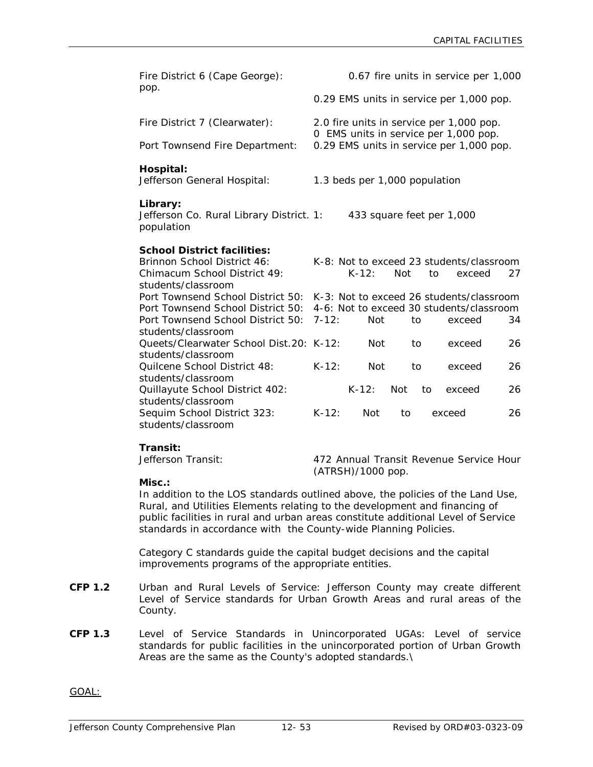| Fire District 6 (Cape George):                                     | 0.67 fire units in service per 1,000 |                                          |            |    |                                                                                   |    |
|--------------------------------------------------------------------|--------------------------------------|------------------------------------------|------------|----|-----------------------------------------------------------------------------------|----|
| pop.                                                               |                                      | 0.29 EMS units in service per 1,000 pop. |            |    |                                                                                   |    |
| Fire District 7 (Clearwater):                                      |                                      |                                          |            |    | 2.0 fire units in service per 1,000 pop.                                          |    |
| Port Townsend Fire Department:                                     |                                      |                                          |            |    | 0 EMS units in service per 1,000 pop.<br>0.29 EMS units in service per 1,000 pop. |    |
| Hospital:<br>Jefferson General Hospital:                           |                                      | 1.3 beds per 1,000 population            |            |    |                                                                                   |    |
| Library:<br>Jefferson Co. Rural Library District. 1:<br>population |                                      | 433 square feet per 1,000                |            |    |                                                                                   |    |
| <b>School District facilities:</b>                                 |                                      |                                          |            |    |                                                                                   |    |
| Brinnon School District 46:<br>Chimacum School District 49:        |                                      | $K - 12:$                                | <b>Not</b> | to | K-8: Not to exceed 23 students/classroom<br>exceed                                | 27 |
| students/classroom<br>Port Townsend School District 50:            |                                      |                                          |            |    | K-3: Not to exceed 26 students/classroom                                          |    |
| Port Townsend School District 50:                                  |                                      |                                          |            |    | 4-6: Not to exceed 30 students/classroom                                          |    |
| Port Townsend School District 50:                                  | $7 - 12:$                            | <b>Not</b>                               | to         |    | exceed                                                                            | 34 |
| students/classroom                                                 |                                      |                                          |            |    |                                                                                   |    |
| Queets/Clearwater School Dist.20: K-12:                            |                                      | <b>Not</b>                               | to         |    | exceed                                                                            | 26 |
| students/classroom                                                 |                                      |                                          |            |    |                                                                                   |    |
| Quilcene School District 48:                                       | $K-12:$                              | <b>Not</b>                               | to         |    | exceed                                                                            | 26 |
| students/classroom                                                 |                                      |                                          |            |    |                                                                                   |    |
| Quillayute School District 402:<br>students/classroom              |                                      | $K-12:$                                  | <b>Not</b> | to | exceed                                                                            | 26 |
| Sequim School District 323:                                        | $K-12:$                              | <b>Not</b>                               | to         |    | exceed                                                                            | 26 |
| students/classroom                                                 |                                      |                                          |            |    |                                                                                   |    |

**Transit:**

472 Annual Transit Revenue Service Hour (ATRSH)/1000 pop.

#### **Misc.:**

In addition to the LOS standards outlined above, the policies of the Land Use, Rural, and Utilities Elements relating to the development and financing of public facilities in rural and urban areas constitute additional Level of Service standards in accordance with the County-wide Planning Policies.

Category C standards guide the capital budget decisions and the capital improvements programs of the appropriate entities.

- **CFP 1.2** Urban and Rural Levels of Service: Jefferson County may create different Level of Service standards for Urban Growth Areas and rural areas of the County.
- **CFP 1.3** Level of Service Standards in Unincorporated UGAs: Level of service standards for public facilities in the unincorporated portion of Urban Growth Areas are the same as the County's adopted standards.\

GOAL: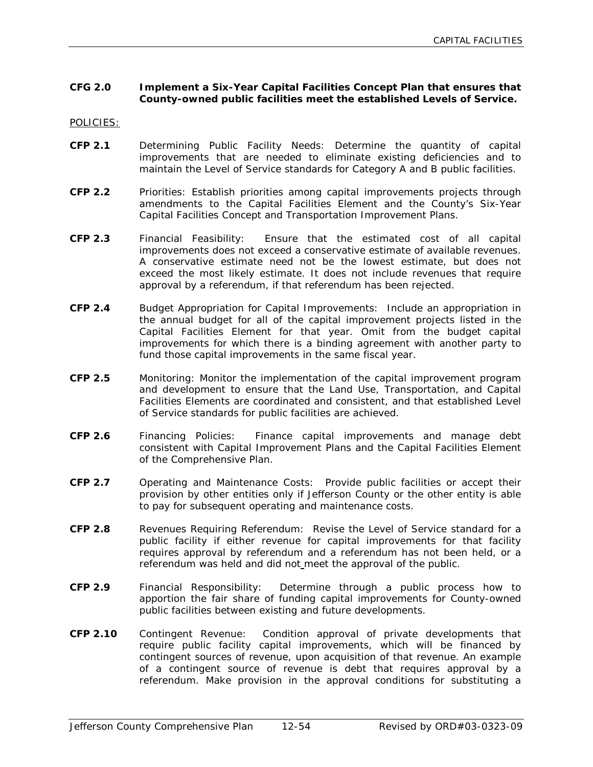#### **CFG 2.0 Implement a Six-Year Capital Facilities Concept Plan that ensures that County-owned public facilities meet the established Levels of Service.**

POLICIES:

- **CFP 2.1** Determining Public Facility Needs: Determine the quantity of capital improvements that are needed to eliminate existing deficiencies and to maintain the Level of Service standards for Category A and B public facilities.
- **CFP 2.2** Priorities: Establish priorities among capital improvements projects through amendments to the Capital Facilities Element and the County's Six-Year Capital Facilities Concept and Transportation Improvement Plans.
- **CFP 2.3** Financial Feasibility: Ensure that the estimated cost of all capital improvements does not exceed a conservative estimate of available revenues. A conservative estimate need not be the lowest estimate, but does not exceed the most likely estimate. It does not include revenues that require approval by a referendum, if that referendum has been rejected.
- **CFP 2.4** Budget Appropriation for Capital Improvements: Include an appropriation in the annual budget for all of the capital improvement projects listed in the Capital Facilities Element for that year. Omit from the budget capital improvements for which there is a binding agreement with another party to fund those capital improvements in the same fiscal year.
- **CFP 2.5** Monitoring: Monitor the implementation of the capital improvement program and development to ensure that the Land Use, Transportation, and Capital Facilities Elements are coordinated and consistent, and that established Level of Service standards for public facilities are achieved.
- **CFP 2.6** Financing Policies: Finance capital improvements and manage debt consistent with Capital Improvement Plans and the Capital Facilities Element of the Comprehensive Plan.
- **CFP 2.7** Operating and Maintenance Costs: Provide public facilities or accept their provision by other entities only if Jefferson County or the other entity is able to pay for subsequent operating and maintenance costs.
- **CFP 2.8** Revenues Requiring Referendum: Revise the Level of Service standard for a public facility if either revenue for capital improvements for that facility requires approval by referendum and a referendum has not been held, or a referendum was held and did not meet the approval of the public.
- **CFP 2.9** Financial Responsibility: Determine through a public process how to apportion the fair share of funding capital improvements for County-owned public facilities between existing and future developments.
- **CFP 2.10** Contingent Revenue: Condition approval of private developments that require public facility capital improvements, which will be financed by contingent sources of revenue, upon acquisition of that revenue. An example of a contingent source of revenue is debt that requires approval by a referendum. Make provision in the approval conditions for substituting a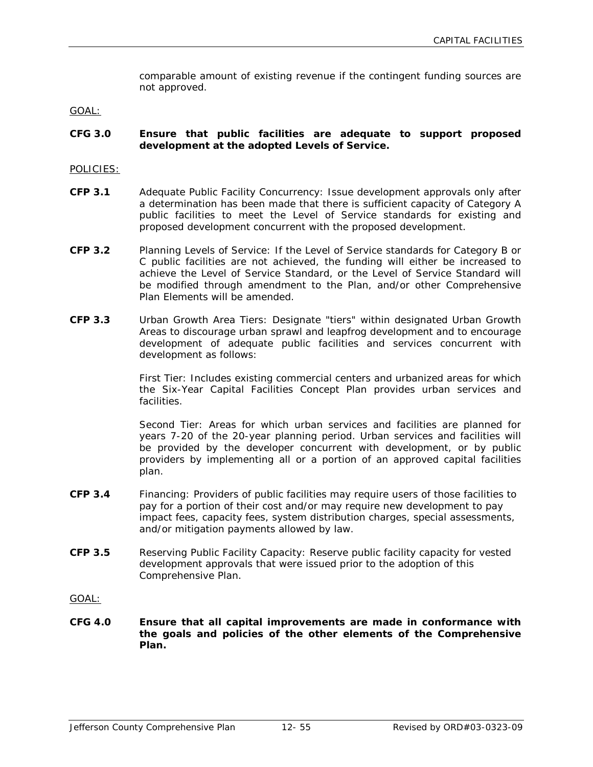comparable amount of existing revenue if the contingent funding sources are not approved.

GOAL:

#### **CFG 3.0 Ensure that public facilities are adequate to support proposed development at the adopted Levels of Service.**

#### POLICIES:

- **CFP 3.1** Adequate Public Facility Concurrency: Issue development approvals only after a determination has been made that there is sufficient capacity of Category A public facilities to meet the Level of Service standards for existing and proposed development concurrent with the proposed development.
- **CFP 3.2** Planning Levels of Service: If the Level of Service standards for Category B or C public facilities are not achieved, the funding will either be increased to achieve the Level of Service Standard, or the Level of Service Standard will be modified through amendment to the Plan, and/or other Comprehensive Plan Elements will be amended.
- **CFP 3.3** Urban Growth Area Tiers: Designate "tiers" within designated Urban Growth Areas to discourage urban sprawl and leapfrog development and to encourage development of adequate public facilities and services concurrent with development as follows:

First Tier: Includes existing commercial centers and urbanized areas for which the Six-Year Capital Facilities Concept Plan provides urban services and facilities.

Second Tier: Areas for which urban services and facilities are planned for years 7-20 of the 20-year planning period. Urban services and facilities will be provided by the developer concurrent with development, or by public providers by implementing all or a portion of an approved capital facilities plan.

- **CFP 3.4** Financing: Providers of public facilities may require users of those facilities to pay for a portion of their cost and/or may require new development to pay impact fees, capacity fees, system distribution charges, special assessments, and/or mitigation payments allowed by law.
- **CFP 3.5** Reserving Public Facility Capacity: Reserve public facility capacity for vested development approvals that were issued prior to the adoption of this Comprehensive Plan.

GOAL:

**CFG 4.0 Ensure that all capital improvements are made in conformance with the goals and policies of the other elements of the Comprehensive Plan.**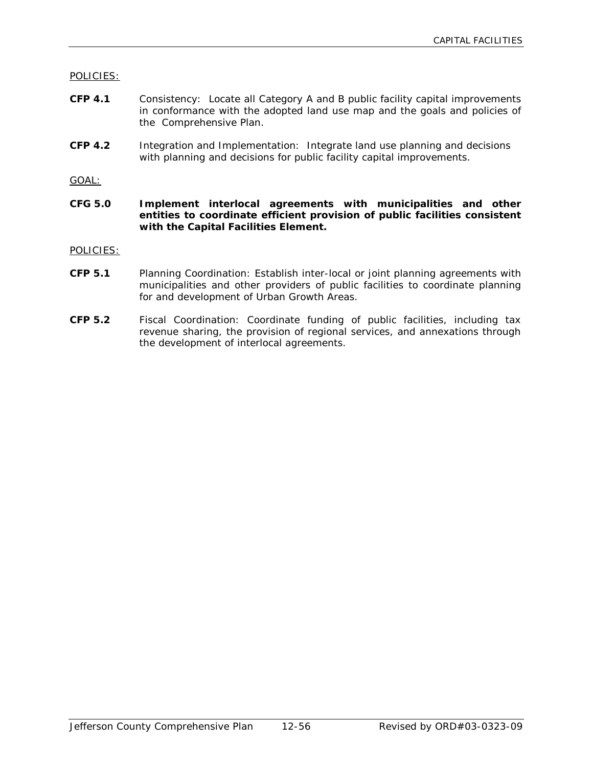POLICIES:

- **CFP 4.1** Consistency: Locate all Category A and B public facility capital improvements in conformance with the adopted land use map and the goals and policies of the Comprehensive Plan.
- **CFP 4.2** Integration and Implementation: Integrate land use planning and decisions with planning and decisions for public facility capital improvements.

GOAL:

**CFG 5.0 Implement interlocal agreements with municipalities and other entities to coordinate efficient provision of public facilities consistent with the Capital Facilities Element.**

POLICIES:

- **CFP 5.1** Planning Coordination: Establish inter-local or joint planning agreements with municipalities and other providers of public facilities to coordinate planning for and development of Urban Growth Areas.
- **CFP 5.2** Fiscal Coordination: Coordinate funding of public facilities, including tax revenue sharing, the provision of regional services, and annexations through the development of interlocal agreements.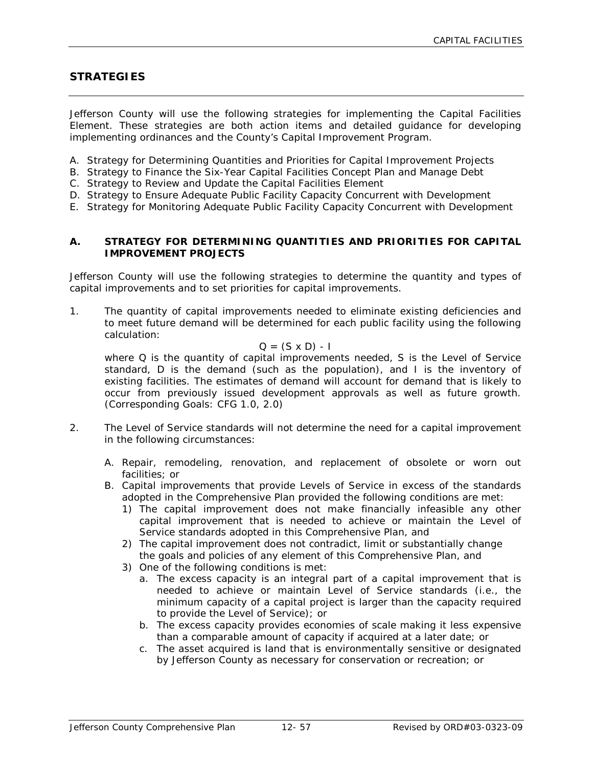# **STRATEGIES**

Jefferson County will use the following strategies for implementing the Capital Facilities Element. These strategies are both action items and detailed guidance for developing implementing ordinances and the County's Capital Improvement Program.

- A. Strategy for Determining Quantities and Priorities for Capital Improvement Projects
- B. Strategy to Finance the Six-Year Capital Facilities Concept Plan and Manage Debt
- C. Strategy to Review and Update the Capital Facilities Element
- D. Strategy to Ensure Adequate Public Facility Capacity Concurrent with Development
- E. Strategy for Monitoring Adequate Public Facility Capacity Concurrent with Development

#### **A. STRATEGY FOR DETERMINING QUANTITIES AND PRIORITIES FOR CAPITAL IMPROVEMENT PROJECTS**

Jefferson County will use the following strategies to determine the quantity and types of capital improvements and to set priorities for capital improvements.

1. The quantity of capital improvements needed to eliminate existing deficiencies and to meet future demand will be determined for each public facility using the following calculation:

### $Q = (S \times D) - I$

where Q is the quantity of capital improvements needed, S is the Level of Service standard, D is the demand (such as the population), and I is the inventory of existing facilities. The estimates of demand will account for demand that is likely to occur from previously issued development approvals as well as future growth. (Corresponding Goals: CFG 1.0, 2.0)

- 2. The Level of Service standards will not determine the need for a capital improvement in the following circumstances:
	- A. Repair, remodeling, renovation, and replacement of obsolete or worn out facilities; or
	- B. Capital improvements that provide Levels of Service in excess of the standards adopted in the Comprehensive Plan provided the following conditions are met:
		- 1) The capital improvement does not make financially infeasible any other capital improvement that is needed to achieve or maintain the Level of Service standards adopted in this Comprehensive Plan, and
		- 2) The capital improvement does not contradict, limit or substantially change the goals and policies of any element of this Comprehensive Plan, and
		- 3) One of the following conditions is met:
			- a. The excess capacity is an integral part of a capital improvement that is needed to achieve or maintain Level of Service standards (i.e., the minimum capacity of a capital project is larger than the capacity required to provide the Level of Service); or
			- b. The excess capacity provides economies of scale making it less expensive than a comparable amount of capacity if acquired at a later date; or
			- c. The asset acquired is land that is environmentally sensitive or designated by Jefferson County as necessary for conservation or recreation; or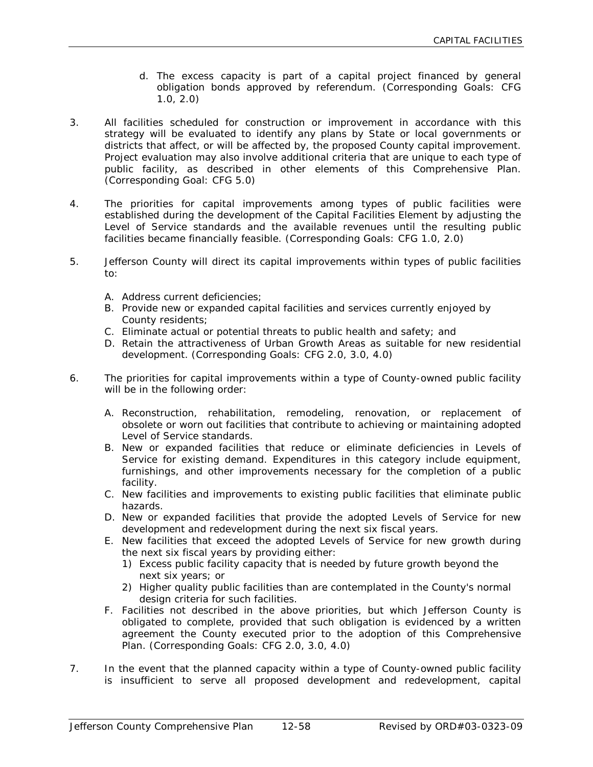- d. The excess capacity is part of a capital project financed by general obligation bonds approved by referendum. (Corresponding Goals: CFG 1.0, 2.0)
- 3. All facilities scheduled for construction or improvement in accordance with this strategy will be evaluated to identify any plans by State or local governments or districts that affect, or will be affected by, the proposed County capital improvement. Project evaluation may also involve additional criteria that are unique to each type of public facility, as described in other elements of this Comprehensive Plan. (Corresponding Goal: CFG 5.0)
- 4. The priorities for capital improvements among types of public facilities were established during the development of the Capital Facilities Element by adjusting the Level of Service standards and the available revenues until the resulting public facilities became financially feasible. (Corresponding Goals: CFG 1.0, 2.0)
- 5. Jefferson County will direct its capital improvements within types of public facilities to:
	- A. Address current deficiencies;
	- B. Provide new or expanded capital facilities and services currently enjoyed by County residents;
	- C. Eliminate actual or potential threats to public health and safety; and
	- D. Retain the attractiveness of Urban Growth Areas as suitable for new residential development. (Corresponding Goals: CFG 2.0, 3.0, 4.0)
- 6. The priorities for capital improvements within a type of County-owned public facility will be in the following order:
	- A. Reconstruction, rehabilitation, remodeling, renovation, or replacement of obsolete or worn out facilities that contribute to achieving or maintaining adopted Level of Service standards.
	- B. New or expanded facilities that reduce or eliminate deficiencies in Levels of Service for existing demand. Expenditures in this category include equipment, furnishings, and other improvements necessary for the completion of a public facility.
	- C. New facilities and improvements to existing public facilities that eliminate public hazards.
	- D. New or expanded facilities that provide the adopted Levels of Service for new development and redevelopment during the next six fiscal years.
	- E. New facilities that exceed the adopted Levels of Service for new growth during the next six fiscal years by providing either:
		- 1) Excess public facility capacity that is needed by future growth beyond the next six years; or
		- 2) Higher quality public facilities than are contemplated in the County's normal design criteria for such facilities.
	- F. Facilities not described in the above priorities, but which Jefferson County is obligated to complete, provided that such obligation is evidenced by a written agreement the County executed prior to the adoption of this Comprehensive Plan. (Corresponding Goals: CFG 2.0, 3.0, 4.0)
- 7. In the event that the planned capacity within a type of County-owned public facility is insufficient to serve all proposed development and redevelopment, capital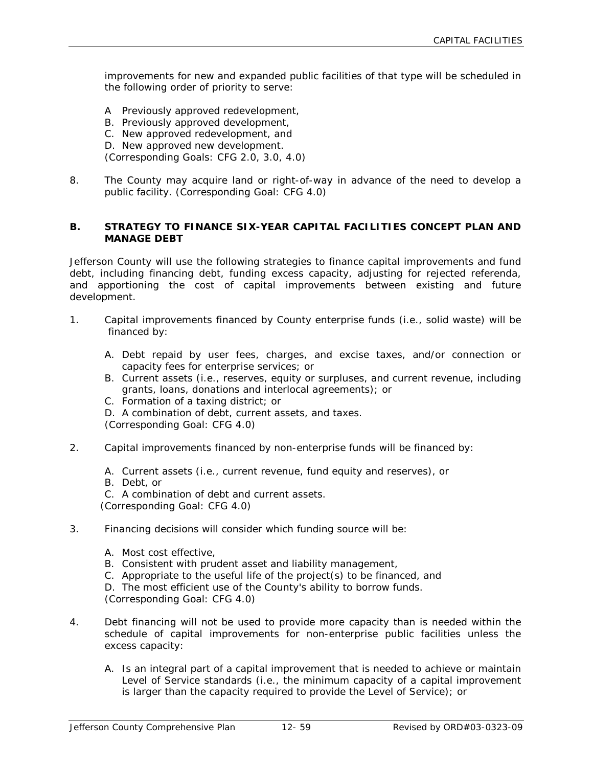improvements for new and expanded public facilities of that type will be scheduled in the following order of priority to serve:

- A Previously approved redevelopment,
- B. Previously approved development,
- C. New approved redevelopment, and
- D. New approved new development.

(Corresponding Goals: CFG 2.0, 3.0, 4.0)

8. The County may acquire land or right-of-way in advance of the need to develop a public facility. (Corresponding Goal: CFG 4.0)

#### **B. STRATEGY TO FINANCE SIX-YEAR CAPITAL FACILITIES CONCEPT PLAN AND MANAGE DEBT**

Jefferson County will use the following strategies to finance capital improvements and fund debt, including financing debt, funding excess capacity, adjusting for rejected referenda, and apportioning the cost of capital improvements between existing and future development.

- 1. Capital improvements financed by County enterprise funds (i.e., solid waste) will be financed by:
	- A. Debt repaid by user fees, charges, and excise taxes, and/or connection or capacity fees for enterprise services; or
	- B. Current assets (i.e., reserves, equity or surpluses, and current revenue, including grants, loans, donations and interlocal agreements); or
	- C. Formation of a taxing district; or
	- D. A combination of debt, current assets, and taxes.

(Corresponding Goal: CFG 4.0)

- 2. Capital improvements financed by non-enterprise funds will be financed by:
	- A. Current assets (i.e., current revenue, fund equity and reserves), or
	- B. Debt, or
	- C. A combination of debt and current assets.

(Corresponding Goal: CFG 4.0)

- 3. Financing decisions will consider which funding source will be:
	- A. Most cost effective,
	- B. Consistent with prudent asset and liability management,
	- C. Appropriate to the useful life of the project(s) to be financed, and
	- D. The most efficient use of the County's ability to borrow funds.

(Corresponding Goal: CFG 4.0)

- 4. Debt financing will not be used to provide more capacity than is needed within the schedule of capital improvements for non-enterprise public facilities unless the excess capacity:
	- A. Is an integral part of a capital improvement that is needed to achieve or maintain Level of Service standards (i.e., the minimum capacity of a capital improvement is larger than the capacity required to provide the Level of Service); or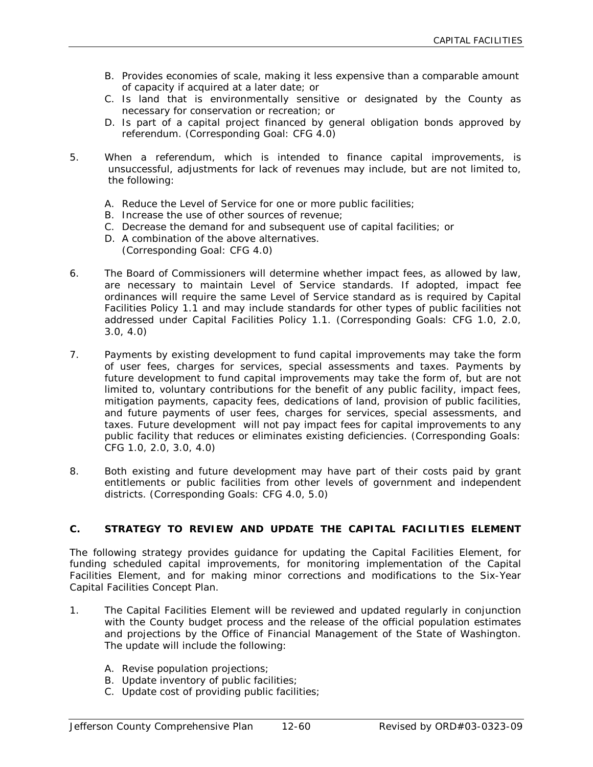- B. Provides economies of scale, making it less expensive than a comparable amount of capacity if acquired at a later date; or
- C. Is land that is environmentally sensitive or designated by the County as necessary for conservation or recreation; or
- D. Is part of a capital project financed by general obligation bonds approved by referendum. (Corresponding Goal: CFG 4.0)
- 5. When a referendum, which is intended to finance capital improvements, is unsuccessful, adjustments for lack of revenues may include, but are not limited to, the following:
	- A. Reduce the Level of Service for one or more public facilities;
	- B. Increase the use of other sources of revenue;
	- C. Decrease the demand for and subsequent use of capital facilities; or
	- D. A combination of the above alternatives.
		- (Corresponding Goal: CFG 4.0)
- 6. The Board of Commissioners will determine whether impact fees, as allowed by law, are necessary to maintain Level of Service standards. If adopted, impact fee ordinances will require the same Level of Service standard as is required by Capital Facilities Policy 1.1 and may include standards for other types of public facilities not addressed under Capital Facilities Policy 1.1. (Corresponding Goals: CFG 1.0, 2.0, 3.0, 4.0)
- 7. Payments by existing development to fund capital improvements may take the form of user fees, charges for services, special assessments and taxes. Payments by future development to fund capital improvements may take the form of, but are not limited to, voluntary contributions for the benefit of any public facility, impact fees, mitigation payments, capacity fees, dedications of land, provision of public facilities, and future payments of user fees, charges for services, special assessments, and taxes. Future development will not pay impact fees for capital improvements to any public facility that reduces or eliminates existing deficiencies. (Corresponding Goals: CFG 1.0, 2.0, 3.0, 4.0)
- 8. Both existing and future development may have part of their costs paid by grant entitlements or public facilities from other levels of government and independent districts. (Corresponding Goals: CFG 4.0, 5.0)

# **C. STRATEGY TO REVIEW AND UPDATE THE CAPITAL FACILITIES ELEMENT**

The following strategy provides guidance for updating the Capital Facilities Element, for funding scheduled capital improvements, for monitoring implementation of the Capital Facilities Element, and for making minor corrections and modifications to the Six-Year Capital Facilities Concept Plan.

- 1. The Capital Facilities Element will be reviewed and updated regularly in conjunction with the County budget process and the release of the official population estimates and projections by the Office of Financial Management of the State of Washington. The update will include the following:
	- A. Revise population projections;
	- B. Update inventory of public facilities;
	- C. Update cost of providing public facilities;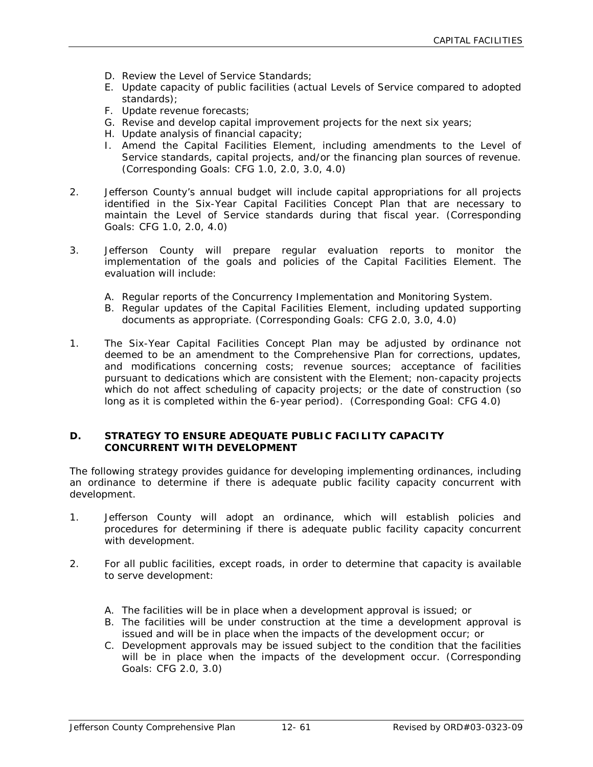- D. Review the Level of Service Standards;
- E. Update capacity of public facilities (actual Levels of Service compared to adopted standards);
- F. Update revenue forecasts;
- G. Revise and develop capital improvement projects for the next six years;
- H. Update analysis of financial capacity;
- I. Amend the Capital Facilities Element, including amendments to the Level of Service standards, capital projects, and/or the financing plan sources of revenue. (Corresponding Goals: CFG 1.0, 2.0, 3.0, 4.0)
- 2. Jefferson County's annual budget will include capital appropriations for all projects identified in the Six-Year Capital Facilities Concept Plan that are necessary to maintain the Level of Service standards during that fiscal year. (Corresponding Goals: CFG 1.0, 2.0, 4.0)
- 3. Jefferson County will prepare regular evaluation reports to monitor the implementation of the goals and policies of the Capital Facilities Element. The evaluation will include:
	- A. Regular reports of the Concurrency Implementation and Monitoring System.
	- B. Regular updates of the Capital Facilities Element, including updated supporting documents as appropriate. (Corresponding Goals: CFG 2.0, 3.0, 4.0)
- 1. The Six-Year Capital Facilities Concept Plan may be adjusted by ordinance not deemed to be an amendment to the Comprehensive Plan for corrections, updates, and modifications concerning costs; revenue sources; acceptance of facilities pursuant to dedications which are consistent with the Element; non-capacity projects which do not affect scheduling of capacity projects; or the date of construction (so long as it is completed within the 6-year period). (Corresponding Goal: CFG 4.0)

#### **D. STRATEGY TO ENSURE ADEQUATE PUBLIC FACILITY CAPACITY CONCURRENT WITH DEVELOPMENT**

The following strategy provides guidance for developing implementing ordinances, including an ordinance to determine if there is adequate public facility capacity concurrent with development.

- 1. Jefferson County will adopt an ordinance, which will establish policies and procedures for determining if there is adequate public facility capacity concurrent with development.
- 2. For all public facilities, except roads, in order to determine that capacity is available to serve development:
	- A. The facilities will be in place when a development approval is issued; or
	- B. The facilities will be under construction at the time a development approval is issued and will be in place when the impacts of the development occur; or
	- C. Development approvals may be issued subject to the condition that the facilities will be in place when the impacts of the development occur. (Corresponding Goals: CFG 2.0, 3.0)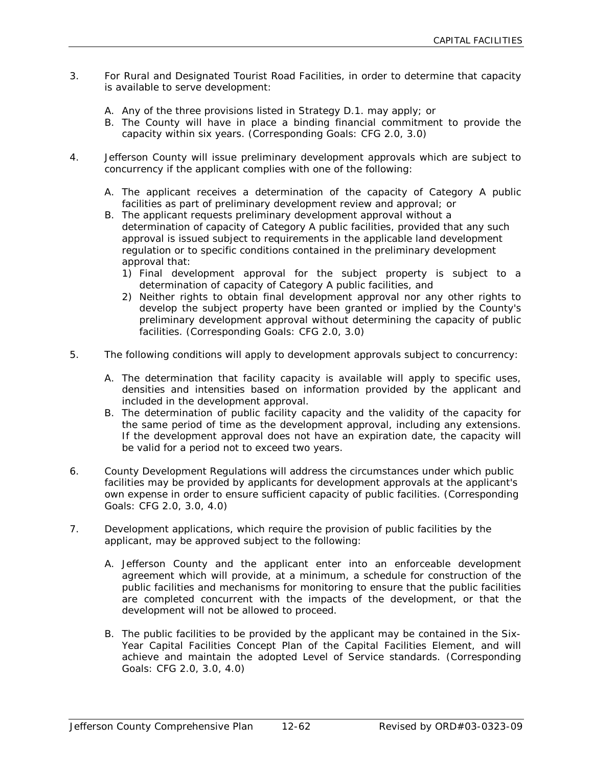- 3. For Rural and Designated Tourist Road Facilities, in order to determine that capacity is available to serve development:
	- A. Any of the three provisions listed in Strategy D.1. may apply; or
	- B. The County will have in place a binding financial commitment to provide the capacity within six years. (Corresponding Goals: CFG 2.0, 3.0)
- 4. Jefferson County will issue preliminary development approvals which are subject to concurrency if the applicant complies with one of the following:
	- A. The applicant receives a determination of the capacity of Category A public facilities as part of preliminary development review and approval; or
	- B. The applicant requests preliminary development approval without a determination of capacity of Category A public facilities, provided that any such approval is issued subject to requirements in the applicable land development regulation or to specific conditions contained in the preliminary development approval that:
		- 1) Final development approval for the subject property is subject to a determination of capacity of Category A public facilities, and
		- 2) Neither rights to obtain final development approval nor any other rights to develop the subject property have been granted or implied by the County's preliminary development approval without determining the capacity of public facilities. (Corresponding Goals: CFG 2.0, 3.0)
- 5. The following conditions will apply to development approvals subject to concurrency:
	- A. The determination that facility capacity is available will apply to specific uses, densities and intensities based on information provided by the applicant and included in the development approval.
	- B. The determination of public facility capacity and the validity of the capacity for the same period of time as the development approval, including any extensions. If the development approval does not have an expiration date, the capacity will be valid for a period not to exceed two years.
- 6. County Development Regulations will address the circumstances under which public facilities may be provided by applicants for development approvals at the applicant's own expense in order to ensure sufficient capacity of public facilities. (Corresponding Goals: CFG 2.0, 3.0, 4.0)
- 7. Development applications, which require the provision of public facilities by the applicant, may be approved subject to the following:
	- A. Jefferson County and the applicant enter into an enforceable development agreement which will provide, at a minimum, a schedule for construction of the public facilities and mechanisms for monitoring to ensure that the public facilities are completed concurrent with the impacts of the development, or that the development will not be allowed to proceed.
	- B. The public facilities to be provided by the applicant may be contained in the Six-Year Capital Facilities Concept Plan of the Capital Facilities Element, and will achieve and maintain the adopted Level of Service standards. (Corresponding Goals: CFG 2.0, 3.0, 4.0)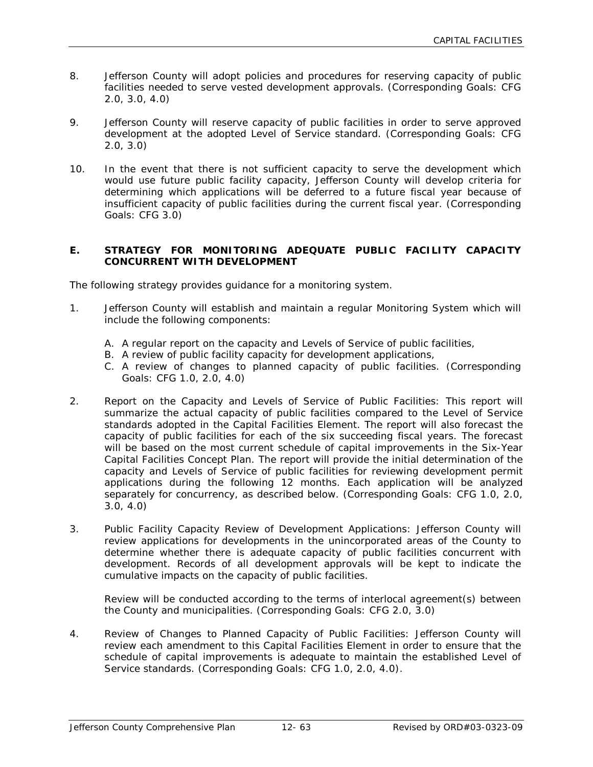- 8. Jefferson County will adopt policies and procedures for reserving capacity of public facilities needed to serve vested development approvals. (Corresponding Goals: CFG 2.0, 3.0, 4.0)
- 9. Jefferson County will reserve capacity of public facilities in order to serve approved development at the adopted Level of Service standard. (Corresponding Goals: CFG 2.0, 3.0)
- 10. In the event that there is not sufficient capacity to serve the development which would use future public facility capacity, Jefferson County will develop criteria for determining which applications will be deferred to a future fiscal year because of insufficient capacity of public facilities during the current fiscal year. (Corresponding Goals: CFG 3.0)

#### **E. STRATEGY FOR MONITORING ADEQUATE PUBLIC FACILITY CAPACITY CONCURRENT WITH DEVELOPMENT**

The following strategy provides guidance for a monitoring system.

- 1. Jefferson County will establish and maintain a regular Monitoring System which will include the following components:
	- A. A regular report on the capacity and Levels of Service of public facilities,
	- B. A review of public facility capacity for development applications,
	- C. A review of changes to planned capacity of public facilities. (Corresponding Goals: CFG 1.0, 2.0, 4.0)
- 2. Report on the Capacity and Levels of Service of Public Facilities: This report will summarize the actual capacity of public facilities compared to the Level of Service standards adopted in the Capital Facilities Element. The report will also forecast the capacity of public facilities for each of the six succeeding fiscal years. The forecast will be based on the most current schedule of capital improvements in the Six-Year Capital Facilities Concept Plan. The report will provide the initial determination of the capacity and Levels of Service of public facilities for reviewing development permit applications during the following 12 months. Each application will be analyzed separately for concurrency, as described below. (Corresponding Goals: CFG 1.0, 2.0, 3.0, 4.0)
- 3. Public Facility Capacity Review of Development Applications: Jefferson County will review applications for developments in the unincorporated areas of the County to determine whether there is adequate capacity of public facilities concurrent with development. Records of all development approvals will be kept to indicate the cumulative impacts on the capacity of public facilities.

Review will be conducted according to the terms of interlocal agreement(s) between the County and municipalities. (Corresponding Goals: CFG 2.0, 3.0)

4. Review of Changes to Planned Capacity of Public Facilities: Jefferson County will review each amendment to this Capital Facilities Element in order to ensure that the schedule of capital improvements is adequate to maintain the established Level of Service standards. (Corresponding Goals: CFG 1.0, 2.0, 4.0).